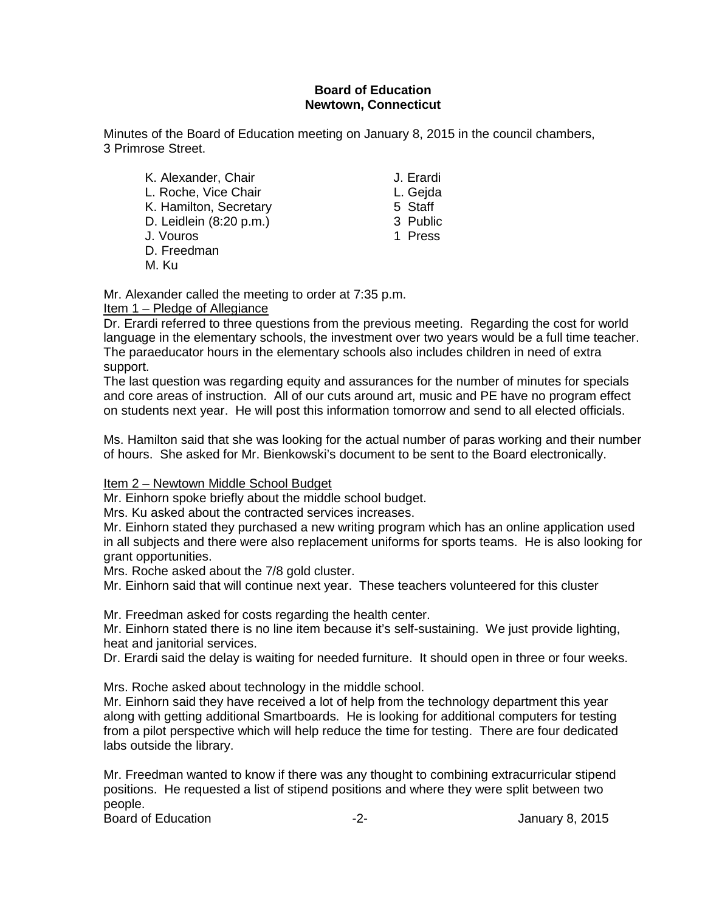#### **Board of Education Newtown, Connecticut**

Minutes of the Board of Education meeting on January 8, 2015 in the council chambers, 3 Primrose Street.

K. Alexander, Chair **J. Erardi** L. Roche, Vice Chair L. Gejda K. Hamilton, Secretary 6 and 5 Staff<br>
D. Leidlein (8:20 p.m.) 6 3 Public D. Leidlein (8:20 p.m.) 3 Public<br>J. Vouros 1 Press J. Vouros D. Freedman

M. Ku

- 
- 
- 

Mr. Alexander called the meeting to order at 7:35 p.m.

#### Item 1 – Pledge of Allegiance

Dr. Erardi referred to three questions from the previous meeting. Regarding the cost for world language in the elementary schools, the investment over two years would be a full time teacher. The paraeducator hours in the elementary schools also includes children in need of extra support.

The last question was regarding equity and assurances for the number of minutes for specials and core areas of instruction. All of our cuts around art, music and PE have no program effect on students next year. He will post this information tomorrow and send to all elected officials.

Ms. Hamilton said that she was looking for the actual number of paras working and their number of hours. She asked for Mr. Bienkowski's document to be sent to the Board electronically.

#### Item 2 – Newtown Middle School Budget

Mr. Einhorn spoke briefly about the middle school budget.

Mrs. Ku asked about the contracted services increases.

Mr. Einhorn stated they purchased a new writing program which has an online application used in all subjects and there were also replacement uniforms for sports teams. He is also looking for grant opportunities.

Mrs. Roche asked about the 7/8 gold cluster.

Mr. Einhorn said that will continue next year. These teachers volunteered for this cluster

Mr. Freedman asked for costs regarding the health center.

Mr. Einhorn stated there is no line item because it's self-sustaining. We just provide lighting, heat and janitorial services.

Dr. Erardi said the delay is waiting for needed furniture. It should open in three or four weeks.

Mrs. Roche asked about technology in the middle school.

Mr. Einhorn said they have received a lot of help from the technology department this year along with getting additional Smartboards. He is looking for additional computers for testing from a pilot perspective which will help reduce the time for testing. There are four dedicated labs outside the library.

Mr. Freedman wanted to know if there was any thought to combining extracurricular stipend positions. He requested a list of stipend positions and where they were split between two people.

Board of Education **Contract Contract Contract Contract Contract Contract Contract Contract Contract Contract Contract Contract Contract Contract Contract Contract Contract Contract Contract Contract Contract Contract Cont**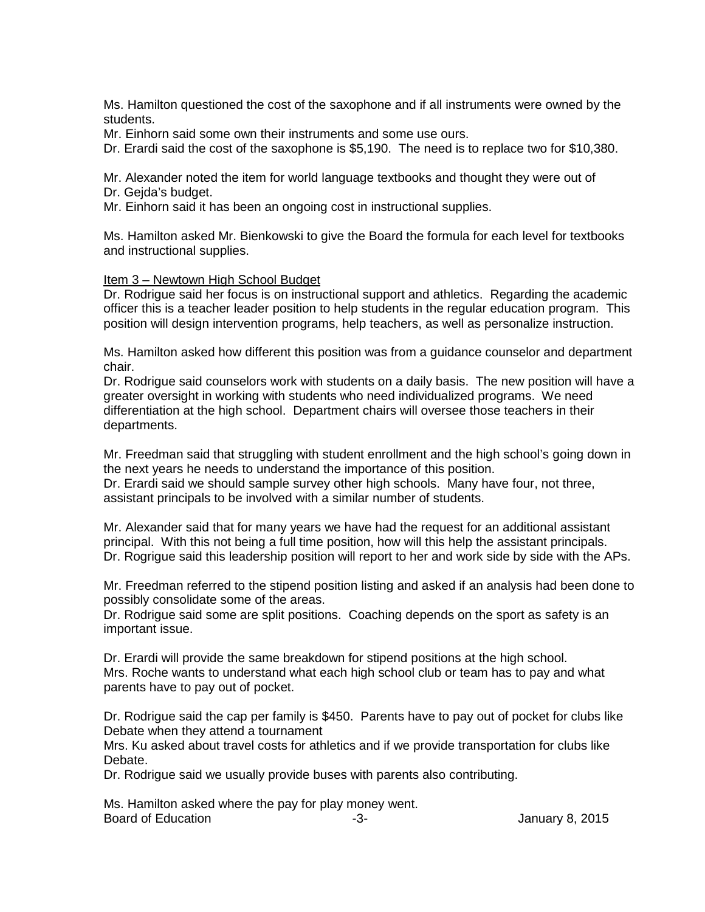Ms. Hamilton questioned the cost of the saxophone and if all instruments were owned by the students.

Mr. Einhorn said some own their instruments and some use ours.

Dr. Erardi said the cost of the saxophone is \$5,190. The need is to replace two for \$10,380.

Mr. Alexander noted the item for world language textbooks and thought they were out of Dr. Gejda's budget.

Mr. Einhorn said it has been an ongoing cost in instructional supplies.

Ms. Hamilton asked Mr. Bienkowski to give the Board the formula for each level for textbooks and instructional supplies.

#### Item 3 – Newtown High School Budget

Dr. Rodrigue said her focus is on instructional support and athletics. Regarding the academic officer this is a teacher leader position to help students in the regular education program. This position will design intervention programs, help teachers, as well as personalize instruction.

Ms. Hamilton asked how different this position was from a guidance counselor and department chair.

Dr. Rodrigue said counselors work with students on a daily basis. The new position will have a greater oversight in working with students who need individualized programs. We need differentiation at the high school. Department chairs will oversee those teachers in their departments.

Mr. Freedman said that struggling with student enrollment and the high school's going down in the next years he needs to understand the importance of this position.

Dr. Erardi said we should sample survey other high schools. Many have four, not three, assistant principals to be involved with a similar number of students.

Mr. Alexander said that for many years we have had the request for an additional assistant principal. With this not being a full time position, how will this help the assistant principals. Dr. Rogrigue said this leadership position will report to her and work side by side with the APs.

Mr. Freedman referred to the stipend position listing and asked if an analysis had been done to possibly consolidate some of the areas.

Dr. Rodrigue said some are split positions. Coaching depends on the sport as safety is an important issue.

Dr. Erardi will provide the same breakdown for stipend positions at the high school. Mrs. Roche wants to understand what each high school club or team has to pay and what parents have to pay out of pocket.

Dr. Rodrigue said the cap per family is \$450. Parents have to pay out of pocket for clubs like Debate when they attend a tournament

Mrs. Ku asked about travel costs for athletics and if we provide transportation for clubs like Debate.

Dr. Rodrigue said we usually provide buses with parents also contributing.

Ms. Hamilton asked where the pay for play money went. Board of Education **Contract Contract Contract Contract Contract Contract Contract Contract Contract Contract Contract Contract Contract Contract Contract Contract Contract Contract Contract Contract Contract Contract Cont**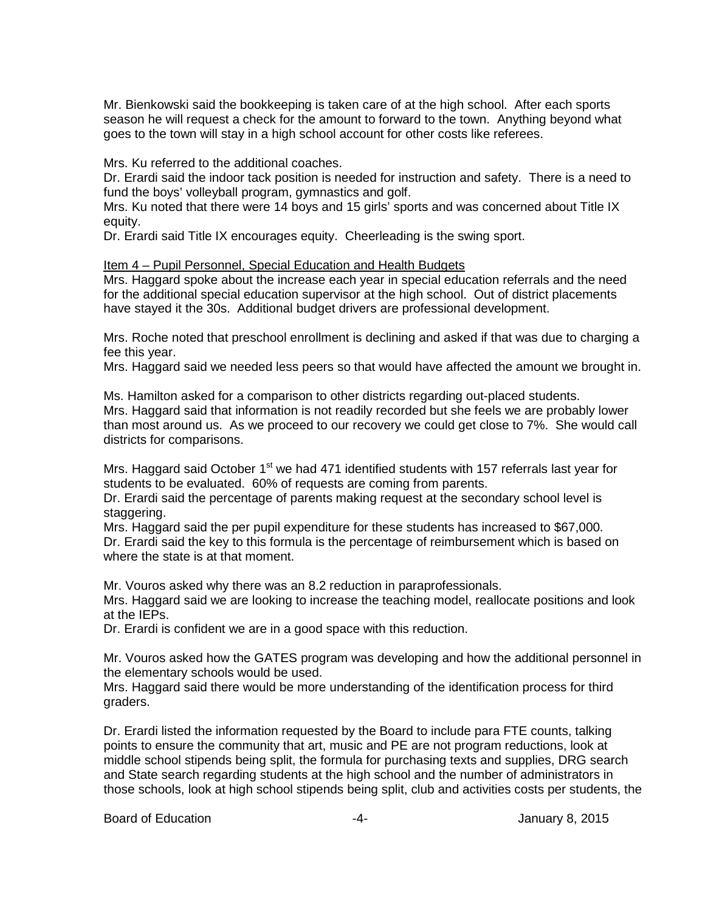Mr. Bienkowski said the bookkeeping is taken care of at the high school. After each sports season he will request a check for the amount to forward to the town. Anything beyond what goes to the town will stay in a high school account for other costs like referees.

Mrs. Ku referred to the additional coaches.

Dr. Erardi said the indoor tack position is needed for instruction and safety. There is a need to fund the boys' volleyball program, gymnastics and golf.

Mrs. Ku noted that there were 14 boys and 15 girls' sports and was concerned about Title IX equity.

Dr. Erardi said Title IX encourages equity. Cheerleading is the swing sport.

Item 4 – Pupil Personnel, Special Education and Health Budgets

Mrs. Haggard spoke about the increase each year in special education referrals and the need for the additional special education supervisor at the high school. Out of district placements have stayed it the 30s. Additional budget drivers are professional development.

Mrs. Roche noted that preschool enrollment is declining and asked if that was due to charging a fee this year.

Mrs. Haggard said we needed less peers so that would have affected the amount we brought in.

Ms. Hamilton asked for a comparison to other districts regarding out-placed students. Mrs. Haggard said that information is not readily recorded but she feels we are probably lower than most around us. As we proceed to our recovery we could get close to 7%. She would call districts for comparisons.

Mrs. Haggard said October  $1<sup>st</sup>$  we had 471 identified students with 157 referrals last year for students to be evaluated. 60% of requests are coming from parents.

Dr. Erardi said the percentage of parents making request at the secondary school level is staggering.

Mrs. Haggard said the per pupil expenditure for these students has increased to \$67,000. Dr. Erardi said the key to this formula is the percentage of reimbursement which is based on where the state is at that moment.

Mr. Vouros asked why there was an 8.2 reduction in paraprofessionals.

Mrs. Haggard said we are looking to increase the teaching model, reallocate positions and look at the IEPs.

Dr. Erardi is confident we are in a good space with this reduction.

Mr. Vouros asked how the GATES program was developing and how the additional personnel in the elementary schools would be used.

Mrs. Haggard said there would be more understanding of the identification process for third graders.

Dr. Erardi listed the information requested by the Board to include para FTE counts, talking points to ensure the community that art, music and PE are not program reductions, look at middle school stipends being split, the formula for purchasing texts and supplies, DRG search and State search regarding students at the high school and the number of administrators in those schools, look at high school stipends being split, club and activities costs per students, the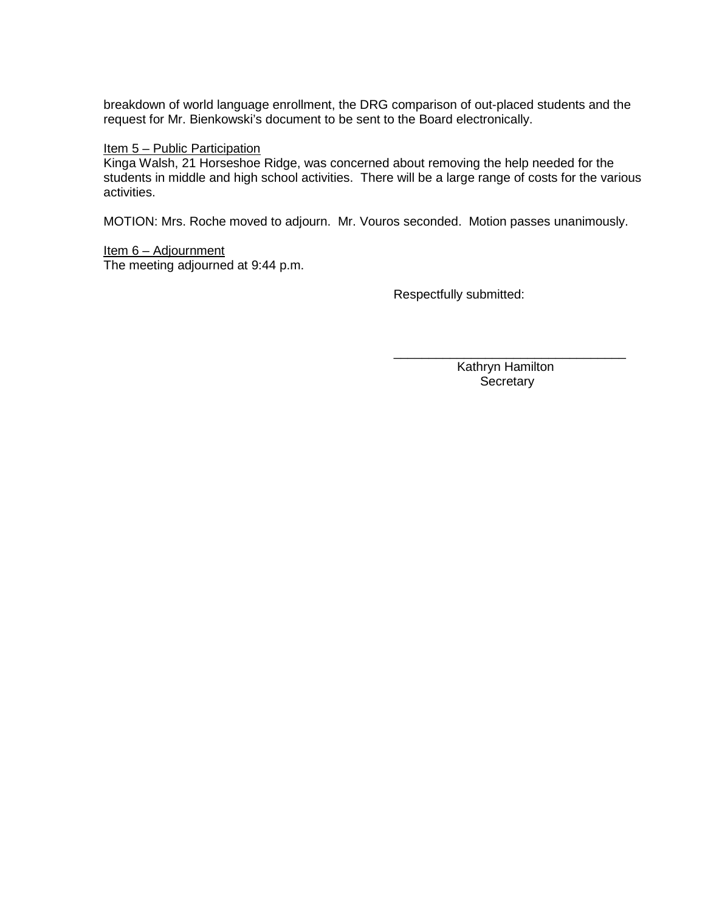breakdown of world language enrollment, the DRG comparison of out-placed students and the request for Mr. Bienkowski's document to be sent to the Board electronically.

#### Item 5 – Public Participation

Kinga Walsh, 21 Horseshoe Ridge, was concerned about removing the help needed for the students in middle and high school activities. There will be a large range of costs for the various activities.

MOTION: Mrs. Roche moved to adjourn. Mr. Vouros seconded. Motion passes unanimously.

Item 6 – Adjournment The meeting adjourned at 9:44 p.m.

Respectfully submitted:

\_\_\_\_\_\_\_\_\_\_\_\_\_\_\_\_\_\_\_\_\_\_\_\_\_\_\_\_\_\_\_\_\_ Kathryn Hamilton **Secretary**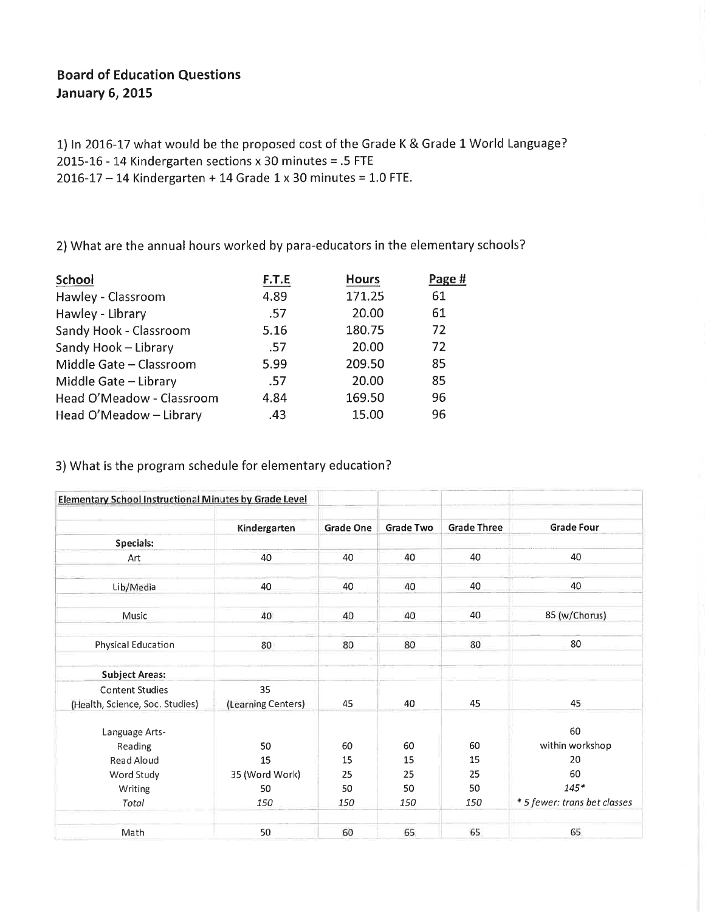#### **Board of Education Questions January 6, 2015**

1) In 2016-17 what would be the proposed cost of the Grade K & Grade 1 World Language? 2015-16 - 14 Kindergarten sections x 30 minutes = .5 FTE  $2016 - 17 - 14$  Kindergarten + 14 Grade 1 x 30 minutes = 1.0 FTE.

2) What are the annual hours worked by para-educators in the elementary schools?

| School                    | F.T.E | <b>Hours</b> | Page # |
|---------------------------|-------|--------------|--------|
| Hawley - Classroom        | 4.89  | 171.25       | 61     |
| Hawley - Library          | .57   | 20.00        | 61     |
| Sandy Hook - Classroom    | 5.16  | 180.75       | 72     |
| Sandy Hook - Library      | .57   | 20.00        | 72     |
| Middle Gate - Classroom   | 5.99  | 209.50       | 85     |
| Middle Gate - Library     | .57   | 20.00        | 85     |
| Head O'Meadow - Classroom | 4.84  | 169.50       | 96     |
| Head O'Meadow - Library   | .43   | 15.00        | 96     |
|                           |       |              |        |

3) What is the program schedule for elementary education?

| Elementary School Instructional Minutes by Grade Level    |                          |                  |                  |                    |                              |
|-----------------------------------------------------------|--------------------------|------------------|------------------|--------------------|------------------------------|
|                                                           | Kindergarten             | <b>Grade One</b> | <b>Grade Two</b> | <b>Grade Three</b> | <b>Grade Four</b>            |
| Specials:                                                 |                          |                  |                  |                    |                              |
| Art                                                       | 40                       | 40               | 40               | 40                 | 40                           |
| Lib/Media                                                 | 40                       | 40               | 40               | 40                 | 40                           |
| Music                                                     | 40                       | 40               | 40               | 40                 | 85 (w/Chorus)                |
| Physical Education                                        | 80                       | 80               | 80               | 80                 | 80                           |
| <b>Subject Areas:</b>                                     |                          |                  |                  |                    |                              |
| <b>Content Studies</b><br>(Health, Science, Soc. Studies) | 35<br>(Learning Centers) | 45               | 40               | 45                 | 45                           |
| Language Arts-                                            |                          |                  |                  |                    | 60                           |
| Reading                                                   | 50                       | 60               | 60               | 60                 | within workshop              |
| Read Aloud                                                | 15                       | 15               | 15               | 15                 | 20                           |
| Word Study                                                | 35 (Word Work)           | 25               | 25               | 25                 | 60                           |
| Writing                                                   | 50                       | 50               | 50               | 50                 | $145*$                       |
| Total                                                     | 150                      | 150              | 150              | 150                | * 5 fewer: trans bet classes |
| Math                                                      | 50                       | 60               | 65               | 65                 | 65                           |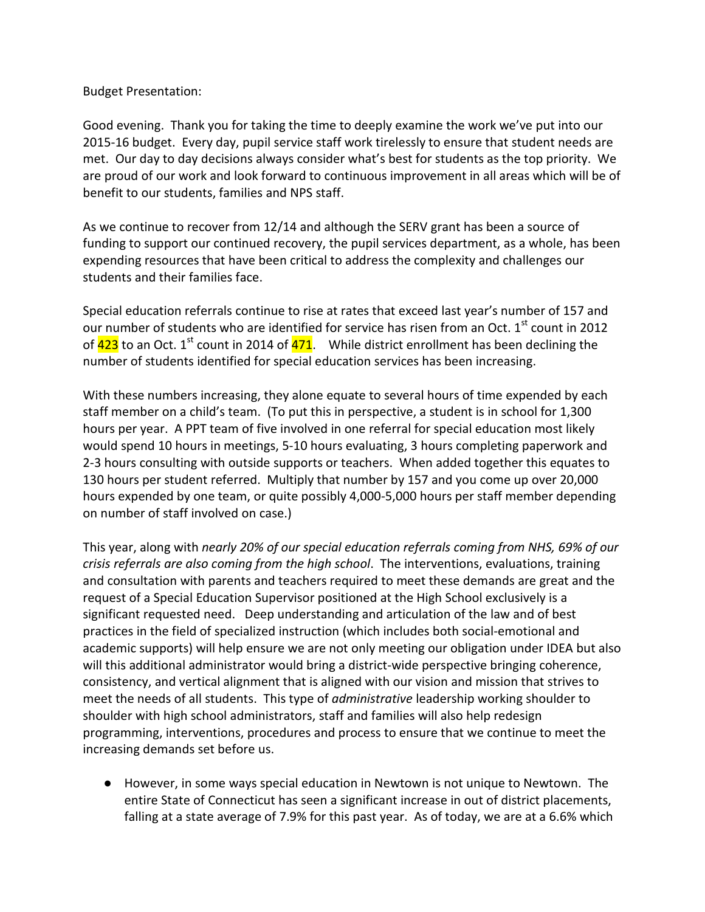Budget Presentation:

Good evening. Thank you for taking the time to deeply examine the work we've put into our 2015-16 budget. Every day, pupil service staff work tirelessly to ensure that student needs are met. Our day to day decisions always consider what's best for students as the top priority. We are proud of our work and look forward to continuous improvement in all areas which will be of benefit to our students, families and NPS staff.

As we continue to recover from 12/14 and although the SERV grant has been a source of funding to support our continued recovery, the pupil services department, as a whole, has been expending resources that have been critical to address the complexity and challenges our students and their families face.

Special education referrals continue to rise at rates that exceed last year's number of 157 and our number of students who are identified for service has risen from an Oct.  $1<sup>st</sup>$  count in 2012 of  $423$  to an Oct. 1<sup>st</sup> count in 2014 of  $471$ . While district enrollment has been declining the number of students identified for special education services has been increasing.

With these numbers increasing, they alone equate to several hours of time expended by each staff member on a child's team. (To put this in perspective, a student is in school for 1,300 hours per year. A PPT team of five involved in one referral for special education most likely would spend 10 hours in meetings, 5-10 hours evaluating, 3 hours completing paperwork and 2-3 hours consulting with outside supports or teachers. When added together this equates to 130 hours per student referred. Multiply that number by 157 and you come up over 20,000 hours expended by one team, or quite possibly 4,000-5,000 hours per staff member depending on number of staff involved on case.)

This year, along with *nearly 20% of our special education referrals coming from NHS, 69% of our crisis referrals are also coming from the high school*. The interventions, evaluations, training and consultation with parents and teachers required to meet these demands are great and the request of a Special Education Supervisor positioned at the High School exclusively is a significant requested need. Deep understanding and articulation of the law and of best practices in the field of specialized instruction (which includes both social-emotional and academic supports) will help ensure we are not only meeting our obligation under IDEA but also will this additional administrator would bring a district-wide perspective bringing coherence, consistency, and vertical alignment that is aligned with our vision and mission that strives to meet the needs of all students. This type of *administrative* leadership working shoulder to shoulder with high school administrators, staff and families will also help redesign programming, interventions, procedures and process to ensure that we continue to meet the increasing demands set before us.

● However, in some ways special education in Newtown is not unique to Newtown. The entire State of Connecticut has seen a significant increase in out of district placements, falling at a state average of 7.9% for this past year. As of today, we are at a 6.6% which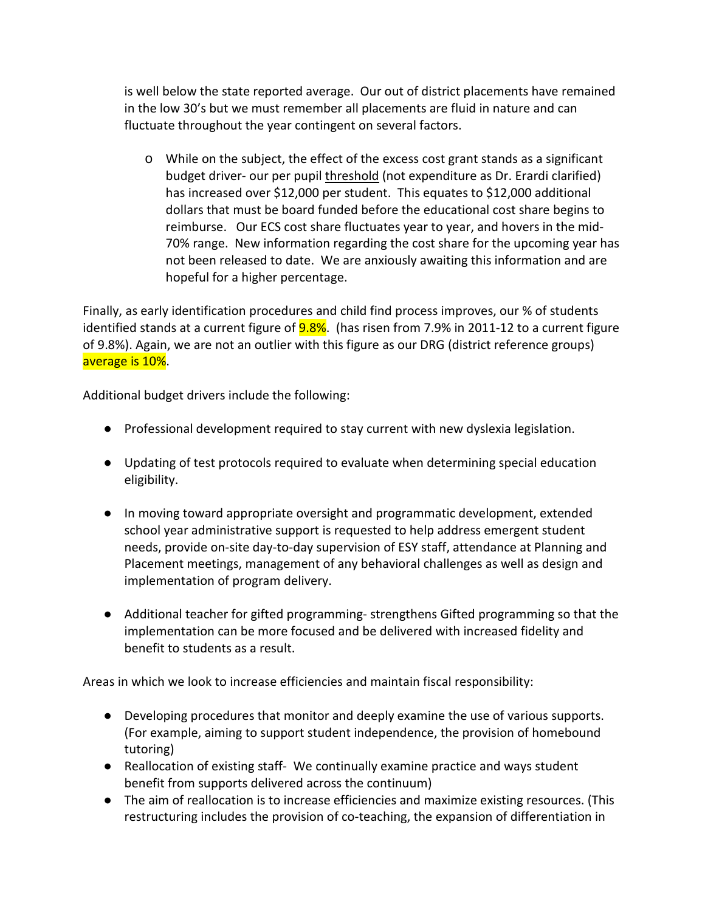is well below the state reported average. Our out of district placements have remained in the low 30's but we must remember all placements are fluid in nature and can fluctuate throughout the year contingent on several factors.

o While on the subject, the effect of the excess cost grant stands as a significant budget driver- our per pupil threshold (not expenditure as Dr. Erardi clarified) has increased over \$12,000 per student. This equates to \$12,000 additional dollars that must be board funded before the educational cost share begins to reimburse. Our ECS cost share fluctuates year to year, and hovers in the mid-70% range. New information regarding the cost share for the upcoming year has not been released to date. We are anxiously awaiting this information and are hopeful for a higher percentage.

Finally, as early identification procedures and child find process improves, our % of students identified stands at a current figure of **9.8%**. (has risen from 7.9% in 2011-12 to a current figure of 9.8%). Again, we are not an outlier with this figure as our DRG (district reference groups) average is 10%.

Additional budget drivers include the following:

- Professional development required to stay current with new dyslexia legislation.
- Updating of test protocols required to evaluate when determining special education eligibility.
- In moving toward appropriate oversight and programmatic development, extended school year administrative support is requested to help address emergent student needs, provide on-site day-to-day supervision of ESY staff, attendance at Planning and Placement meetings, management of any behavioral challenges as well as design and implementation of program delivery.
- Additional teacher for gifted programming- strengthens Gifted programming so that the implementation can be more focused and be delivered with increased fidelity and benefit to students as a result.

Areas in which we look to increase efficiencies and maintain fiscal responsibility:

- Developing procedures that monitor and deeply examine the use of various supports. (For example, aiming to support student independence, the provision of homebound tutoring)
- Reallocation of existing staff- We continually examine practice and ways student benefit from supports delivered across the continuum)
- The aim of reallocation is to increase efficiencies and maximize existing resources. (This restructuring includes the provision of co-teaching, the expansion of differentiation in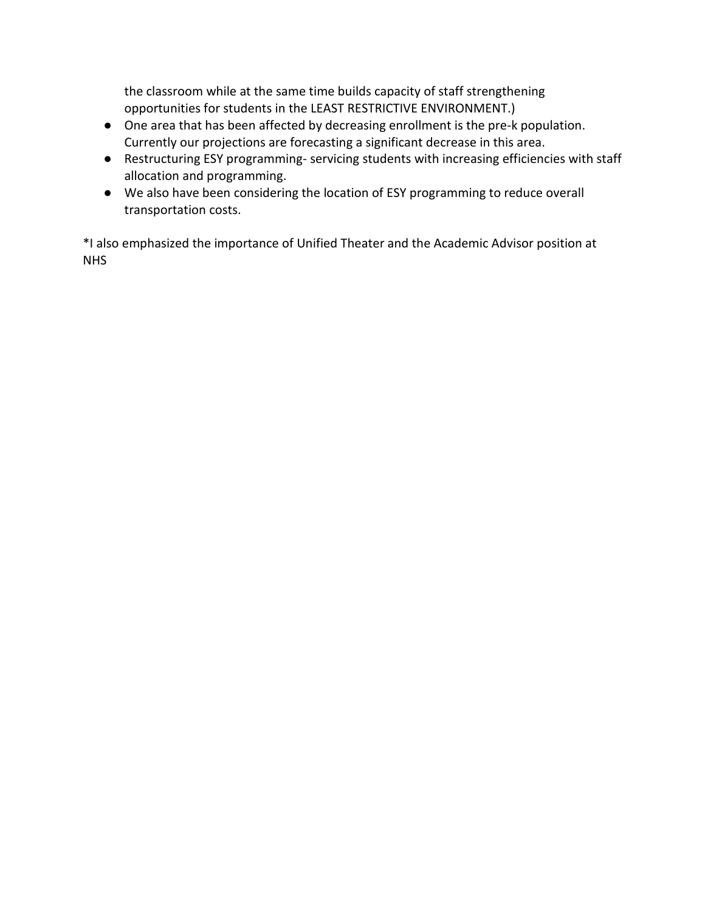the classroom while at the same time builds capacity of staff strengthening opportunities for students in the LEAST RESTRICTIVE ENVIRONMENT.)

- One area that has been affected by decreasing enrollment is the pre-k population. Currently our projections are forecasting a significant decrease in this area.
- Restructuring ESY programming- servicing students with increasing efficiencies with staff allocation and programming.
- We also have been considering the location of ESY programming to reduce overall transportation costs.

\*I also emphasized the importance of Unified Theater and the Academic Advisor position at NHS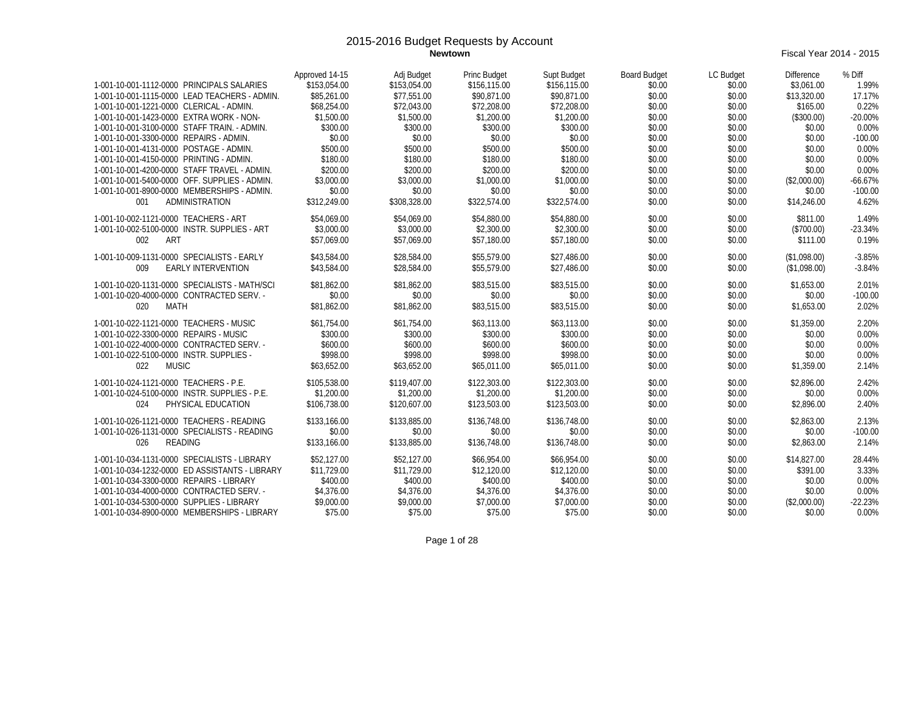**Fiscal Year 2014 - 2015** 

| 1-001-10-001-1112-0000 PRINCIPALS SALARIES     | Approved 14-15<br>\$153.054.00 | Adj Budget<br>\$153.054.00 | Princ Budget<br>\$156,115.00 | Supt Budget<br>\$156,115.00 | <b>Board Budget</b><br>\$0.00 | LC Budget<br>\$0.00 | <b>Difference</b><br>\$3.061.00 | % Diff<br>1.99% |
|------------------------------------------------|--------------------------------|----------------------------|------------------------------|-----------------------------|-------------------------------|---------------------|---------------------------------|-----------------|
| 1-001-10-001-1115-0000 LEAD TEACHERS - ADMIN.  | \$85,261.00                    | \$77.551.00                | \$90.871.00                  | \$90.871.00                 | \$0.00                        | \$0.00              | \$13,320.00                     | 17.17%          |
| 1-001-10-001-1221-0000 CLERICAL - ADMIN.       | \$68,254.00                    | \$72,043.00                | \$72,208.00                  | \$72,208.00                 | \$0.00                        | \$0.00              | \$165.00                        | 0.22%           |
| 1-001-10-001-1423-0000 EXTRA WORK - NON-       | \$1,500.00                     | \$1,500.00                 | \$1,200.00                   | \$1,200.00                  | \$0.00                        | \$0.00              | (\$300.00)                      | $-20.00%$       |
| 1-001-10-001-3100-0000 STAFF TRAIN. - ADMIN.   | \$300.00                       | \$300.00                   | \$300.00                     | \$300.00                    | \$0.00                        | \$0.00              | \$0.00                          | 0.00%           |
| 1-001-10-001-3300-0000 REPAIRS - ADMIN.        | \$0.00                         | \$0.00                     | \$0.00                       | \$0.00                      | \$0.00                        | \$0.00              | \$0.00                          | $-100.00$       |
| 1-001-10-001-4131-0000 POSTAGE - ADMIN.        | \$500.00                       | \$500.00                   | \$500.00                     | \$500.00                    | \$0.00                        | \$0.00              | \$0.00                          | 0.00%           |
| 1-001-10-001-4150-0000 PRINTING - ADMIN.       | \$180.00                       | \$180.00                   | \$180.00                     | \$180.00                    | \$0.00                        | \$0.00              | \$0.00                          | 0.00%           |
| 1-001-10-001-4200-0000 STAFF TRAVEL - ADMIN.   | \$200.00                       | \$200.00                   | \$200.00                     | \$200.00                    | \$0.00                        | \$0.00              | \$0.00                          | 0.00%           |
| 1-001-10-001-5400-0000 OFF. SUPPLIES - ADMIN.  | \$3,000.00                     | \$3,000.00                 | \$1,000.00                   | \$1,000.00                  | \$0.00                        | \$0.00              | (\$2,000.00)                    | $-66.67%$       |
| 1-001-10-001-8900-0000 MEMBERSHIPS - ADMIN.    | \$0.00                         | \$0.00                     | \$0.00                       | \$0.00                      | \$0.00                        | \$0.00              | \$0.00                          | $-100.00$       |
| ADMINISTRATION<br>001                          | \$312,249.00                   | \$308,328.00               | \$322,574.00                 | \$322.574.00                | \$0.00                        | \$0.00              | \$14,246.00                     | 4.62%           |
|                                                |                                |                            |                              |                             |                               |                     |                                 |                 |
| 1-001-10-002-1121-0000 TEACHERS - ART          | \$54,069.00                    | \$54,069.00                | \$54,880.00                  | \$54,880.00                 | \$0.00                        | \$0.00              | \$811.00                        | 1.49%           |
| 1-001-10-002-5100-0000 INSTR. SUPPLIES - ART   | \$3,000.00                     | \$3,000.00                 | \$2,300.00                   | \$2,300.00                  | \$0.00                        | \$0.00              | (\$700.00)                      | $-23.34%$       |
| 002<br>ART                                     | \$57.069.00                    | \$57,069.00                | \$57,180.00                  | \$57,180.00                 | \$0.00                        | \$0.00              | \$111.00                        | 0.19%           |
| 1-001-10-009-1131-0000 SPECIALISTS - EARLY     | \$43,584.00                    | \$28,584.00                | \$55,579.00                  | \$27,486.00                 | \$0.00                        | \$0.00              | (\$1.098.00)                    | $-3.85%$        |
| <b>EARLY INTERVENTION</b><br>009               | \$43,584.00                    | \$28,584.00                | \$55,579.00                  | \$27,486.00                 | \$0.00                        | \$0.00              | (\$1,098.00)                    | $-3.84%$        |
| 1-001-10-020-1131-0000 SPECIALISTS - MATH/SCI  | \$81,862.00                    | \$81,862.00                | \$83,515.00                  | \$83,515.00                 | \$0.00                        | \$0.00              | \$1.653.00                      | 2.01%           |
| 1-001-10-020-4000-0000 CONTRACTED SERV. -      | \$0.00                         | \$0.00                     | \$0.00                       | \$0.00                      | \$0.00                        | \$0.00              | \$0.00                          | $-100.00$       |
| 020<br>MATH                                    | \$81,862.00                    | \$81,862.00                | \$83,515.00                  | \$83,515.00                 | \$0.00                        | \$0.00              | \$1,653.00                      | 2.02%           |
| 1-001-10-022-1121-0000 TEACHERS - MUSIC        | \$61.754.00                    | \$61.754.00                | \$63,113.00                  | \$63,113.00                 | \$0.00                        | \$0.00              | \$1.359.00                      | 2.20%           |
| 1-001-10-022-3300-0000 REPAIRS - MUSIC         | \$300.00                       | \$300.00                   | \$300.00                     | \$300.00                    | \$0.00                        | \$0.00              | \$0.00                          | 0.00%           |
| 1-001-10-022-4000-0000 CONTRACTED SERV. -      | \$600.00                       | \$600.00                   | \$600.00                     | \$600.00                    | \$0.00                        | \$0.00              | \$0.00                          | 0.00%           |
| 1-001-10-022-5100-0000 INSTR. SUPPLIES -       | \$998.00                       | \$998.00                   | \$998.00                     | \$998.00                    | \$0.00                        | \$0.00              | \$0.00                          | 0.00%           |
| 022<br><b>MUSIC</b>                            | \$63,652.00                    | \$63.652.00                | \$65,011.00                  | \$65,011.00                 | \$0.00                        | \$0.00              | \$1,359.00                      | 2.14%           |
|                                                |                                |                            |                              |                             |                               |                     |                                 |                 |
| 1-001-10-024-1121-0000 TEACHERS - P.E.         | \$105,538.00                   | \$119,407.00               | \$122,303.00                 | \$122,303.00                | \$0.00                        | \$0.00              | \$2,896.00                      | 2.42%           |
| 1-001-10-024-5100-0000 INSTR. SUPPLIES - P.E.  | \$1,200.00                     | \$1,200.00                 | \$1,200.00                   | \$1,200.00                  | \$0.00                        | \$0.00              | \$0.00                          | 0.00%           |
| PHYSICAL EDUCATION<br>024                      | \$106.738.00                   | \$120,607.00               | \$123,503.00                 | \$123,503.00                | \$0.00                        | \$0.00              | \$2,896.00                      | 2.40%           |
| 1-001-10-026-1121-0000 TEACHERS - READING      | \$133,166.00                   | \$133,885.00               | \$136,748.00                 | \$136,748.00                | \$0.00                        | \$0.00              | \$2,863.00                      | 2.13%           |
| 1-001-10-026-1131-0000 SPECIALISTS - READING   | \$0.00                         | \$0.00                     | \$0.00                       | \$0.00                      | \$0.00                        | \$0.00              | \$0.00                          | $-100.00$       |
| <b>READING</b><br>026                          | \$133,166.00                   | \$133,885.00               | \$136,748.00                 | \$136,748.00                | \$0.00                        | \$0.00              | \$2,863.00                      | 2.14%           |
| 1-001-10-034-1131-0000 SPECIALISTS - LIBRARY   | \$52,127.00                    | \$52,127.00                | \$66,954.00                  | \$66,954.00                 | \$0.00                        | \$0.00              | \$14,827.00                     | 28.44%          |
| 1-001-10-034-1232-0000 ED ASSISTANTS - LIBRARY | \$11,729.00                    | \$11,729.00                | \$12,120.00                  | \$12,120.00                 | \$0.00                        | \$0.00              | \$391.00                        | 3.33%           |
| 1-001-10-034-3300-0000 REPAIRS - LIBRARY       | \$400.00                       | \$400.00                   | \$400.00                     | \$400.00                    | \$0.00                        | \$0.00              | \$0.00                          | 0.00%           |
| 1-001-10-034-4000-0000 CONTRACTED SERV. -      | \$4,376.00                     | \$4,376.00                 | \$4,376.00                   | \$4,376.00                  | \$0.00                        | \$0.00              | \$0.00                          | 0.00%           |
| 1-001-10-034-5300-0000 SUPPLIES - LIBRARY      | \$9,000.00                     | \$9,000.00                 | \$7,000.00                   | \$7,000.00                  | \$0.00                        | \$0.00              | (\$2,000.00)                    | $-22.23%$       |
| 1-001-10-034-8900-0000 MEMBERSHIPS - LIBRARY   | \$75.00                        | \$75.00                    | \$75.00                      | \$75.00                     | \$0.00                        | \$0.00              | \$0.00                          | 0.00%           |

Page 1 of 28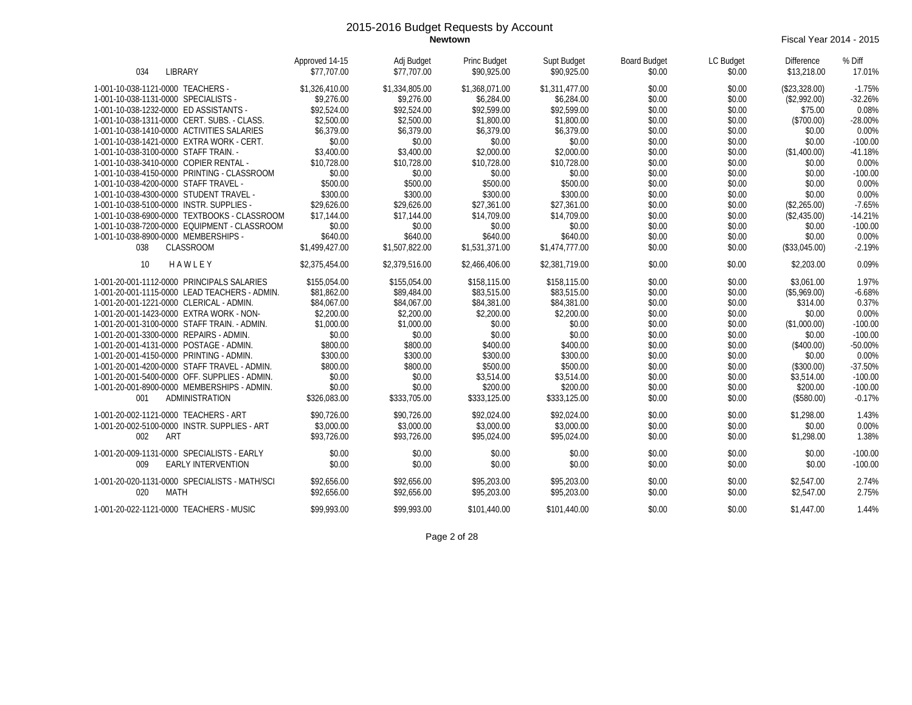**Newtown** Fiscal Year 2014 - 2015

| <b>LIBRARY</b><br>034                         | Approved 14-15<br>\$77,707.00 | Adj Budget<br>\$77,707.00 | Princ Budget<br>\$90,925.00 | Supt Budget<br>\$90,925.00 | <b>Board Budget</b><br>\$0.00 | LC Budget<br>\$0.00 | <b>Difference</b><br>\$13,218.00 | % Diff<br>17.01% |
|-----------------------------------------------|-------------------------------|---------------------------|-----------------------------|----------------------------|-------------------------------|---------------------|----------------------------------|------------------|
| 1-001-10-038-1121-0000 TEACHERS -             | \$1,326,410.00                | \$1,334,805.00            | \$1,368,071.00              | \$1,311,477.00             | \$0.00                        | \$0.00              | (\$23,328.00)                    | $-1.75%$         |
| 1-001-10-038-1131-0000 SPECIALISTS -          | \$9,276.00                    | \$9,276.00                | \$6,284.00                  | \$6,284.00                 | \$0.00                        | \$0.00              | (\$2,992.00)                     | $-32.26%$        |
| 1-001-10-038-1232-0000 ED ASSISTANTS -        | \$92,524.00                   | \$92,524.00               | \$92,599.00                 | \$92,599.00                | \$0.00                        | \$0.00              | \$75.00                          | 0.08%            |
| 1-001-10-038-1311-0000 CERT. SUBS. - CLASS.   | \$2,500.00                    | \$2,500.00                | \$1,800.00                  | \$1,800.00                 | \$0.00                        | \$0.00              | (\$700.00)                       | $-28.00%$        |
| 1-001-10-038-1410-0000 ACTIVITIES SALARIES    | \$6,379.00                    | \$6,379.00                | \$6,379.00                  | \$6,379.00                 | \$0.00                        | \$0.00              | \$0.00                           | 0.00%            |
| 1-001-10-038-1421-0000 EXTRA WORK - CERT.     | \$0.00                        | \$0.00                    | \$0.00                      | \$0.00                     | \$0.00                        | \$0.00              | \$0.00                           | $-100.00$        |
| 1-001-10-038-3100-0000 STAFF TRAIN. -         | \$3,400.00                    | \$3,400.00                | \$2,000.00                  | \$2,000.00                 | \$0.00                        | \$0.00              | (\$1,400.00)                     | $-41.18%$        |
| 1-001-10-038-3410-0000 COPIER RENTAL -        | \$10,728.00                   | \$10,728.00               | \$10,728.00                 | \$10,728.00                | \$0.00                        | \$0.00              | \$0.00                           | 0.00%            |
| 1-001-10-038-4150-0000 PRINTING - CLASSROOM   | \$0.00                        | \$0.00                    | \$0.00                      | \$0.00                     | \$0.00                        | \$0.00              | \$0.00                           | $-100.00$        |
| 1-001-10-038-4200-0000 STAFF TRAVEL -         | \$500.00                      | \$500.00                  | \$500.00                    | \$500.00                   | \$0.00                        | \$0.00              | \$0.00                           | 0.00%            |
| 1-001-10-038-4300-0000 STUDENT TRAVEL -       | \$300.00                      | \$300.00                  | \$300.00                    | \$300.00                   | \$0.00                        | \$0.00              | \$0.00                           | 0.00%            |
| 1-001-10-038-5100-0000 INSTR. SUPPLIES -      | \$29,626.00                   | \$29,626.00               | \$27,361.00                 | \$27,361.00                | \$0.00                        | \$0.00              | (\$2,265.00)                     | $-7.65%$         |
| 1-001-10-038-6900-0000 TEXTBOOKS - CLASSROOM  | \$17,144.00                   | \$17,144.00               | \$14,709.00                 | \$14,709.00                | \$0.00                        | \$0.00              | (\$2,435.00)                     | $-14.21%$        |
| 1-001-10-038-7200-0000 EQUIPMENT - CLASSROOM  | \$0.00                        | \$0.00                    | \$0.00                      | \$0.00                     | \$0.00                        | \$0.00              | \$0.00                           | $-100.00$        |
| 1-001-10-038-8900-0000 MEMBERSHIPS -          | \$640.00                      | \$640.00                  | \$640.00                    | \$640.00                   | \$0.00                        | \$0.00              | \$0.00                           | 0.00%            |
| <b>CLASSROOM</b><br>038                       | \$1,499,427.00                | \$1,507,822.00            | \$1,531,371.00              | \$1,474,777.00             | \$0.00                        | \$0.00              | (\$33,045.00)                    | $-2.19%$         |
| 10<br>HAWLEY                                  | \$2,375,454.00                | \$2,379,516.00            | \$2,466,406.00              | \$2,381,719.00             | \$0.00                        | \$0.00              | \$2,203.00                       | 0.09%            |
| 1-001-20-001-1112-0000 PRINCIPALS SALARIES    | \$155,054.00                  | \$155,054.00              | \$158,115.00                | \$158,115.00               | \$0.00                        | \$0.00              | \$3,061.00                       | 1.97%            |
| 1-001-20-001-1115-0000 LEAD TEACHERS - ADMIN. | \$81.862.00                   | \$89,484.00               | \$83,515.00                 | \$83,515.00                | \$0.00                        | \$0.00              | (\$5,969.00)                     | $-6.68%$         |
| 1-001-20-001-1221-0000 CLERICAL - ADMIN.      | \$84,067.00                   | \$84,067.00               | \$84,381.00                 | \$84,381.00                | \$0.00                        | \$0.00              | \$314.00                         | 0.37%            |
| 1-001-20-001-1423-0000 EXTRA WORK - NON-      | \$2,200.00                    | \$2,200.00                | \$2,200.00                  | \$2,200.00                 | \$0.00                        | \$0.00              | \$0.00                           | 0.00%            |
| 1-001-20-001-3100-0000 STAFF TRAIN. - ADMIN.  | \$1,000.00                    | \$1,000.00                | \$0.00                      | \$0.00                     | \$0.00                        | \$0.00              | (\$1,000.00)                     | $-100.00$        |
| 1-001-20-001-3300-0000 REPAIRS - ADMIN.       | \$0.00                        | \$0.00                    | \$0.00                      | \$0.00                     | \$0.00                        | \$0.00              | \$0.00                           | $-100.00$        |
| 1-001-20-001-4131-0000 POSTAGE - ADMIN.       | \$800.00                      | \$800.00                  | \$400.00                    | \$400.00                   | \$0.00                        | \$0.00              | (\$400.00)                       | $-50.00%$        |
| 1-001-20-001-4150-0000 PRINTING - ADMIN       | \$300.00                      | \$300.00                  | \$300.00                    | \$300.00                   | \$0.00                        | \$0.00              | \$0.00                           | 0.00%            |
| 1-001-20-001-4200-0000 STAFF TRAVEL - ADMIN.  | \$800.00                      | \$800.00                  | \$500.00                    | \$500.00                   | \$0.00                        | \$0.00              | (\$300.00)                       | $-37.50%$        |
| 1-001-20-001-5400-0000 OFF. SUPPLIES - ADMIN. | \$0.00                        | \$0.00                    | \$3,514.00                  | \$3,514.00                 | \$0.00                        | \$0.00              | \$3.514.00                       | $-100.00$        |
| 1-001-20-001-8900-0000 MEMBERSHIPS - ADMIN.   | \$0.00                        | \$0.00                    | \$200.00                    | \$200.00                   | \$0.00                        | \$0.00              | \$200.00                         | $-100.00$        |
| ADMINISTRATION<br>001                         | \$326.083.00                  | \$333,705.00              | \$333,125.00                | \$333,125.00               | \$0.00                        | \$0.00              | (\$580.00)                       | $-0.17%$         |
| 1-001-20-002-1121-0000 TEACHERS - ART         | \$90,726.00                   | \$90,726.00               | \$92,024.00                 | \$92,024.00                | \$0.00                        | \$0.00              | \$1,298.00                       | 1.43%            |
| 1-001-20-002-5100-0000 INSTR. SUPPLIES - ART  | \$3,000.00                    | \$3,000.00                | \$3,000.00                  | \$3,000.00                 | \$0.00                        | \$0.00              | \$0.00                           | 0.00%            |
| ART<br>002                                    | \$93.726.00                   | \$93.726.00               | \$95,024.00                 | \$95.024.00                | \$0.00                        | \$0.00              | \$1,298.00                       | 1.38%            |
| 1-001-20-009-1131-0000 SPECIALISTS - EARLY    | \$0.00                        | \$0.00                    | \$0.00                      | \$0.00                     | \$0.00                        | \$0.00              | \$0.00                           | $-100.00$        |
| 009<br><b>EARLY INTERVENTION</b>              | \$0.00                        | \$0.00                    | \$0.00                      | \$0.00                     | \$0.00                        | \$0.00              | \$0.00                           | $-100.00$        |
| 1-001-20-020-1131-0000 SPECIALISTS - MATH/SCI | \$92.656.00                   | \$92,656.00               | \$95,203.00                 | \$95,203.00                | \$0.00                        | \$0.00              | \$2,547.00                       | 2.74%            |
| <b>MATH</b><br>020                            | \$92.656.00                   | \$92.656.00               | \$95,203.00                 | \$95,203.00                | \$0.00                        | \$0.00              | \$2,547.00                       | 2.75%            |
| 1-001-20-022-1121-0000 TEACHERS - MUSIC       | \$99,993.00                   | \$99,993.00               | \$101,440.00                | \$101,440.00               | \$0.00                        | \$0.00              | \$1,447.00                       | 1.44%            |
|                                               |                               |                           |                             |                            |                               |                     |                                  |                  |

Page 2 of 28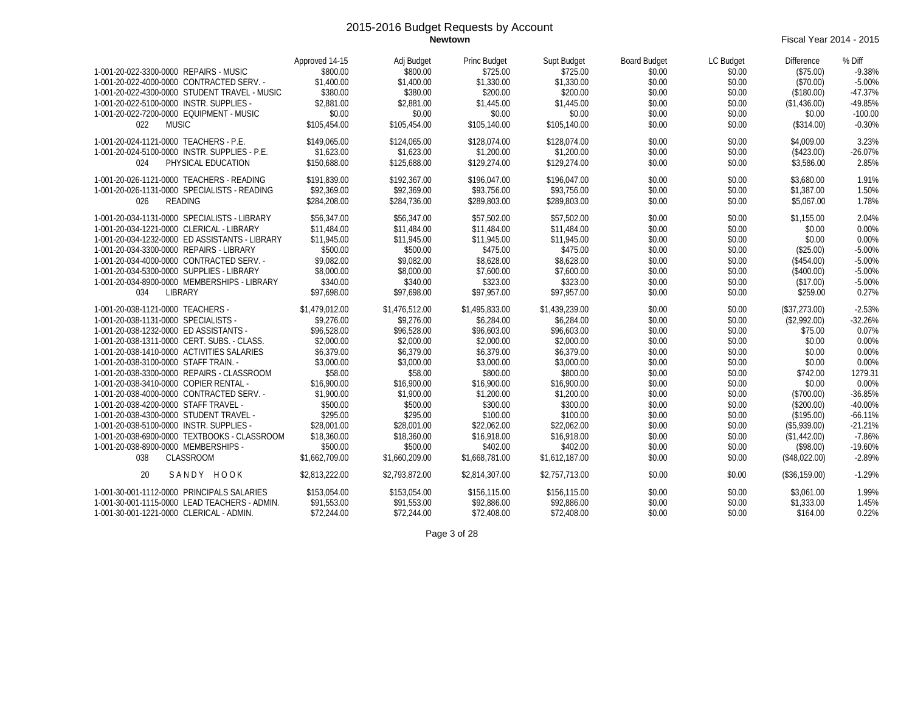**Newtown** Fiscal Year 2014 - 2015

| 1-001-20-022-3300-0000 REPAIRS - MUSIC                                              | Approved 14-15<br>\$800.00 | Adj Budget<br>\$800.00 | Princ Budget<br>\$725.00 | Supt Budget<br>\$725.00 | <b>Board Budget</b><br>\$0.00 | LC Budget<br>\$0.00 | <b>Difference</b>          | % Diff<br>$-9.38%$     |
|-------------------------------------------------------------------------------------|----------------------------|------------------------|--------------------------|-------------------------|-------------------------------|---------------------|----------------------------|------------------------|
| 1-001-20-022-4000-0000 CONTRACTED SERV. -                                           | \$1,400.00                 | \$1,400.00             | \$1,330.00               | \$1,330.00              | \$0.00                        | \$0.00              | (\$75.00)<br>(\$70.00)     | $-5.00%$               |
| 1-001-20-022-4300-0000 STUDENT TRAVEL - MUSIC                                       | \$380.00                   | \$380.00               | \$200.00                 | \$200.00                | \$0.00                        | \$0.00              | (\$180.00)                 | $-47.37%$              |
| 1-001-20-022-5100-0000 INSTR. SUPPLIES -                                            | \$2,881.00                 | \$2,881.00             | \$1,445.00               | \$1,445.00              | \$0.00                        | \$0.00              | (\$1,436.00)               | $-49.85%$              |
| 1-001-20-022-7200-0000 EQUIPMENT - MUSIC                                            | \$0.00                     | \$0.00                 | \$0.00                   | \$0.00                  | \$0.00                        | \$0.00              | \$0.00                     | $-100.00$              |
| 022<br><b>MUSIC</b>                                                                 | \$105,454.00               | \$105,454.00           | \$105,140.00             | \$105,140.00            | \$0.00                        | \$0.00              | (\$314.00)                 | $-0.30%$               |
|                                                                                     |                            |                        |                          |                         |                               |                     |                            |                        |
| 1-001-20-024-1121-0000 TEACHERS - P.E.                                              | \$149,065.00               | \$124,065.00           | \$128,074.00             | \$128,074.00            | \$0.00                        | \$0.00              | \$4,009.00                 | 3.23%                  |
| 1-001-20-024-5100-0000 INSTR. SUPPLIES - P.E.                                       | \$1,623.00                 | \$1,623.00             | \$1,200.00               | \$1,200.00              | \$0.00                        | \$0.00              | (\$423.00)                 | $-26.07%$              |
| 024<br>PHYSICAL EDUCATION                                                           | \$150.688.00               | \$125,688.00           | \$129,274.00             | \$129,274.00            | \$0.00                        | \$0.00              | \$3,586.00                 | 2.85%                  |
| 1-001-20-026-1121-0000 TEACHERS - READING                                           | \$191.839.00               | \$192.367.00           | \$196.047.00             | \$196.047.00            | \$0.00                        | \$0.00              | \$3.680.00                 | 1.91%                  |
| 1-001-20-026-1131-0000 SPECIALISTS - READING                                        | \$92,369.00                | \$92,369.00            | \$93,756.00              | \$93,756.00             | \$0.00                        | \$0.00              | \$1,387.00                 | 1.50%                  |
| READING<br>026                                                                      | \$284,208.00               | \$284,736.00           | \$289,803.00             | \$289,803.00            | \$0.00                        | \$0.00              | \$5,067.00                 | 1.78%                  |
| 1-001-20-034-1131-0000 SPECIALISTS - LIBRARY                                        | \$56.347.00                | \$56.347.00            | \$57.502.00              | \$57,502.00             | \$0.00                        | \$0.00              | \$1,155.00                 | 2.04%                  |
| 1-001-20-034-1221-0000 CLERICAL - LIBRARY                                           | \$11,484.00                | \$11,484.00            | \$11,484.00              | \$11,484.00             | \$0.00                        | \$0.00              | \$0.00                     | 0.00%                  |
| 1-001-20-034-1232-0000 ED ASSISTANTS - LIBRARY                                      | \$11,945.00                | \$11,945.00            | \$11,945.00              | \$11,945.00             | \$0.00                        | \$0.00              | \$0.00                     | 0.00%                  |
| 1-001-20-034-3300-0000 REPAIRS - LIBRARY                                            | \$500.00                   | \$500.00               | \$475.00                 | \$475.00                | \$0.00                        | \$0.00              | (\$25.00)                  | $-5.00%$               |
| 1-001-20-034-4000-0000 CONTRACTED SERV. -                                           | \$9,082.00                 | \$9,082.00             | \$8,628.00               | \$8,628.00              | \$0.00                        | \$0.00              | (\$454.00)                 | $-5.00%$               |
| 1-001-20-034-5300-0000 SUPPLIES - LIBRARY                                           | \$8,000.00                 | \$8,000.00             | \$7,600.00               | \$7,600.00              | \$0.00                        | \$0.00              | (\$400.00)                 | $-5.00%$               |
| 1-001-20-034-8900-0000 MEMBERSHIPS - LIBRARY                                        | \$340.00                   | \$340.00               | \$323.00                 | \$323.00                | \$0.00                        | \$0.00              | (\$17.00)                  | $-5.00%$               |
| 034<br>LIBRARY                                                                      | \$97,698.00                | \$97,698.00            | \$97,957.00              | \$97,957.00             | \$0.00                        | \$0.00              | \$259.00                   | 0.27%                  |
|                                                                                     |                            |                        |                          |                         |                               |                     |                            |                        |
| 1-001-20-038-1121-0000 TEACHERS -                                                   | \$1,479,012.00             | \$1,476,512.00         | \$1,495,833.00           | \$1,439,239.00          | \$0.00                        | \$0.00              | (\$37,273.00)              | $-2.53%$               |
| 1-001-20-038-1131-0000 SPECIALISTS -                                                | \$9,276.00                 | \$9,276.00             | \$6,284.00               | \$6,284.00              | \$0.00                        | \$0.00              | (\$2,992.00)               | $-32.26%$              |
| 1-001-20-038-1232-0000 ED ASSISTANTS -                                              | \$96,528.00                | \$96,528.00            | \$96,603.00              | \$96,603.00             | \$0.00                        | \$0.00              | \$75.00                    | 0.07%                  |
| 1-001-20-038-1311-0000 CERT. SUBS. - CLASS.                                         | \$2,000.00                 | \$2,000.00             | \$2,000.00               | \$2,000.00              | \$0.00                        | \$0.00              | \$0.00                     | 0.00%                  |
| 1-001-20-038-1410-0000 ACTIVITIES SALARIES                                          | \$6,379.00                 | \$6,379.00             | \$6,379.00               | \$6,379.00              | \$0.00                        | \$0.00              | \$0.00                     | 0.00%                  |
| 1-001-20-038-3100-0000 STAFF TRAIN. -                                               | \$3,000.00                 | \$3,000.00             | \$3,000.00               | \$3,000.00              | \$0.00                        | \$0.00              | \$0.00                     | 0.00%                  |
| 1-001-20-038-3300-0000 REPAIRS - CLASSROOM                                          | \$58.00                    | \$58.00                | \$800.00                 | \$800.00                | \$0.00                        | \$0.00              | \$742.00                   | 1279.31                |
| 1-001-20-038-3410-0000 COPIER RENTAL -                                              | \$16,900.00                | \$16,900.00            | \$16,900.00              | \$16,900.00             | \$0.00                        | \$0.00              | \$0.00                     | 0.00%                  |
| 1-001-20-038-4000-0000 CONTRACTED SERV. -<br>1-001-20-038-4200-0000 STAFF TRAVEL -  | \$1,900.00<br>\$500.00     | \$1,900.00<br>\$500.00 | \$1,200.00<br>\$300.00   | \$1,200.00<br>\$300.00  | \$0.00<br>\$0.00              | \$0.00              | (\$700.00)                 | $-36.85%$<br>$-40.00%$ |
|                                                                                     | \$295.00                   | \$295.00               | \$100.00                 |                         |                               | \$0.00              | (\$200.00)                 |                        |
| 1-001-20-038-4300-0000 STUDENT TRAVEL -<br>1-001-20-038-5100-0000 INSTR. SUPPLIES - | \$28,001.00                | \$28,001.00            | \$22,062.00              | \$100.00<br>\$22,062.00 | \$0.00<br>\$0.00              | \$0.00<br>\$0.00    | (\$195.00)<br>(\$5,939.00) | $-66.11%$<br>$-21.21%$ |
| 1-001-20-038-6900-0000 TEXTBOOKS - CLASSROOM                                        | \$18,360.00                | \$18,360.00            | \$16,918.00              | \$16,918.00             | \$0.00                        | \$0.00              | (\$1,442.00)               | $-7.86%$               |
| 1-001-20-038-8900-0000 MEMBERSHIPS -                                                | \$500.00                   | \$500.00               | \$402.00                 | \$402.00                | \$0.00                        | \$0.00              | (\$98.00)                  | $-19.60%$              |
| <b>CLASSROOM</b><br>038                                                             | \$1,662,709.00             | \$1,660,209.00         | \$1,668,781.00           | \$1,612,187.00          | \$0.00                        | \$0.00              | (\$48,022.00)              | $-2.89%$               |
|                                                                                     |                            |                        |                          |                         |                               |                     |                            |                        |
| 20<br>SANDY HOOK                                                                    | \$2,813,222.00             | \$2,793,872.00         | \$2.814.307.00           | \$2,757,713.00          | \$0.00                        | \$0.00              | (\$36,159.00)              | $-1.29%$               |
| 1-001-30-001-1112-0000 PRINCIPALS SALARIES                                          | \$153.054.00               | \$153.054.00           | \$156,115.00             | \$156,115.00            | \$0.00                        | \$0.00              | \$3.061.00                 | 1.99%                  |
| 1-001-30-001-1115-0000 LEAD TEACHERS - ADMIN.                                       | \$91,553.00                | \$91,553.00            | \$92,886.00              | \$92,886.00             | \$0.00                        | \$0.00              | \$1,333.00                 | 1.45%                  |
| 1-001-30-001-1221-0000 CLERICAL - ADMIN.                                            | \$72,244.00                | \$72,244.00            | \$72,408.00              | \$72,408.00             | \$0.00                        | \$0.00              | \$164.00                   | 0.22%                  |

Page 3 of 28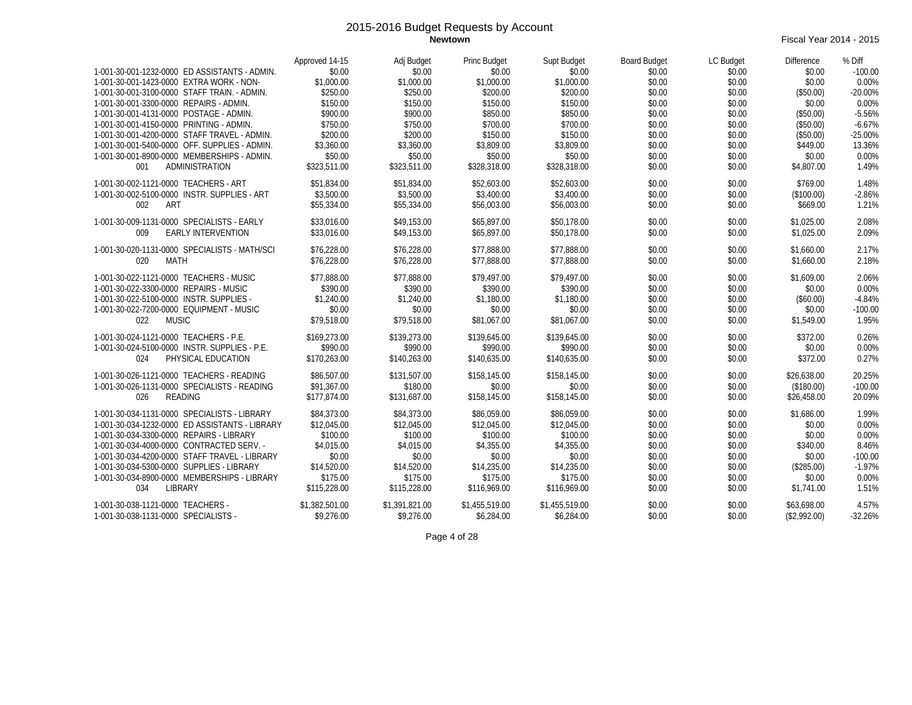**Newtown** Fiscal Year 2014 - 2015

|                                                                                    | Approved 14-15       | Adj Budget           | Princ Budget         | Supt Budget          | <b>Board Budget</b> | LC Budget        | <b>Difference</b>   | % Diff            |
|------------------------------------------------------------------------------------|----------------------|----------------------|----------------------|----------------------|---------------------|------------------|---------------------|-------------------|
| 1-001-30-001-1232-0000 ED ASSISTANTS - ADMIN.                                      | \$0.00               | \$0.00               | \$0.00               | \$0.00               | \$0.00              | \$0.00           | \$0.00              | $-100.00$         |
| 1-001-30-001-1423-0000 EXTRA WORK - NON-                                           | \$1,000.00           | \$1,000.00           | \$1,000.00           | \$1,000.00           | \$0.00              | \$0.00           | \$0.00              | 0.00%             |
| 1-001-30-001-3100-0000 STAFF TRAIN. - ADMIN.                                       | \$250.00             | \$250.00             | \$200.00             | \$200.00             | \$0.00              | \$0.00           | (\$50.00)           | $-20.00%$         |
| 1-001-30-001-3300-0000 REPAIRS - ADMIN.<br>1-001-30-001-4131-0000 POSTAGE - ADMIN. | \$150.00<br>\$900.00 | \$150.00<br>\$900.00 | \$150.00<br>\$850.00 | \$150.00<br>\$850.00 | \$0.00<br>\$0.00    | \$0.00<br>\$0.00 | \$0.00<br>(\$50.00) | 0.00%<br>$-5.56%$ |
| 1-001-30-001-4150-0000 PRINTING - ADMIN.                                           | \$750.00             | \$750.00             | \$700.00             | \$700.00             | \$0.00              | \$0.00           | (\$50.00)           | $-6.67%$          |
| 1-001-30-001-4200-0000 STAFF TRAVEL - ADMIN.                                       | \$200.00             | \$200.00             | \$150.00             | \$150.00             | \$0.00              | \$0.00           | (\$50.00)           | $-25.00%$         |
| 1-001-30-001-5400-0000 OFF, SUPPLIES - ADMIN.                                      | \$3,360.00           | \$3,360.00           | \$3,809.00           | \$3,809.00           | \$0.00              | \$0.00           | \$449.00            | 13.36%            |
| 1-001-30-001-8900-0000 MEMBERSHIPS - ADMIN.                                        | \$50.00              | \$50.00              | \$50.00              | \$50.00              | \$0.00              | \$0.00           | \$0.00              | 0.00%             |
| 001<br>ADMINISTRATION                                                              | \$323.511.00         | \$323,511.00         | \$328,318.00         | \$328,318.00         | \$0.00              | \$0.00           | \$4,807.00          | 1.49%             |
| 1-001-30-002-1121-0000 TEACHERS - ART                                              | \$51.834.00          | \$51.834.00          | \$52,603.00          | \$52,603.00          | \$0.00              | \$0.00           | \$769.00            | 1.48%             |
| 1-001-30-002-5100-0000 INSTR. SUPPLIES - ART                                       | \$3,500.00           | \$3,500.00           | \$3,400.00           | \$3,400.00           | \$0.00              | \$0.00           | (\$100.00)          | $-2.86%$          |
| 002<br>ART                                                                         | \$55,334.00          | \$55,334.00          | \$56,003.00          | \$56,003.00          | \$0.00              | \$0.00           | \$669.00            | 1.21%             |
| 1-001-30-009-1131-0000 SPECIALISTS - EARLY                                         | \$33,016.00          | \$49,153.00          | \$65,897.00          | \$50,178.00          | \$0.00              | \$0.00           | \$1,025.00          | 2.08%             |
| <b>EARLY INTERVENTION</b><br>009                                                   | \$33,016.00          | \$49,153.00          | \$65,897.00          | \$50,178.00          | \$0.00              | \$0.00           | \$1,025.00          | 2.09%             |
| 1-001-30-020-1131-0000 SPECIALISTS - MATH/SCI                                      | \$76,228.00          | \$76,228.00          | \$77.888.00          | \$77.888.00          | \$0.00              | \$0.00           | \$1,660.00          | 2.17%             |
| 020<br><b>MATH</b>                                                                 | \$76,228.00          | \$76,228.00          | \$77,888.00          | \$77,888.00          | \$0.00              | \$0.00           | \$1,660.00          | 2.18%             |
| 1-001-30-022-1121-0000 TEACHERS - MUSIC                                            | \$77,888.00          | \$77,888.00          | \$79,497.00          | \$79,497.00          | \$0.00              | \$0.00           | \$1,609.00          | 2.06%             |
| 1-001-30-022-3300-0000 REPAIRS - MUSIC                                             | \$390.00             | \$390.00             | \$390.00             | \$390.00             | \$0.00              | \$0.00           | \$0.00              | 0.00%             |
| 1-001-30-022-5100-0000 INSTR. SUPPLIES -                                           | \$1,240.00           | \$1,240.00           | \$1,180.00           | \$1,180.00           | \$0.00              | \$0.00           | (\$60.00)           | $-4.84%$          |
| 1-001-30-022-7200-0000 EQUIPMENT - MUSIC                                           | \$0.00               | \$0.00               | \$0.00               | \$0.00               | \$0.00              | \$0.00           | \$0.00              | $-100.00$         |
| 022<br><b>MUSIC</b>                                                                | \$79.518.00          | \$79.518.00          | \$81,067.00          | \$81.067.00          | \$0.00              | \$0.00           | \$1,549.00          | 1.95%             |
| 1-001-30-024-1121-0000 TEACHERS - P.E.                                             | \$169,273.00         | \$139,273.00         | \$139,645.00         | \$139,645.00         | \$0.00              | \$0.00           | \$372.00            | 0.26%             |
| 1-001-30-024-5100-0000 INSTR. SUPPLIES - P.E.                                      | \$990.00             | \$990.00             | \$990.00             | \$990.00             | \$0.00              | \$0.00           | \$0.00              | 0.00%             |
| 024<br>PHYSICAL EDUCATION                                                          | \$170,263.00         | \$140,263.00         | \$140,635.00         | \$140,635.00         | \$0.00              | \$0.00           | \$372.00            | 0.27%             |
| 1-001-30-026-1121-0000 TEACHERS - READING                                          | \$86.507.00          | \$131,507.00         | \$158,145.00         | \$158,145.00         | \$0.00              | \$0.00           | \$26,638.00         | 20.25%            |
| 1-001-30-026-1131-0000 SPECIALISTS - READING                                       | \$91.367.00          | \$180.00             | \$0.00               | \$0.00               | \$0.00              | \$0.00           | (\$180.00)          | $-100.00$         |
| 026<br><b>READING</b>                                                              | \$177.874.00         | \$131.687.00         | \$158,145.00         | \$158,145.00         | \$0.00              | \$0.00           | \$26,458.00         | 20.09%            |
| 1-001-30-034-1131-0000 SPECIALISTS - LIBRARY                                       | \$84,373.00          | \$84,373.00          | \$86.059.00          | \$86,059.00          | \$0.00              | \$0.00           | \$1,686.00          | 1.99%             |
| 1-001-30-034-1232-0000 ED ASSISTANTS - LIBRARY                                     | \$12,045.00          | \$12,045.00          | \$12,045.00          | \$12,045.00          | \$0.00              | \$0.00           | \$0.00              | 0.00%             |
| 1-001-30-034-3300-0000 REPAIRS - LIBRARY                                           | \$100.00             | \$100.00             | \$100.00             | \$100.00             | \$0.00              | \$0.00           | \$0.00              | 0.00%             |
| 1-001-30-034-4000-0000 CONTRACTED SERV. -                                          | \$4,015.00           | \$4,015.00           | \$4,355.00           | \$4,355.00           | \$0.00              | \$0.00           | \$340.00            | 8.46%             |
| 1-001-30-034-4200-0000 STAFF TRAVEL - LIBRARY                                      | \$0.00               | \$0.00               | \$0.00               | \$0.00               | \$0.00              | \$0.00           | \$0.00              | $-100.00$         |
| 1-001-30-034-5300-0000 SUPPLIES - LIBRARY                                          | \$14,520.00          | \$14,520.00          | \$14,235.00          | \$14,235.00          | \$0.00              | \$0.00           | (\$285.00)          | $-1.97%$          |
| 1-001-30-034-8900-0000 MEMBERSHIPS - LIBRARY                                       | \$175.00             | \$175.00             | \$175.00             | \$175.00             | \$0.00              | \$0.00           | \$0.00              | 0.00%             |
| 034<br><b>LIBRARY</b>                                                              | \$115,228.00         | \$115,228.00         | \$116,969.00         | \$116,969.00         | \$0.00              | \$0.00           | \$1,741.00          | 1.51%             |
| 1-001-30-038-1121-0000 TEACHERS -                                                  | \$1,382,501.00       | \$1,391,821.00       | \$1,455,519.00       | \$1,455,519.00       | \$0.00              | \$0.00           | \$63,698.00         | 4.57%             |
| 1-001-30-038-1131-0000 SPECIALISTS -                                               | \$9.276.00           | \$9,276.00           | \$6,284.00           | \$6,284.00           | \$0.00              | \$0.00           | (\$2,992.00)        | $-32.26%$         |

Page 4 of 28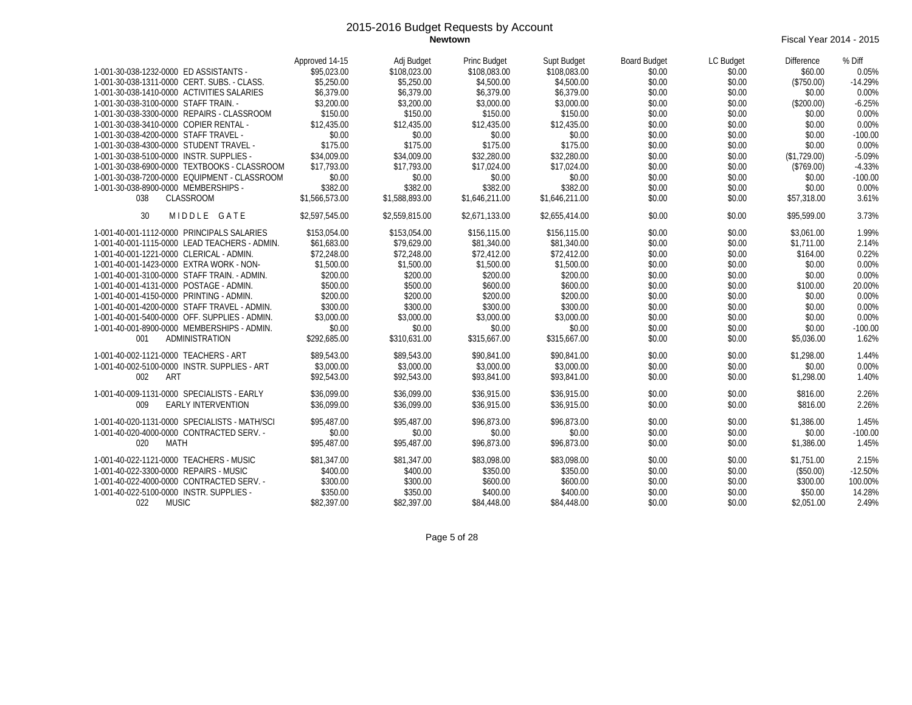**Newtown** Fiscal Year 2014 - 2015

|                                               | Approved 14-15 | Adj Budget     | Princ Budget   | Supt Budget    | <b>Board Budget</b> | LC Budget | <b>Difference</b> | % Diff    |
|-----------------------------------------------|----------------|----------------|----------------|----------------|---------------------|-----------|-------------------|-----------|
| 1-001-30-038-1232-0000 ED ASSISTANTS -        | \$95,023.00    | \$108.023.00   | \$108,083.00   | \$108.083.00   | \$0.00              | \$0.00    | \$60.00           | 0.05%     |
| 1-001-30-038-1311-0000 CERT. SUBS. - CLASS.   | \$5,250.00     | \$5,250.00     | \$4,500.00     | \$4,500.00     | \$0.00              | \$0.00    | (\$750.00)        | $-14.29%$ |
| 1-001-30-038-1410-0000 ACTIVITIES SALARIES    | \$6,379.00     | \$6,379.00     | \$6,379.00     | \$6,379.00     | \$0.00              | \$0.00    | \$0.00            | 0.00%     |
| 1-001-30-038-3100-0000 STAFF TRAIN. -         | \$3,200.00     | \$3,200.00     | \$3,000.00     | \$3,000.00     | \$0.00              | \$0.00    | (\$200.00)        | $-6.25%$  |
| 1-001-30-038-3300-0000 REPAIRS - CLASSROOM    | \$150.00       | \$150.00       | \$150.00       | \$150.00       | \$0.00              | \$0.00    | \$0.00            | 0.00%     |
| 1-001-30-038-3410-0000 COPIER RENTAL -        | \$12,435.00    | \$12,435.00    | \$12,435.00    | \$12,435.00    | \$0.00              | \$0.00    | \$0.00            | 0.00%     |
| 1-001-30-038-4200-0000 STAFF TRAVEL -         | \$0.00         | \$0.00         | \$0.00         | \$0.00         | \$0.00              | \$0.00    | \$0.00            | $-100.00$ |
| 1-001-30-038-4300-0000 STUDENT TRAVEL -       | \$175.00       | \$175.00       | \$175.00       | \$175.00       | \$0.00              | \$0.00    | \$0.00            | 0.00%     |
| 1-001-30-038-5100-0000 INSTR. SUPPLIES -      | \$34,009.00    | \$34,009.00    | \$32,280.00    | \$32,280.00    | \$0.00              | \$0.00    | (\$1,729.00)      | $-5.09%$  |
| 1-001-30-038-6900-0000 TEXTBOOKS - CLASSROOM  | \$17,793.00    | \$17,793.00    | \$17,024.00    | \$17,024.00    | \$0.00              | \$0.00    | (\$769.00)        | $-4.33%$  |
| 1-001-30-038-7200-0000 EQUIPMENT - CLASSROOM  | \$0.00         | \$0.00         | \$0.00         | \$0.00         | \$0.00              | \$0.00    | \$0.00            | $-100.00$ |
| 1-001-30-038-8900-0000 MEMBERSHIPS -          | \$382.00       | \$382.00       | \$382.00       | \$382.00       | \$0.00              | \$0.00    | \$0.00            | 0.00%     |
| <b>CLASSROOM</b><br>038                       | \$1,566,573.00 | \$1,588,893.00 | \$1,646,211.00 | \$1,646,211.00 | \$0.00              | \$0.00    | \$57,318.00       | 3.61%     |
|                                               |                |                |                |                |                     |           |                   |           |
| 30<br>MIDDLE GATE                             | \$2.597.545.00 | \$2,559,815.00 | \$2.671.133.00 | \$2,655,414.00 | \$0.00              | \$0.00    | \$95,599.00       | 3.73%     |
| 1-001-40-001-1112-0000 PRINCIPALS SALARIES    | \$153.054.00   | \$153,054.00   | \$156,115.00   | \$156,115.00   | \$0.00              | \$0.00    | \$3,061.00        | 1.99%     |
| 1-001-40-001-1115-0000 LEAD TEACHERS - ADMIN. | \$61,683.00    | \$79,629.00    | \$81,340.00    | \$81,340.00    | \$0.00              | \$0.00    | \$1,711.00        | 2.14%     |
| 1-001-40-001-1221-0000 CLERICAL - ADMIN.      | \$72,248.00    | \$72,248.00    | \$72,412.00    | \$72,412.00    | \$0.00              | \$0.00    | \$164.00          | 0.22%     |
| 1-001-40-001-1423-0000 EXTRA WORK - NON-      | \$1,500.00     | \$1,500.00     | \$1,500.00     | \$1,500.00     | \$0.00              | \$0.00    | \$0.00            | 0.00%     |
| 1-001-40-001-3100-0000 STAFF TRAIN. - ADMIN.  | \$200.00       | \$200.00       | \$200.00       | \$200.00       | \$0.00              | \$0.00    | \$0.00            | 0.00%     |
| 1-001-40-001-4131-0000 POSTAGE - ADMIN.       | \$500.00       | \$500.00       | \$600.00       | \$600.00       | \$0.00              | \$0.00    | \$100.00          | 20.00%    |
| 1-001-40-001-4150-0000 PRINTING - ADMIN.      | \$200.00       | \$200.00       | \$200.00       | \$200.00       | \$0.00              | \$0.00    | \$0.00            | 0.00%     |
| 1-001-40-001-4200-0000 STAFF TRAVEL - ADMIN.  | \$300.00       | \$300.00       | \$300.00       | \$300.00       | \$0.00              | \$0.00    | \$0.00            | 0.00%     |
| 1-001-40-001-5400-0000 OFF. SUPPLIES - ADMIN. | \$3,000.00     | \$3,000.00     | \$3,000.00     | \$3,000.00     | \$0.00              | \$0.00    | \$0.00            | 0.00%     |
| 1-001-40-001-8900-0000 MEMBERSHIPS - ADMIN.   | \$0.00         | \$0.00         | \$0.00         | \$0.00         | \$0.00              | \$0.00    | \$0.00            | $-100.00$ |
| ADMINISTRATION<br>001                         | \$292,685.00   | \$310,631.00   | \$315,667.00   | \$315,667.00   | \$0.00              | \$0.00    | \$5,036.00        | 1.62%     |
|                                               |                |                |                |                |                     |           |                   |           |
| 1-001-40-002-1121-0000 TEACHERS - ART         | \$89,543.00    | \$89.543.00    | \$90,841.00    | \$90,841.00    | \$0.00              | \$0.00    | \$1,298.00        | 1.44%     |
| 1-001-40-002-5100-0000 INSTR. SUPPLIES - ART  | \$3,000.00     | \$3,000.00     | \$3,000.00     | \$3,000.00     | \$0.00              | \$0.00    | \$0.00            | 0.00%     |
| ART<br>002                                    | \$92,543.00    | \$92.543.00    | \$93,841.00    | \$93.841.00    | \$0.00              | \$0.00    | \$1,298.00        | 1.40%     |
| 1-001-40-009-1131-0000 SPECIALISTS - EARLY    | \$36,099.00    | \$36.099.00    | \$36,915.00    | \$36,915.00    | \$0.00              | \$0.00    | \$816.00          | 2.26%     |
| <b>EARLY INTERVENTION</b><br>009              | \$36.099.00    | \$36.099.00    | \$36,915.00    | \$36,915.00    | \$0.00              | \$0.00    | \$816.00          | 2.26%     |
| 1-001-40-020-1131-0000 SPECIALISTS - MATH/SCI | \$95,487.00    | \$95,487.00    | \$96,873.00    | \$96,873.00    | \$0.00              | \$0.00    | \$1,386.00        | 1.45%     |
| 1-001-40-020-4000-0000 CONTRACTED SERV. -     | \$0.00         | \$0.00         | \$0.00         | \$0.00         | \$0.00              | \$0.00    | \$0.00            | $-100.00$ |
| 020<br>MATH                                   | \$95,487.00    | \$95,487.00    | \$96,873.00    | \$96.873.00    | \$0.00              | \$0.00    | \$1,386.00        | 1.45%     |
|                                               |                |                |                |                |                     |           |                   |           |
| 1-001-40-022-1121-0000 TEACHERS - MUSIC       | \$81,347.00    | \$81,347.00    | \$83,098.00    | \$83,098.00    | \$0.00              | \$0.00    | \$1,751.00        | 2.15%     |
| 1-001-40-022-3300-0000 REPAIRS - MUSIC        | \$400.00       | \$400.00       | \$350.00       | \$350.00       | \$0.00              | \$0.00    | (\$50.00)         | $-12.50%$ |
| 1-001-40-022-4000-0000 CONTRACTED SERV. -     | \$300.00       | \$300.00       | \$600.00       | \$600.00       | \$0.00              | \$0.00    | \$300.00          | 100.00%   |
| 1-001-40-022-5100-0000 INSTR. SUPPLIES -      | \$350.00       | \$350.00       | \$400.00       | \$400.00       | \$0.00              | \$0.00    | \$50.00           | 14.28%    |
| 022<br><b>MUSIC</b>                           | \$82,397.00    | \$82,397.00    | \$84,448.00    | \$84,448.00    | \$0.00              | \$0.00    | \$2.051.00        | 2.49%     |

Page 5 of 28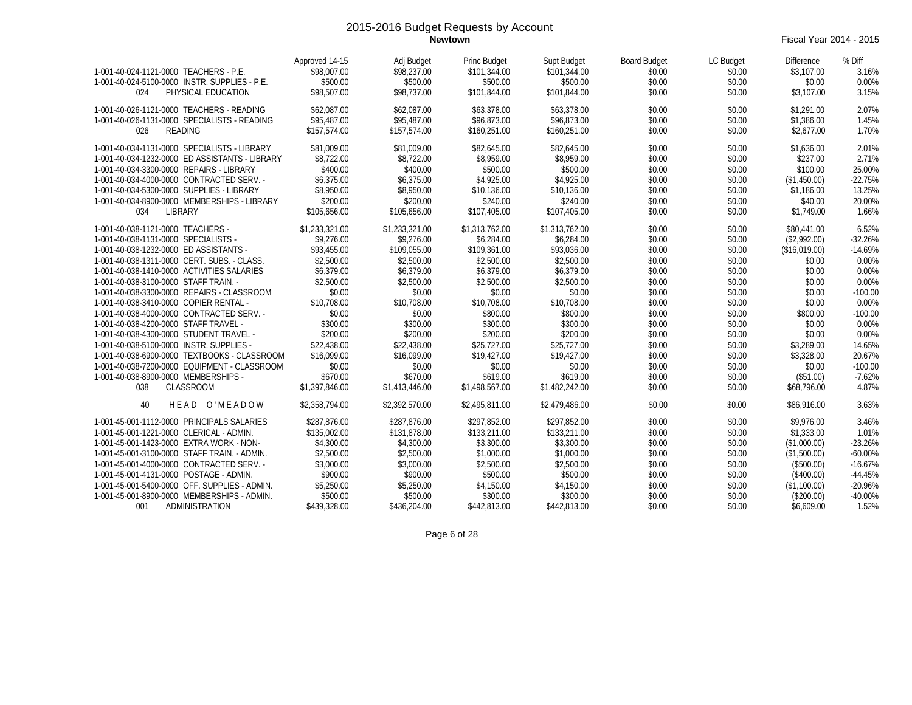**Newtown** Fiscal Year 2014 - 2015

| 1-001-40-024-1121-0000 TEACHERS - P.E.<br>1-001-40-024-5100-0000 INSTR. SUPPLIES - P.E.<br>PHYSICAL EDUCATION<br>024                                                                                                                                                                                                                                                                                                                                                                                                                                                                                                           | Approved 14-15<br>\$98,007.00<br>\$500.00<br>\$98,507.00                                                                                                                                 | Adj Budget<br>\$98,237.00<br>\$500.00<br>\$98,737.00                                                                                                                                      | Princ Budget<br>\$101,344.00<br>\$500.00<br>\$101,844.00                                                                                                                                    | Supt Budget<br>\$101.344.00<br>\$500.00<br>\$101,844.00                                                                                                                                    | <b>Board Budget</b><br>\$0.00<br>\$0.00<br>\$0.00                                                                                        | LC Budget<br>\$0.00<br>\$0.00<br>\$0.00                                                                                                  | <b>Difference</b><br>\$3,107.00<br>\$0.00<br>\$3,107.00                                                                                                              | % Diff<br>3.16%<br>0.00%<br>3.15%                                                                                                                |
|--------------------------------------------------------------------------------------------------------------------------------------------------------------------------------------------------------------------------------------------------------------------------------------------------------------------------------------------------------------------------------------------------------------------------------------------------------------------------------------------------------------------------------------------------------------------------------------------------------------------------------|------------------------------------------------------------------------------------------------------------------------------------------------------------------------------------------|-------------------------------------------------------------------------------------------------------------------------------------------------------------------------------------------|---------------------------------------------------------------------------------------------------------------------------------------------------------------------------------------------|--------------------------------------------------------------------------------------------------------------------------------------------------------------------------------------------|------------------------------------------------------------------------------------------------------------------------------------------|------------------------------------------------------------------------------------------------------------------------------------------|----------------------------------------------------------------------------------------------------------------------------------------------------------------------|--------------------------------------------------------------------------------------------------------------------------------------------------|
| 1-001-40-026-1121-0000 TEACHERS - READING<br>1-001-40-026-1131-0000 SPECIALISTS - READING<br><b>READING</b><br>026                                                                                                                                                                                                                                                                                                                                                                                                                                                                                                             | \$62,087.00<br>\$95,487.00<br>\$157.574.00                                                                                                                                               | \$62.087.00<br>\$95,487.00<br>\$157,574.00                                                                                                                                                | \$63,378.00<br>\$96.873.00<br>\$160,251.00                                                                                                                                                  | \$63,378.00<br>\$96.873.00<br>\$160,251.00                                                                                                                                                 | \$0.00<br>\$0.00<br>\$0.00                                                                                                               | \$0.00<br>\$0.00<br>\$0.00                                                                                                               | \$1,291.00<br>\$1,386.00<br>\$2,677.00                                                                                                                               | 2.07%<br>1.45%<br>1.70%                                                                                                                          |
| 1-001-40-034-1131-0000 SPECIALISTS - LIBRARY<br>1-001-40-034-1232-0000 ED ASSISTANTS - LIBRARY<br>1-001-40-034-3300-0000 REPAIRS - LIBRARY<br>1-001-40-034-4000-0000 CONTRACTED SERV. -<br>1-001-40-034-5300-0000 SUPPLIES - LIBRARY<br>1-001-40-034-8900-0000 MEMBERSHIPS - LIBRARY<br>LIBRARY<br>034                                                                                                                                                                                                                                                                                                                         | \$81,009.00<br>\$8,722.00<br>\$400.00<br>\$6,375.00<br>\$8,950.00<br>\$200.00<br>\$105.656.00                                                                                            | \$81,009.00<br>\$8,722.00<br>\$400.00<br>\$6,375.00<br>\$8,950.00<br>\$200.00<br>\$105.656.00                                                                                             | \$82,645.00<br>\$8,959.00<br>\$500.00<br>\$4,925.00<br>\$10,136.00<br>\$240.00<br>\$107,405.00                                                                                              | \$82,645.00<br>\$8,959.00<br>\$500.00<br>\$4,925.00<br>\$10,136.00<br>\$240.00<br>\$107,405.00                                                                                             | \$0.00<br>\$0.00<br>\$0.00<br>\$0.00<br>\$0.00<br>\$0.00<br>\$0.00                                                                       | \$0.00<br>\$0.00<br>\$0.00<br>\$0.00<br>\$0.00<br>\$0.00<br>\$0.00                                                                       | \$1,636.00<br>\$237.00<br>\$100.00<br>(\$1,450.00)<br>\$1,186.00<br>\$40.00<br>\$1,749.00                                                                            | 2.01%<br>2.71%<br>25.00%<br>$-22.75%$<br>13.25%<br>20.00%<br>1.66%                                                                               |
| 1-001-40-038-1121-0000 TEACHERS -<br>1-001-40-038-1131-0000 SPECIALISTS -<br>1-001-40-038-1232-0000 ED ASSISTANTS -<br>1-001-40-038-1311-0000 CERT. SUBS. - CLASS.<br>1-001-40-038-1410-0000 ACTIVITIES SALARIES<br>1-001-40-038-3100-0000 STAFF TRAIN. -<br>1-001-40-038-3300-0000 REPAIRS - CLASSROOM<br>1-001-40-038-3410-0000 COPIER RENTAL -<br>1-001-40-038-4000-0000 CONTRACTED SERV. -<br>1-001-40-038-4200-0000 STAFF TRAVEL -<br>1-001-40-038-4300-0000 STUDENT TRAVEL -<br>1-001-40-038-5100-0000 INSTR. SUPPLIES -<br>1-001-40-038-6900-0000 TEXTBOOKS - CLASSROOM<br>1-001-40-038-7200-0000 EQUIPMENT - CLASSROOM | \$1,233,321.00<br>\$9,276.00<br>\$93,455.00<br>\$2,500.00<br>\$6.379.00<br>\$2,500.00<br>\$0.00<br>\$10,708.00<br>\$0.00<br>\$300.00<br>\$200.00<br>\$22,438.00<br>\$16,099.00<br>\$0.00 | \$1,233,321.00<br>\$9,276.00<br>\$109.055.00<br>\$2,500.00<br>\$6,379.00<br>\$2,500.00<br>\$0.00<br>\$10,708.00<br>\$0.00<br>\$300.00<br>\$200.00<br>\$22,438.00<br>\$16.099.00<br>\$0.00 | \$1,313,762.00<br>\$6,284.00<br>\$109,361.00<br>\$2,500.00<br>\$6,379.00<br>\$2,500.00<br>\$0.00<br>\$10,708.00<br>\$800.00<br>\$300.00<br>\$200.00<br>\$25,727.00<br>\$19,427.00<br>\$0.00 | \$1,313,762.00<br>\$6,284.00<br>\$93.036.00<br>\$2,500.00<br>\$6,379.00<br>\$2,500.00<br>\$0.00<br>\$10,708.00<br>\$800.00<br>\$300.00<br>\$200.00<br>\$25,727.00<br>\$19,427.00<br>\$0.00 | \$0.00<br>\$0.00<br>\$0.00<br>\$0.00<br>\$0.00<br>\$0.00<br>\$0.00<br>\$0.00<br>\$0.00<br>\$0.00<br>\$0.00<br>\$0.00<br>\$0.00<br>\$0.00 | \$0.00<br>\$0.00<br>\$0.00<br>\$0.00<br>\$0.00<br>\$0.00<br>\$0.00<br>\$0.00<br>\$0.00<br>\$0.00<br>\$0.00<br>\$0.00<br>\$0.00<br>\$0.00 | \$80,441.00<br>(\$2,992.00)<br>(\$16,019.00)<br>\$0.00<br>\$0.00<br>\$0.00<br>\$0.00<br>\$0.00<br>\$800.00<br>\$0.00<br>\$0.00<br>\$3,289.00<br>\$3,328.00<br>\$0.00 | 6.52%<br>$-32.26%$<br>$-14.69%$<br>0.00%<br>0.00%<br>0.00%<br>$-100.00$<br>0.00%<br>$-100.00$<br>0.00%<br>0.00%<br>14.65%<br>20.67%<br>$-100.00$ |
| 1-001-40-038-8900-0000 MEMBERSHIPS -<br><b>CLASSROOM</b><br>038<br>HEAD O'MEADOW<br>40                                                                                                                                                                                                                                                                                                                                                                                                                                                                                                                                         | \$670.00<br>\$1,397,846.00<br>\$2,358,794.00                                                                                                                                             | \$670.00<br>\$1,413,446.00<br>\$2,392,570.00                                                                                                                                              | \$619.00<br>\$1,498,567.00<br>\$2,495,811.00                                                                                                                                                | \$619.00<br>\$1,482,242.00<br>\$2,479,486.00                                                                                                                                               | \$0.00<br>\$0.00<br>\$0.00                                                                                                               | \$0.00<br>\$0.00<br>\$0.00                                                                                                               | (\$51.00)<br>\$68,796.00<br>\$86,916.00                                                                                                                              | $-7.62%$<br>4.87%<br>3.63%                                                                                                                       |
| 1-001-45-001-1112-0000 PRINCIPALS SALARIES<br>1-001-45-001-1221-0000 CLERICAL - ADMIN.<br>1-001-45-001-1423-0000 EXTRA WORK - NON-<br>1-001-45-001-3100-0000 STAFF TRAIN. - ADMIN.<br>1-001-45-001-4000-0000 CONTRACTED SERV. -<br>1-001-45-001-4131-0000 POSTAGE - ADMIN<br>1-001-45-001-5400-0000 OFF. SUPPLIES - ADMIN.<br>1-001-45-001-8900-0000 MEMBERSHIPS - ADMIN.<br>001<br>ADMINISTRATION                                                                                                                                                                                                                             | \$287,876.00<br>\$135,002.00<br>\$4,300.00<br>\$2,500.00<br>\$3,000.00<br>\$900.00<br>\$5,250.00<br>\$500.00<br>\$439,328.00                                                             | \$287,876.00<br>\$131,878.00<br>\$4,300.00<br>\$2,500.00<br>\$3,000.00<br>\$900.00<br>\$5,250.00<br>\$500.00<br>\$436,204.00                                                              | \$297,852.00<br>\$133,211.00<br>\$3,300.00<br>\$1,000.00<br>\$2,500.00<br>\$500.00<br>\$4,150.00<br>\$300.00<br>\$442,813.00                                                                | \$297,852.00<br>\$133,211.00<br>\$3,300.00<br>\$1,000.00<br>\$2,500.00<br>\$500.00<br>\$4,150.00<br>\$300.00<br>\$442,813.00                                                               | \$0.00<br>\$0.00<br>\$0.00<br>\$0.00<br>\$0.00<br>\$0.00<br>\$0.00<br>\$0.00<br>\$0.00                                                   | \$0.00<br>\$0.00<br>\$0.00<br>\$0.00<br>\$0.00<br>\$0.00<br>\$0.00<br>\$0.00<br>\$0.00                                                   | \$9,976.00<br>\$1,333.00<br>(\$1,000.00)<br>(\$1,500.00)<br>(\$500.00)<br>(\$400.00)<br>(\$1,100.00)<br>(\$200.00)<br>\$6,609.00                                     | 3.46%<br>1.01%<br>$-23.26%$<br>$-60.00%$<br>$-16.67%$<br>$-44.45%$<br>$-20.96%$<br>$-40.00%$<br>1.52%                                            |

Page 6 of 28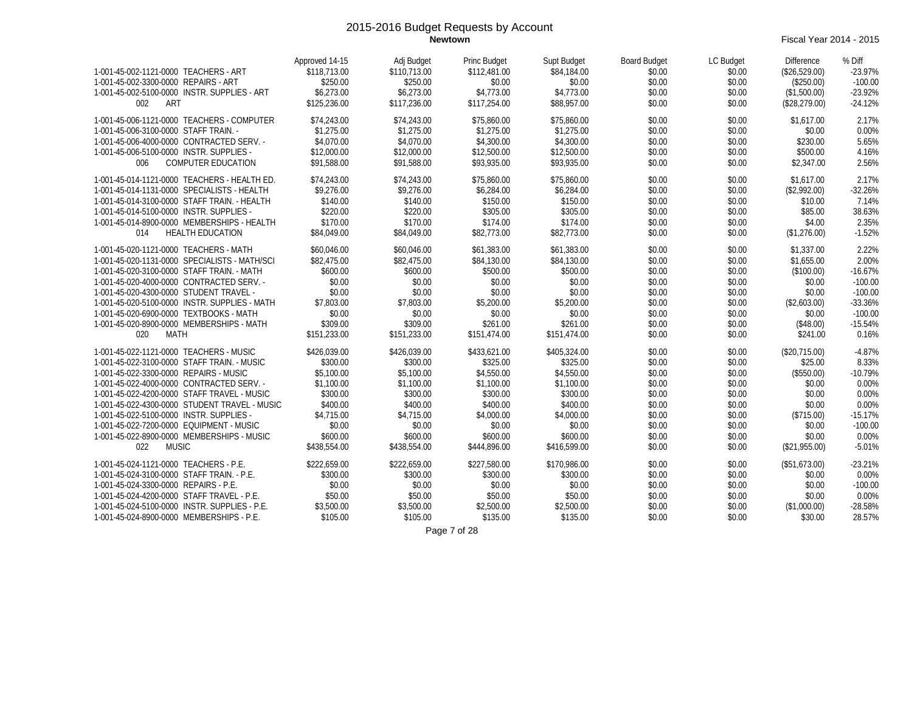**Newtown** Fiscal Year 2014 - 2015

| 1-001-45-002-1121-0000 TEACHERS - ART<br>1-001-45-002-3300-0000 REPAIRS - ART<br>1-001-45-002-5100-0000 INSTR. SUPPLIES - ART<br>002<br>ART                                                                                                                                                                                                                                                                                                | Approved 14-15<br>\$118,713.00<br>\$250.00<br>\$6,273.00<br>\$125,236.00                                                         | Adj Budget<br>\$110,713.00<br>\$250.00<br>\$6,273.00<br>\$117,236.00                                                             | <b>Princ Budget</b><br>\$112,481.00<br>\$0.00<br>\$4,773.00<br>\$117,254.00                                                      | Supt Budget<br>\$84,184.00<br>\$0.00<br>\$4,773.00<br>\$88,957.00                                                                | <b>Board Budget</b><br>\$0.00<br>\$0.00<br>\$0.00<br>\$0.00                                      | LC Budget<br>\$0.00<br>\$0.00<br>\$0.00<br>\$0.00                                                | <b>Difference</b><br>(\$26,529.00)<br>(\$250.00)<br>(\$1,500.00)<br>(\$28,279.00)                                       | % Diff<br>$-23.97%$<br>$-100.00$<br>$-23.92%$<br>$-24.12%$                                               |
|--------------------------------------------------------------------------------------------------------------------------------------------------------------------------------------------------------------------------------------------------------------------------------------------------------------------------------------------------------------------------------------------------------------------------------------------|----------------------------------------------------------------------------------------------------------------------------------|----------------------------------------------------------------------------------------------------------------------------------|----------------------------------------------------------------------------------------------------------------------------------|----------------------------------------------------------------------------------------------------------------------------------|--------------------------------------------------------------------------------------------------|--------------------------------------------------------------------------------------------------|-------------------------------------------------------------------------------------------------------------------------|----------------------------------------------------------------------------------------------------------|
| 1-001-45-006-1121-0000 TEACHERS - COMPUTER<br>1-001-45-006-3100-0000 STAFF TRAIN. -<br>1-001-45-006-4000-0000 CONTRACTED SERV. -<br>1-001-45-006-5100-0000 INSTR. SUPPLIES -<br>006<br><b>COMPUTER EDUCATION</b>                                                                                                                                                                                                                           | \$74,243.00<br>\$1,275.00<br>\$4,070.00<br>\$12,000.00<br>\$91,588.00                                                            | \$74,243.00<br>\$1,275.00<br>\$4,070.00<br>\$12,000.00<br>\$91,588.00                                                            | \$75,860.00<br>\$1,275.00<br>\$4,300.00<br>\$12,500.00<br>\$93,935.00                                                            | \$75,860.00<br>\$1,275.00<br>\$4,300.00<br>\$12,500.00<br>\$93,935.00                                                            | \$0.00<br>\$0.00<br>\$0.00<br>\$0.00<br>\$0.00                                                   | \$0.00<br>\$0.00<br>\$0.00<br>\$0.00<br>\$0.00                                                   | \$1,617.00<br>\$0.00<br>\$230.00<br>\$500.00<br>\$2,347.00                                                              | 2.17%<br>0.00%<br>5.65%<br>4.16%<br>2.56%                                                                |
| 1-001-45-014-1121-0000 TEACHERS - HEALTH ED.<br>1-001-45-014-1131-0000 SPECIALISTS - HEALTH<br>1-001-45-014-3100-0000 STAFF TRAIN. - HEALTH<br>1-001-45-014-5100-0000 INSTR. SUPPLIES -<br>1-001-45-014-8900-0000 MEMBERSHIPS - HEALTH<br><b>HEALTH EDUCATION</b><br>014                                                                                                                                                                   | \$74,243.00<br>\$9,276.00<br>\$140.00<br>\$220.00<br>\$170.00<br>\$84,049.00                                                     | \$74,243.00<br>\$9,276.00<br>\$140.00<br>\$220.00<br>\$170.00<br>\$84,049.00                                                     | \$75,860.00<br>\$6,284.00<br>\$150.00<br>\$305.00<br>\$174.00<br>\$82,773.00                                                     | \$75,860.00<br>\$6,284.00<br>\$150.00<br>\$305.00<br>\$174.00<br>\$82,773.00                                                     | \$0.00<br>\$0.00<br>\$0.00<br>\$0.00<br>\$0.00<br>\$0.00                                         | \$0.00<br>\$0.00<br>\$0.00<br>\$0.00<br>\$0.00<br>\$0.00                                         | \$1,617.00<br>(\$2,992.00)<br>\$10.00<br>\$85.00<br>\$4.00<br>(\$1,276.00)                                              | 2.17%<br>$-32.26%$<br>7.14%<br>38.63%<br>2.35%<br>$-1.52%$                                               |
| 1-001-45-020-1121-0000 TEACHERS - MATH<br>1-001-45-020-1131-0000 SPECIALISTS - MATH/SCI<br>1-001-45-020-3100-0000 STAFF TRAIN. - MATH<br>1-001-45-020-4000-0000 CONTRACTED SERV. -<br>1-001-45-020-4300-0000 STUDENT TRAVEL -<br>1-001-45-020-5100-0000 INSTR. SUPPLIES - MATH<br>1-001-45-020-6900-0000 TEXTBOOKS - MATH<br>1-001-45-020-8900-0000 MEMBERSHIPS - MATH<br>020<br>MATH                                                      | \$60.046.00<br>\$82,475.00<br>\$600.00<br>\$0.00<br>\$0.00<br>\$7,803.00<br>\$0.00<br>\$309.00<br>\$151,233.00                   | \$60.046.00<br>\$82,475.00<br>\$600.00<br>\$0.00<br>\$0.00<br>\$7,803.00<br>\$0.00<br>\$309.00<br>\$151,233.00                   | \$61,383.00<br>\$84,130.00<br>\$500.00<br>\$0.00<br>\$0.00<br>\$5,200.00<br>\$0.00<br>\$261.00<br>\$151,474.00                   | \$61,383.00<br>\$84,130.00<br>\$500.00<br>\$0.00<br>\$0.00<br>\$5,200.00<br>\$0.00<br>\$261.00<br>\$151,474.00                   | \$0.00<br>\$0.00<br>\$0.00<br>\$0.00<br>\$0.00<br>\$0.00<br>\$0.00<br>\$0.00<br>\$0.00           | \$0.00<br>\$0.00<br>\$0.00<br>\$0.00<br>\$0.00<br>\$0.00<br>\$0.00<br>\$0.00<br>\$0.00           | \$1,337.00<br>\$1,655.00<br>(\$100.00)<br>\$0.00<br>\$0.00<br>(\$2,603.00)<br>\$0.00<br>(\$48.00)<br>\$241.00           | 2.22%<br>2.00%<br>$-16.67%$<br>$-100.00$<br>$-100.00$<br>$-33.36%$<br>$-100.00$<br>$-15.54%$<br>0.16%    |
| 1-001-45-022-1121-0000 TEACHERS - MUSIC<br>1-001-45-022-3100-0000 STAFF TRAIN. - MUSIC<br>1-001-45-022-3300-0000 REPAIRS - MUSIC<br>1-001-45-022-4000-0000 CONTRACTED SERV. -<br>1-001-45-022-4200-0000 STAFF TRAVEL - MUSIC<br>1-001-45-022-4300-0000 STUDENT TRAVEL - MUSIC<br>1-001-45-022-5100-0000 INSTR. SUPPLIES -<br>1-001-45-022-7200-0000 EQUIPMENT - MUSIC<br>1-001-45-022-8900-0000 MEMBERSHIPS - MUSIC<br>022<br><b>MUSIC</b> | \$426.039.00<br>\$300.00<br>\$5,100.00<br>\$1,100.00<br>\$300.00<br>\$400.00<br>\$4,715.00<br>\$0.00<br>\$600.00<br>\$438,554.00 | \$426.039.00<br>\$300.00<br>\$5,100.00<br>\$1,100.00<br>\$300.00<br>\$400.00<br>\$4,715.00<br>\$0.00<br>\$600.00<br>\$438,554.00 | \$433,621,00<br>\$325.00<br>\$4,550.00<br>\$1,100.00<br>\$300.00<br>\$400.00<br>\$4,000.00<br>\$0.00<br>\$600.00<br>\$444,896.00 | \$405,324,00<br>\$325.00<br>\$4,550.00<br>\$1,100.00<br>\$300.00<br>\$400.00<br>\$4,000.00<br>\$0.00<br>\$600.00<br>\$416,599.00 | \$0.00<br>\$0.00<br>\$0.00<br>\$0.00<br>\$0.00<br>\$0.00<br>\$0.00<br>\$0.00<br>\$0.00<br>\$0.00 | \$0.00<br>\$0.00<br>\$0.00<br>\$0.00<br>\$0.00<br>\$0.00<br>\$0.00<br>\$0.00<br>\$0.00<br>\$0.00 | (\$20.715.00)<br>\$25.00<br>(\$550.00)<br>\$0.00<br>\$0.00<br>\$0.00<br>(\$715.00)<br>\$0.00<br>\$0.00<br>(\$21,955.00) | $-4.87%$<br>8.33%<br>$-10.79%$<br>0.00%<br>0.00%<br>0.00%<br>$-15.17%$<br>$-100.00$<br>0.00%<br>$-5.01%$ |
| 1-001-45-024-1121-0000 TEACHERS - P.E.<br>1-001-45-024-3100-0000 STAFF TRAIN. - P.E.<br>1-001-45-024-3300-0000 REPAIRS - P.E.<br>1-001-45-024-4200-0000 STAFF TRAVEL - P.E.<br>1-001-45-024-5100-0000 INSTR. SUPPLIES - P.E.<br>1-001-45-024-8900-0000 MEMBERSHIPS - P.E.                                                                                                                                                                  | \$222,659.00<br>\$300.00<br>\$0.00<br>\$50.00<br>\$3,500.00<br>\$105.00                                                          | \$222,659.00<br>\$300.00<br>\$0.00<br>\$50.00<br>\$3,500.00<br>\$105.00                                                          | \$227,580.00<br>\$300.00<br>\$0.00<br>\$50.00<br>\$2,500.00<br>\$135.00<br>$D - 227 - 100$                                       | \$170,986.00<br>\$300.00<br>\$0.00<br>\$50.00<br>\$2,500.00<br>\$135.00                                                          | \$0.00<br>\$0.00<br>\$0.00<br>\$0.00<br>\$0.00<br>\$0.00                                         | \$0.00<br>\$0.00<br>\$0.00<br>\$0.00<br>\$0.00<br>\$0.00                                         | (\$51,673.00)<br>\$0.00<br>\$0.00<br>\$0.00<br>(\$1,000.00)<br>\$30.00                                                  | $-23.21%$<br>0.00%<br>$-100.00$<br>0.00%<br>$-28.58%$<br>28.57%                                          |

Page 7 of 28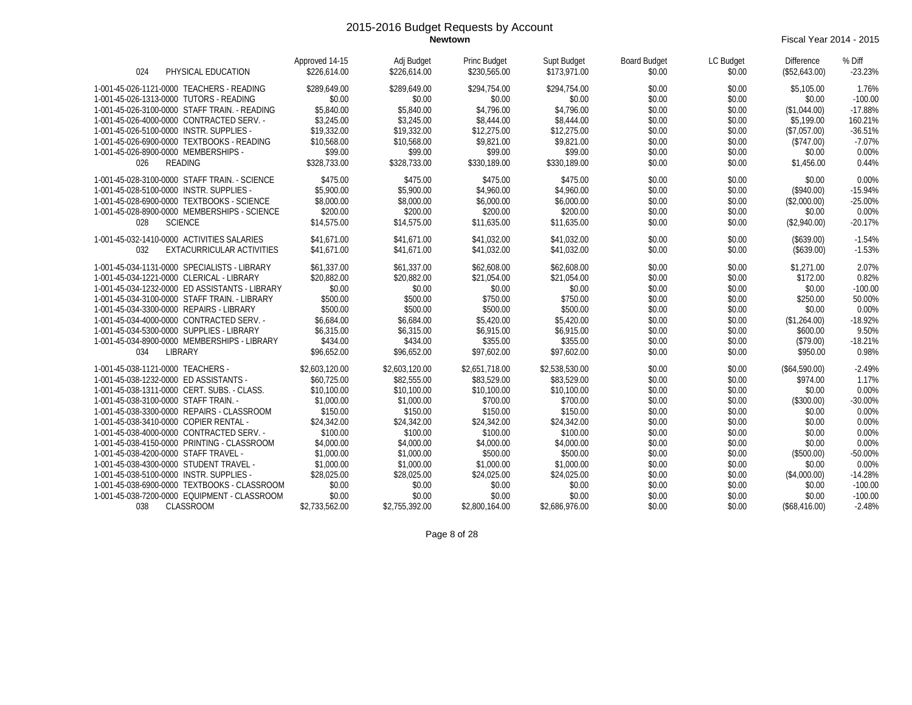**Newtown** Fiscal Year 2014 - 2015

| PHYSICAL EDUCATION<br>024                                                            | Approved 14-15<br>\$226,614.00 | Adj Budget<br>\$226,614.00 | Princ Budget<br>\$230,565.00 | Supt Budget<br>\$173,971.00 | <b>Board Budget</b><br>\$0.00 | LC Budget<br>\$0.00 | <b>Difference</b><br>(\$52,643.00) | % Diff<br>$-23.23%$ |
|--------------------------------------------------------------------------------------|--------------------------------|----------------------------|------------------------------|-----------------------------|-------------------------------|---------------------|------------------------------------|---------------------|
| 1-001-45-026-1121-0000 TEACHERS - READING<br>1-001-45-026-1313-0000 TUTORS - READING | \$289,649.00<br>\$0.00         | \$289,649.00<br>\$0.00     | \$294,754.00<br>\$0.00       | \$294,754.00<br>\$0.00      | \$0.00<br>\$0.00              | \$0.00<br>\$0.00    | \$5,105.00<br>\$0.00               | 1.76%<br>$-100.00$  |
| 1-001-45-026-3100-0000 STAFF TRAIN. - READING                                        | \$5,840.00                     | \$5,840.00                 | \$4,796.00                   | \$4,796.00                  | \$0.00                        | \$0.00              | (\$1,044.00)                       | $-17.88%$           |
| 1-001-45-026-4000-0000 CONTRACTED SERV. -                                            | \$3,245.00                     | \$3,245.00                 | \$8,444.00                   | \$8,444.00                  | \$0.00                        | \$0.00              | \$5.199.00                         | 160.21%             |
| 1-001-45-026-5100-0000 INSTR. SUPPLIES -                                             | \$19,332.00                    | \$19,332.00                | \$12,275.00                  | \$12,275.00                 | \$0.00                        | \$0.00              | (\$7,057.00)                       | $-36.51%$           |
| 1-001-45-026-6900-0000 TEXTBOOKS - READING                                           | \$10,568.00                    | \$10,568.00                | \$9.821.00                   | \$9,821.00                  | \$0.00                        | \$0.00              | (\$747.00)                         | $-7.07%$            |
| 1-001-45-026-8900-0000 MEMBERSHIPS -                                                 | \$99.00                        | \$99.00                    | \$99.00                      | \$99.00                     | \$0.00                        | \$0.00              | \$0.00                             | 0.00%               |
| <b>READING</b><br>026                                                                | \$328,733.00                   | \$328,733.00               | \$330,189.00                 | \$330,189.00                | \$0.00                        | \$0.00              | \$1,456.00                         | 0.44%               |
| 1-001-45-028-3100-0000 STAFF TRAIN. - SCIENCE                                        | \$475.00                       | \$475.00                   | \$475.00                     | \$475.00                    | \$0.00                        | \$0.00              | \$0.00                             | 0.00%               |
| 1-001-45-028-5100-0000 INSTR. SUPPLIES -                                             | \$5,900.00                     | \$5,900.00                 | \$4,960.00                   | \$4,960.00                  | \$0.00                        | \$0.00              | (\$940.00)                         | $-15.94%$           |
| 1-001-45-028-6900-0000 TEXTBOOKS - SCIENCE                                           | \$8,000.00                     | \$8,000.00                 | \$6,000.00                   | \$6,000.00                  | \$0.00                        | \$0.00              | (\$2,000.00)                       | $-25.00%$           |
| 1-001-45-028-8900-0000 MEMBERSHIPS - SCIENCE                                         | \$200.00                       | \$200.00                   | \$200.00                     | \$200.00                    | \$0.00                        | \$0.00              | \$0.00                             | 0.00%               |
| <b>SCIENCE</b><br>028                                                                | \$14,575.00                    | \$14,575.00                | \$11,635.00                  | \$11,635.00                 | \$0.00                        | \$0.00              | (\$2,940.00)                       | $-20.17%$           |
| 1-001-45-032-1410-0000 ACTIVITIES SALARIES                                           | \$41.671.00                    | \$41.671.00                | \$41,032.00                  | \$41.032.00                 | \$0.00                        | \$0.00              | (\$639.00)                         | $-1.54%$            |
| EXTACURRICULAR ACTIVITIES<br>032                                                     | \$41.671.00                    | \$41,671.00                | \$41,032.00                  | \$41,032.00                 | \$0.00                        | \$0.00              | (\$639.00)                         | $-1.53%$            |
| 1-001-45-034-1131-0000 SPECIALISTS - LIBRARY                                         | \$61,337.00                    | \$61,337.00                | \$62,608.00                  | \$62,608.00                 | \$0.00                        | \$0.00              | \$1,271.00                         | 2.07%               |
| 1-001-45-034-1221-0000 CLERICAL - LIBRARY                                            | \$20,882.00                    | \$20,882.00                | \$21,054.00                  | \$21,054.00                 | \$0.00                        | \$0.00              | \$172.00                           | 0.82%               |
| 1-001-45-034-1232-0000 ED ASSISTANTS - LIBRARY                                       | \$0.00                         | \$0.00                     | \$0.00                       | \$0.00                      | \$0.00                        | \$0.00              | \$0.00                             | $-100.00$           |
| 1-001-45-034-3100-0000 STAFF TRAIN. - LIBRARY                                        | \$500.00                       | \$500.00                   | \$750.00                     | \$750.00                    | \$0.00                        | \$0.00              | \$250.00                           | 50.00%              |
| 1-001-45-034-3300-0000 REPAIRS - LIBRARY                                             | \$500.00                       | \$500.00                   | \$500.00                     | \$500.00                    | \$0.00                        | \$0.00              | \$0.00                             | 0.00%               |
| 1-001-45-034-4000-0000 CONTRACTED SERV. -                                            | \$6,684.00                     | \$6,684.00                 | \$5,420.00                   | \$5,420.00                  | \$0.00                        | \$0.00              | (\$1,264.00)                       | $-18.92%$           |
| 1-001-45-034-5300-0000 SUPPLIES - LIBRARY                                            | \$6,315.00                     | \$6,315.00                 | \$6,915.00                   | \$6.915.00                  | \$0.00                        | \$0.00              | \$600.00                           | 9.50%               |
| 1-001-45-034-8900-0000 MEMBERSHIPS - LIBRARY                                         | \$434.00                       | \$434.00                   | \$355.00                     | \$355.00                    | \$0.00                        | \$0.00              | (\$79.00)                          | $-18.21%$           |
| LIBRARY<br>034                                                                       | \$96,652.00                    | \$96,652.00                | \$97.602.00                  | \$97.602.00                 | \$0.00                        | \$0.00              | \$950.00                           | 0.98%               |
| 1-001-45-038-1121-0000 TEACHERS -                                                    | \$2,603,120.00                 | \$2,603,120.00             | \$2,651,718.00               | \$2,538,530.00              | \$0.00                        | \$0.00              | (\$64,590.00)                      | $-2.49%$            |
| 1-001-45-038-1232-0000 ED ASSISTANTS -                                               | \$60,725.00                    | \$82,555.00                | \$83,529.00                  | \$83,529.00                 | \$0.00                        | \$0.00              | \$974.00                           | 1.17%               |
| 1-001-45-038-1311-0000 CERT. SUBS. - CLASS.                                          | \$10,100.00                    | \$10,100.00                | \$10,100.00                  | \$10,100.00                 | \$0.00                        | \$0.00              | \$0.00                             | 0.00%               |
| 1-001-45-038-3100-0000 STAFF TRAIN. -                                                | \$1,000.00                     | \$1,000.00                 | \$700.00                     | \$700.00                    | \$0.00                        | \$0.00              | (\$300.00)                         | $-30.00%$           |
| 1-001-45-038-3300-0000 REPAIRS - CLASSROOM                                           | \$150.00                       | \$150.00                   | \$150.00                     | \$150.00                    | \$0.00                        | \$0.00              | \$0.00                             | 0.00%               |
| 1-001-45-038-3410-0000 COPIER RENTAL -                                               | \$24,342.00                    | \$24,342.00                | \$24,342.00                  | \$24,342.00                 | \$0.00                        | \$0.00              | \$0.00                             | 0.00%               |
| 1-001-45-038-4000-0000 CONTRACTED SERV. -                                            | \$100.00                       | \$100.00                   | \$100.00                     | \$100.00                    | \$0.00                        | \$0.00              | \$0.00                             | 0.00%               |
| 1-001-45-038-4150-0000 PRINTING - CLASSROOM                                          | \$4,000.00                     | \$4,000.00                 | \$4,000.00                   | \$4,000.00                  | \$0.00                        | \$0.00              | \$0.00                             | 0.00%               |
| 1-001-45-038-4200-0000 STAFF TRAVEL -                                                | \$1,000.00                     | \$1,000.00                 | \$500.00                     | \$500.00                    | \$0.00                        | \$0.00              | (\$500.00)                         | $-50.00%$           |
| 1-001-45-038-4300-0000 STUDENT TRAVEL -                                              | \$1,000.00                     | \$1,000.00                 | \$1,000.00                   | \$1,000.00                  | \$0.00                        | \$0.00              | \$0.00                             | 0.00%               |
| 1-001-45-038-5100-0000 INSTR. SUPPLIES -                                             | \$28,025.00                    | \$28,025.00                | \$24,025.00                  | \$24,025.00                 | \$0.00                        | \$0.00              | (\$4,000.00)                       | $-14.28%$           |
| 1-001-45-038-6900-0000 TEXTBOOKS - CLASSROOM                                         | \$0.00                         | \$0.00                     | \$0.00                       | \$0.00                      | \$0.00                        | \$0.00              | \$0.00                             | $-100.00$           |
| 1-001-45-038-7200-0000 EQUIPMENT - CLASSROOM                                         | \$0.00                         | \$0.00                     | \$0.00                       | \$0.00                      | \$0.00                        | \$0.00              | \$0.00                             | $-100.00$           |
| <b>CLASSROOM</b><br>038                                                              | \$2,733,562.00                 | \$2,755,392.00             | \$2,800.164.00               | \$2,686,976.00              | \$0.00                        | \$0.00              | (\$68.416.00)                      | $-2.48%$            |

Page 8 of 28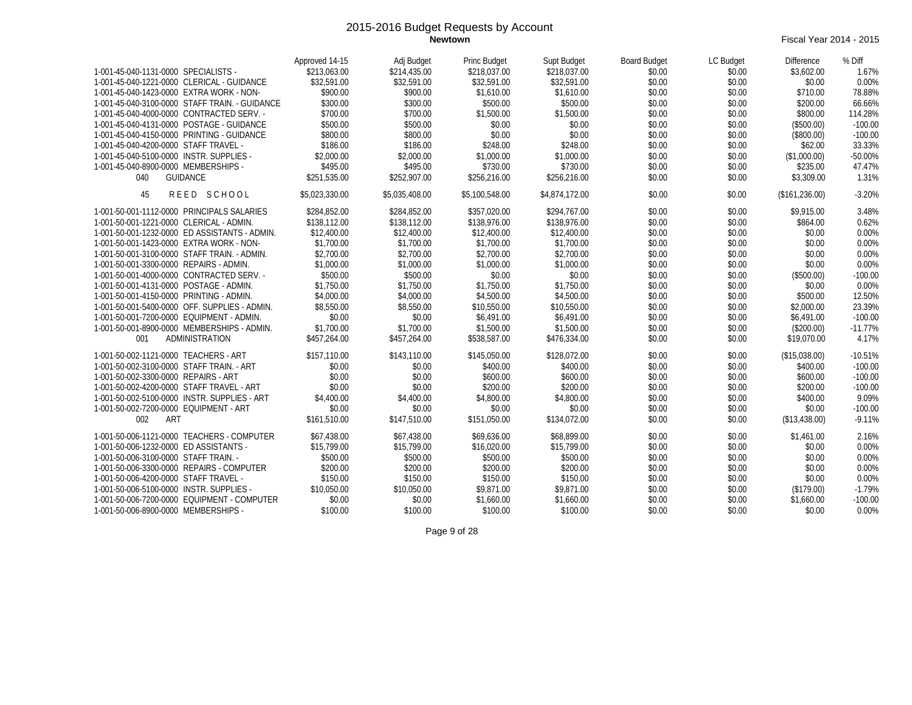**Newtown** Fiscal Year 2014 - 2015

| 1-001-45-040-1131-0000 SPECIALISTS -<br>1-001-45-040-1221-0000 CLERICAL - GUIDANCE<br>1-001-45-040-1423-0000 EXTRA WORK - NON-<br>1-001-45-040-3100-0000 STAFF TRAIN. - GUIDANCE<br>1-001-45-040-4000-0000 CONTRACTED SERV. -<br>1-001-45-040-4131-0000 POSTAGE - GUIDANCE<br>1-001-45-040-4150-0000 PRINTING - GUIDANCE<br>1-001-45-040-4200-0000 STAFF TRAVEL -<br>1-001-45-040-5100-0000 INSTR. SUPPLIES -<br>1-001-45-040-8900-0000 MEMBERSHIPS -<br>040<br><b>GUIDANCE</b>                                                                                                                 | Approved 14-15<br>\$213,063.00<br>\$32,591.00<br>\$900.00<br>\$300.00<br>\$700.00<br>\$500.00<br>\$800.00<br>\$186.00<br>\$2,000.00<br>\$495.00<br>\$251,535.00                     | Adj Budget<br>\$214,435.00<br>\$32.591.00<br>\$900.00<br>\$300.00<br>\$700.00<br>\$500.00<br>\$800.00<br>\$186.00<br>\$2,000.00<br>\$495.00<br>\$252,907.00                         | <b>Princ Budget</b><br>\$218,037.00<br>\$32,591.00<br>\$1,610.00<br>\$500.00<br>\$1,500.00<br>\$0.00<br>\$0.00<br>\$248.00<br>\$1,000.00<br>\$730.00<br>\$256,216.00                   | Supt Budget<br>\$218,037.00<br>\$32.591.00<br>\$1,610.00<br>\$500.00<br>\$1,500.00<br>\$0.00<br>\$0.00<br>\$248.00<br>\$1,000.00<br>\$730.00<br>\$256,216.00                           | <b>Board Budget</b><br>\$0.00<br>\$0.00<br>\$0.00<br>\$0.00<br>\$0.00<br>\$0.00<br>\$0.00<br>\$0.00<br>\$0.00<br>\$0.00<br>\$0.00 | LC Budget<br>\$0.00<br>\$0.00<br>\$0.00<br>\$0.00<br>\$0.00<br>\$0.00<br>\$0.00<br>\$0.00<br>\$0.00<br>\$0.00<br>\$0.00        | <b>Difference</b><br>\$3,602.00<br>\$0.00<br>\$710.00<br>\$200.00<br>\$800.00<br>(\$500.00)<br>(\$800.00)<br>\$62.00<br>(\$1,000.00)<br>\$235.00<br>\$3,309.00 | % Diff<br>1.67%<br>0.00%<br>78.88%<br>66.66%<br>114.28%<br>$-100.00$<br>$-100.00$<br>33.33%<br>$-50.00%$<br>47.47%<br>1.31%     |
|-------------------------------------------------------------------------------------------------------------------------------------------------------------------------------------------------------------------------------------------------------------------------------------------------------------------------------------------------------------------------------------------------------------------------------------------------------------------------------------------------------------------------------------------------------------------------------------------------|-------------------------------------------------------------------------------------------------------------------------------------------------------------------------------------|-------------------------------------------------------------------------------------------------------------------------------------------------------------------------------------|----------------------------------------------------------------------------------------------------------------------------------------------------------------------------------------|----------------------------------------------------------------------------------------------------------------------------------------------------------------------------------------|-----------------------------------------------------------------------------------------------------------------------------------|--------------------------------------------------------------------------------------------------------------------------------|----------------------------------------------------------------------------------------------------------------------------------------------------------------|---------------------------------------------------------------------------------------------------------------------------------|
| REED SCHOOL<br>45                                                                                                                                                                                                                                                                                                                                                                                                                                                                                                                                                                               | \$5,023,330.00                                                                                                                                                                      | \$5,035,408.00                                                                                                                                                                      | \$5,100,548.00                                                                                                                                                                         | \$4,874,172.00                                                                                                                                                                         | \$0.00                                                                                                                            | \$0.00                                                                                                                         | (\$161,236.00)                                                                                                                                                 | $-3.20%$                                                                                                                        |
| 1-001-50-001-1112-0000 PRINCIPALS SALARIES<br>1-001-50-001-1221-0000 CLERICAL - ADMIN.<br>1-001-50-001-1232-0000 ED ASSISTANTS - ADMIN.<br>1-001-50-001-1423-0000 EXTRA WORK - NON-<br>1-001-50-001-3100-0000 STAFF TRAIN. - ADMIN.<br>1-001-50-001-3300-0000 REPAIRS - ADMIN.<br>1-001-50-001-4000-0000 CONTRACTED SERV. -<br>1-001-50-001-4131-0000 POSTAGE - ADMIN.<br>1-001-50-001-4150-0000 PRINTING - ADMIN.<br>1-001-50-001-5400-0000 OFF. SUPPLIES - ADMIN.<br>1-001-50-001-7200-0000 EQUIPMENT - ADMIN.<br>1-001-50-001-8900-0000 MEMBERSHIPS - ADMIN.<br><b>ADMINISTRATION</b><br>001 | \$284.852.00<br>\$138,112.00<br>\$12,400.00<br>\$1,700.00<br>\$2,700.00<br>\$1,000.00<br>\$500.00<br>\$1,750.00<br>\$4,000.00<br>\$8,550.00<br>\$0.00<br>\$1,700.00<br>\$457.264.00 | \$284.852.00<br>\$138,112.00<br>\$12,400.00<br>\$1,700.00<br>\$2,700.00<br>\$1,000.00<br>\$500.00<br>\$1,750.00<br>\$4,000.00<br>\$8,550.00<br>\$0.00<br>\$1,700.00<br>\$457.264.00 | \$357,020.00<br>\$138,976.00<br>\$12,400.00<br>\$1,700.00<br>\$2,700.00<br>\$1,000.00<br>\$0.00<br>\$1,750.00<br>\$4,500.00<br>\$10,550.00<br>\$6,491.00<br>\$1,500.00<br>\$538,587.00 | \$294.767.00<br>\$138,976.00<br>\$12,400.00<br>\$1,700.00<br>\$2,700.00<br>\$1,000.00<br>\$0.00<br>\$1,750.00<br>\$4,500.00<br>\$10,550.00<br>\$6,491.00<br>\$1,500.00<br>\$476.334.00 | \$0.00<br>\$0.00<br>\$0.00<br>\$0.00<br>\$0.00<br>\$0.00<br>\$0.00<br>\$0.00<br>\$0.00<br>\$0.00<br>\$0.00<br>\$0.00<br>\$0.00    | \$0.00<br>\$0.00<br>\$0.00<br>\$0.00<br>\$0.00<br>\$0.00<br>\$0.00<br>\$0.00<br>\$0.00<br>\$0.00<br>\$0.00<br>\$0.00<br>\$0.00 | \$9,915.00<br>\$864.00<br>\$0.00<br>\$0.00<br>\$0.00<br>\$0.00<br>(\$500.00)<br>\$0.00<br>\$500.00<br>\$2,000.00<br>\$6,491.00<br>(\$200.00)<br>\$19,070.00    | 3.48%<br>0.62%<br>0.00%<br>0.00%<br>0.00%<br>0.00%<br>$-100.00$<br>0.00%<br>12.50%<br>23.39%<br>$-100.00$<br>$-11.77%$<br>4.17% |
| 1-001-50-002-1121-0000 TEACHERS - ART<br>1-001-50-002-3100-0000 STAFF TRAIN. - ART<br>1-001-50-002-3300-0000 REPAIRS - ART<br>1-001-50-002-4200-0000 STAFF TRAVEL - ART<br>1-001-50-002-5100-0000 INSTR. SUPPLIES - ART<br>1-001-50-002-7200-0000 EQUIPMENT - ART<br>002<br>ART                                                                                                                                                                                                                                                                                                                 | \$157.110.00<br>\$0.00<br>\$0.00<br>\$0.00<br>\$4,400.00<br>\$0.00<br>\$161.510.00                                                                                                  | \$143,110.00<br>\$0.00<br>\$0.00<br>\$0.00<br>\$4,400.00<br>\$0.00<br>\$147,510.00                                                                                                  | \$145,050,00<br>\$400.00<br>\$600.00<br>\$200.00<br>\$4,800.00<br>\$0.00<br>\$151,050.00                                                                                               | \$128,072.00<br>\$400.00<br>\$600.00<br>\$200.00<br>\$4,800.00<br>\$0.00<br>\$134,072.00                                                                                               | \$0.00<br>\$0.00<br>\$0.00<br>\$0.00<br>\$0.00<br>\$0.00<br>\$0.00                                                                | \$0.00<br>\$0.00<br>\$0.00<br>\$0.00<br>\$0.00<br>\$0.00<br>\$0.00                                                             | (\$15.038.00)<br>\$400.00<br>\$600.00<br>\$200.00<br>\$400.00<br>\$0.00<br>(\$13,438.00)                                                                       | $-10.51%$<br>$-100.00$<br>$-100.00$<br>$-100.00$<br>9.09%<br>$-100.00$<br>$-9.11%$                                              |
| 1-001-50-006-1121-0000 TEACHERS - COMPUTER<br>1-001-50-006-1232-0000 ED ASSISTANTS -<br>1-001-50-006-3100-0000 STAFF TRAIN. -<br>1-001-50-006-3300-0000 REPAIRS - COMPUTER<br>1-001-50-006-4200-0000 STAFF TRAVEL -<br>1-001-50-006-5100-0000 INSTR. SUPPLIES -<br>1-001-50-006-7200-0000 EQUIPMENT - COMPUTER<br>1-001-50-006-8900-0000 MEMBERSHIPS -                                                                                                                                                                                                                                          | \$67,438.00<br>\$15,799.00<br>\$500.00<br>\$200.00<br>\$150.00<br>\$10,050.00<br>\$0.00<br>\$100.00                                                                                 | \$67,438.00<br>\$15,799.00<br>\$500.00<br>\$200.00<br>\$150.00<br>\$10.050.00<br>\$0.00<br>\$100.00                                                                                 | \$69,636.00<br>\$16,020.00<br>\$500.00<br>\$200.00<br>\$150.00<br>\$9,871.00<br>\$1,660.00<br>\$100.00                                                                                 | \$68,899.00<br>\$15,799.00<br>\$500.00<br>\$200.00<br>\$150.00<br>\$9,871.00<br>\$1,660.00<br>\$100.00                                                                                 | \$0.00<br>\$0.00<br>\$0.00<br>\$0.00<br>\$0.00<br>\$0.00<br>\$0.00<br>\$0.00                                                      | \$0.00<br>\$0.00<br>\$0.00<br>\$0.00<br>\$0.00<br>\$0.00<br>\$0.00<br>\$0.00                                                   | \$1,461.00<br>\$0.00<br>\$0.00<br>\$0.00<br>\$0.00<br>(\$179.00)<br>\$1,660.00<br>\$0.00                                                                       | 2.16%<br>0.00%<br>0.00%<br>0.00%<br>0.00%<br>$-1.79%$<br>$-100.00$<br>0.00%                                                     |

Page 9 of 28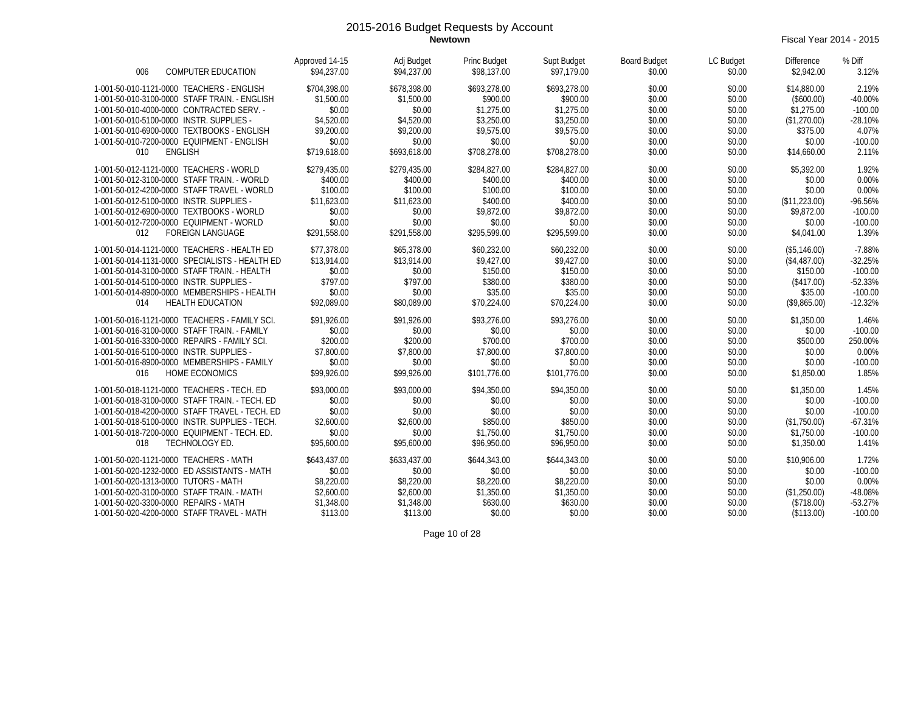**Newtown** Fiscal Year 2014 - 2015

| 006<br><b>COMPUTER EDUCATION</b>                                                                                                                                                                                                                                                                            | Approved 14-15<br>\$94,237.00                                                           | Adj Budget<br>\$94,237.00                                                               | Princ Budget<br>\$98,137.00                                                              | Supt Budget<br>\$97,179.00                                                               | <b>Board Budget</b><br>\$0.00                                      | LC Budget<br>\$0.00                                                | <b>Difference</b><br>\$2,942.00                                                       | % Diff<br>3.12%                                                           |
|-------------------------------------------------------------------------------------------------------------------------------------------------------------------------------------------------------------------------------------------------------------------------------------------------------------|-----------------------------------------------------------------------------------------|-----------------------------------------------------------------------------------------|------------------------------------------------------------------------------------------|------------------------------------------------------------------------------------------|--------------------------------------------------------------------|--------------------------------------------------------------------|---------------------------------------------------------------------------------------|---------------------------------------------------------------------------|
| 1-001-50-010-1121-0000 TEACHERS - ENGLISH<br>1-001-50-010-3100-0000 STAFF TRAIN. - ENGLISH<br>1-001-50-010-4000-0000 CONTRACTED SERV. -<br>1-001-50-010-5100-0000 INSTR. SUPPLIES -<br>1-001-50-010-6900-0000 TEXTBOOKS - ENGLISH                                                                           | \$704,398.00<br>\$1,500.00<br>\$0.00<br>\$4,520.00<br>\$9,200.00                        | \$678,398.00<br>\$1,500.00<br>\$0.00<br>\$4,520.00<br>\$9,200.00                        | \$693,278.00<br>\$900.00<br>\$1,275.00<br>\$3,250.00<br>\$9,575.00                       | \$693,278.00<br>\$900.00<br>\$1,275.00<br>\$3,250.00<br>\$9,575.00                       | \$0.00<br>\$0.00<br>\$0.00<br>\$0.00<br>\$0.00                     | \$0.00<br>\$0.00<br>\$0.00<br>\$0.00<br>\$0.00                     | \$14,880.00<br>(\$600.00)<br>\$1,275.00<br>(\$1,270.00)<br>\$375.00                   | 2.19%<br>$-40.00%$<br>$-100.00$<br>$-28.10%$<br>4.07%                     |
| 1-001-50-010-7200-0000 EQUIPMENT - ENGLISH<br><b>ENGLISH</b><br>010                                                                                                                                                                                                                                         | \$0.00<br>\$719,618.00                                                                  | \$0.00<br>\$693.618.00                                                                  | \$0.00<br>\$708,278.00                                                                   | \$0.00<br>\$708,278.00                                                                   | \$0.00<br>\$0.00                                                   | \$0.00<br>\$0.00                                                   | \$0.00<br>\$14,660.00                                                                 | $-100.00$<br>2.11%                                                        |
| 1-001-50-012-1121-0000 TEACHERS - WORLD<br>1-001-50-012-3100-0000 STAFF TRAIN. - WORLD<br>1-001-50-012-4200-0000 STAFF TRAVEL - WORLD<br>1-001-50-012-5100-0000 INSTR. SUPPLIES -<br>1-001-50-012-6900-0000 TEXTBOOKS - WORLD<br>1-001-50-012-7200-0000 EQUIPMENT - WORLD<br><b>FOREIGN LANGUAGE</b><br>012 | \$279,435.00<br>\$400.00<br>\$100.00<br>\$11,623.00<br>\$0.00<br>\$0.00<br>\$291,558.00 | \$279,435.00<br>\$400.00<br>\$100.00<br>\$11,623.00<br>\$0.00<br>\$0.00<br>\$291,558.00 | \$284,827.00<br>\$400.00<br>\$100.00<br>\$400.00<br>\$9,872.00<br>\$0.00<br>\$295,599.00 | \$284,827.00<br>\$400.00<br>\$100.00<br>\$400.00<br>\$9,872.00<br>\$0.00<br>\$295,599.00 | \$0.00<br>\$0.00<br>\$0.00<br>\$0.00<br>\$0.00<br>\$0.00<br>\$0.00 | \$0.00<br>\$0.00<br>\$0.00<br>\$0.00<br>\$0.00<br>\$0.00<br>\$0.00 | \$5,392.00<br>\$0.00<br>\$0.00<br>(\$11,223.00)<br>\$9,872.00<br>\$0.00<br>\$4,041.00 | 1.92%<br>0.00%<br>0.00%<br>$-96.56%$<br>$-100.00$<br>$-100.00$<br>1.39%   |
| 1-001-50-014-1121-0000 TEACHERS - HEALTH ED<br>1-001-50-014-1131-0000 SPECIALISTS - HEALTH ED<br>1-001-50-014-3100-0000 STAFF TRAIN. - HEALTH<br>1-001-50-014-5100-0000 INSTR. SUPPLIES -<br>1-001-50-014-8900-0000 MEMBERSHIPS - HEALTH<br><b>HEALTH EDUCATION</b><br>014                                  | \$77.378.00<br>\$13,914.00<br>\$0.00<br>\$797.00<br>\$0.00<br>\$92,089.00               | \$65,378.00<br>\$13,914.00<br>\$0.00<br>\$797.00<br>\$0.00<br>\$80,089.00               | \$60,232.00<br>\$9,427.00<br>\$150.00<br>\$380.00<br>\$35.00<br>\$70,224.00              | \$60,232.00<br>\$9,427.00<br>\$150.00<br>\$380.00<br>\$35.00<br>\$70,224.00              | \$0.00<br>\$0.00<br>\$0.00<br>\$0.00<br>\$0.00<br>\$0.00           | \$0.00<br>\$0.00<br>\$0.00<br>\$0.00<br>\$0.00<br>\$0.00           | (\$5,146.00)<br>(\$4,487.00)<br>\$150.00<br>(\$417.00)<br>\$35.00<br>(\$9,865.00)     | $-7.88%$<br>$-32.25%$<br>$-100.00$<br>$-52.33%$<br>$-100.00$<br>$-12.32%$ |
| 1-001-50-016-1121-0000 TEACHERS - FAMILY SCI.<br>1-001-50-016-3100-0000 STAFF TRAIN. - FAMILY<br>1-001-50-016-3300-0000 REPAIRS - FAMILY SCI.<br>1-001-50-016-5100-0000 INSTR. SUPPLIES -<br>1-001-50-016-8900-0000 MEMBERSHIPS - FAMILY<br>016<br><b>HOME ECONOMICS</b>                                    | \$91,926.00<br>\$0.00<br>\$200.00<br>\$7,800.00<br>\$0.00<br>\$99,926.00                | \$91,926.00<br>\$0.00<br>\$200.00<br>\$7,800.00<br>\$0.00<br>\$99,926.00                | \$93,276.00<br>\$0.00<br>\$700.00<br>\$7,800.00<br>\$0.00<br>\$101.776.00                | \$93.276.00<br>\$0.00<br>\$700.00<br>\$7,800.00<br>\$0.00<br>\$101.776.00                | \$0.00<br>\$0.00<br>\$0.00<br>\$0.00<br>\$0.00<br>\$0.00           | \$0.00<br>\$0.00<br>\$0.00<br>\$0.00<br>\$0.00<br>\$0.00           | \$1,350.00<br>\$0.00<br>\$500.00<br>\$0.00<br>\$0.00<br>\$1,850.00                    | 1.46%<br>$-100.00$<br>250.00%<br>0.00%<br>$-100.00$<br>1.85%              |
| 1-001-50-018-1121-0000 TEACHERS - TECH. ED<br>1-001-50-018-3100-0000 STAFF TRAIN. - TECH. ED<br>1-001-50-018-4200-0000 STAFF TRAVEL - TECH. ED<br>1-001-50-018-5100-0000 INSTR. SUPPLIES - TECH.<br>1-001-50-018-7200-0000 EQUIPMENT - TECH. ED.<br>TECHNOLOGY ED.<br>018                                   | \$93,000.00<br>\$0.00<br>\$0.00<br>\$2,600.00<br>\$0.00<br>\$95,600.00                  | \$93,000.00<br>\$0.00<br>\$0.00<br>\$2,600.00<br>\$0.00<br>\$95,600.00                  | \$94,350.00<br>\$0.00<br>\$0.00<br>\$850.00<br>\$1,750.00<br>\$96,950.00                 | \$94,350.00<br>\$0.00<br>\$0.00<br>\$850.00<br>\$1,750.00<br>\$96,950.00                 | \$0.00<br>\$0.00<br>\$0.00<br>\$0.00<br>\$0.00<br>\$0.00           | \$0.00<br>\$0.00<br>\$0.00<br>\$0.00<br>\$0.00<br>\$0.00           | \$1,350.00<br>\$0.00<br>\$0.00<br>(\$1,750.00)<br>\$1,750.00<br>\$1,350.00            | 1.45%<br>$-100.00$<br>$-100.00$<br>$-67.31%$<br>$-100.00$<br>1.41%        |
| 1-001-50-020-1121-0000 TEACHERS - MATH<br>1-001-50-020-1232-0000 ED ASSISTANTS - MATH<br>1-001-50-020-1313-0000 TUTORS - MATH<br>1-001-50-020-3100-0000 STAFF TRAIN. - MATH<br>1-001-50-020-3300-0000 REPAIRS - MATH<br>1-001-50-020-4200-0000 STAFF TRAVEL - MATH                                          | \$643,437.00<br>\$0.00<br>\$8,220.00<br>\$2,600.00<br>\$1,348.00<br>\$113.00            | \$633,437.00<br>\$0.00<br>\$8,220.00<br>\$2,600.00<br>\$1,348.00<br>\$113.00            | \$644.343.00<br>\$0.00<br>\$8,220.00<br>\$1,350.00<br>\$630.00<br>\$0.00                 | \$644,343.00<br>\$0.00<br>\$8,220.00<br>\$1,350.00<br>\$630.00<br>\$0.00                 | \$0.00<br>\$0.00<br>\$0.00<br>\$0.00<br>\$0.00<br>\$0.00           | \$0.00<br>\$0.00<br>\$0.00<br>\$0.00<br>\$0.00<br>\$0.00           | \$10,906.00<br>\$0.00<br>\$0.00<br>(\$1,250.00)<br>(\$718.00)<br>(\$113.00)           | 1.72%<br>$-100.00$<br>0.00%<br>-48.08%<br>$-53.27%$<br>$-100.00$          |

Page 10 of 28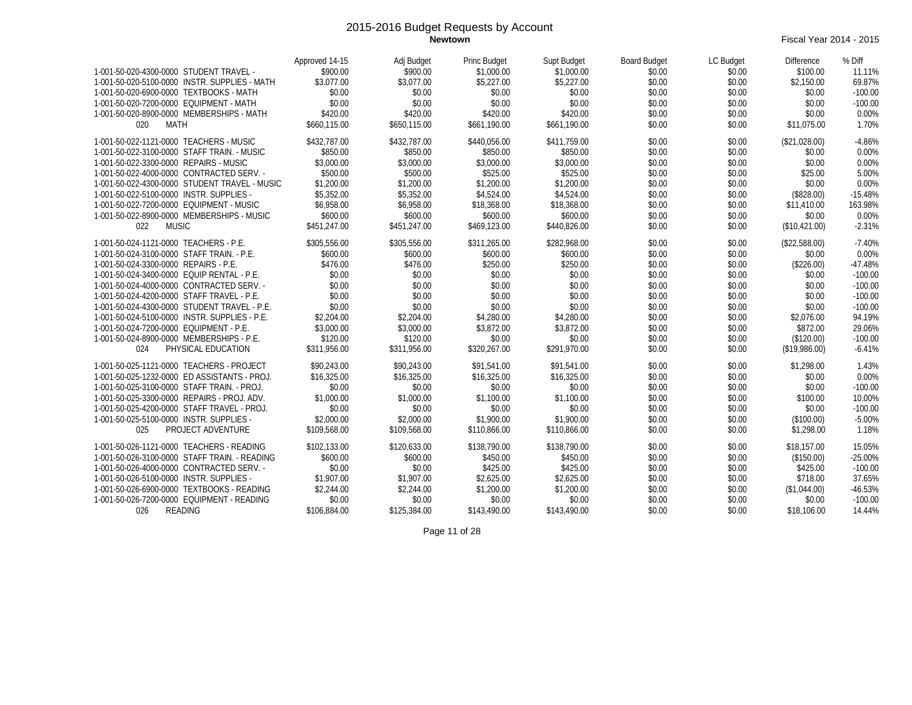**Newtown** Fiscal Year 2014 - 2015

| 1-001-50-020-4300-0000 STUDENT TRAVEL -<br>1-001-50-020-5100-0000 INSTR. SUPPLIES - MATH<br>1-001-50-020-6900-0000 TEXTBOOKS - MATH<br>1-001-50-020-7200-0000 EQUIPMENT - MATH<br>1-001-50-020-8900-0000 MEMBERSHIPS - MATH<br><b>MATH</b><br>020                                                                                                                                                                                                                                            | Approved 14-15<br>\$900.00<br>\$3,077.00<br>\$0.00<br>\$0.00<br>\$420.00<br>\$660.115.00                                             | Adj Budget<br>\$900.00<br>\$3,077.00<br>\$0.00<br>\$0.00<br>\$420.00<br>\$650.115.00                                                 | <b>Princ Budget</b><br>\$1,000.00<br>\$5,227.00<br>\$0.00<br>\$0.00<br>\$420.00<br>\$661.190.00                                    | Supt Budget<br>\$1,000.00<br>\$5,227.00<br>\$0.00<br>\$0.00<br>\$420.00<br>\$661.190.00                                            | <b>Board Budget</b><br>\$0.00<br>\$0.00<br>\$0.00<br>\$0.00<br>\$0.00<br>\$0.00                            | LC Budget<br>\$0.00<br>\$0.00<br>\$0.00<br>\$0.00<br>\$0.00<br>\$0.00                                      | <b>Difference</b><br>\$100.00<br>\$2,150.00<br>\$0.00<br>\$0.00<br>\$0.00<br>\$11.075.00                                               | % Diff<br>11.11%<br>69.87%<br>$-100.00$<br>$-100.00$<br>0.00%<br>1.70%                                                          |
|----------------------------------------------------------------------------------------------------------------------------------------------------------------------------------------------------------------------------------------------------------------------------------------------------------------------------------------------------------------------------------------------------------------------------------------------------------------------------------------------|--------------------------------------------------------------------------------------------------------------------------------------|--------------------------------------------------------------------------------------------------------------------------------------|------------------------------------------------------------------------------------------------------------------------------------|------------------------------------------------------------------------------------------------------------------------------------|------------------------------------------------------------------------------------------------------------|------------------------------------------------------------------------------------------------------------|----------------------------------------------------------------------------------------------------------------------------------------|---------------------------------------------------------------------------------------------------------------------------------|
| 1-001-50-022-1121-0000 TEACHERS - MUSIC<br>1-001-50-022-3100-0000 STAFF TRAIN. - MUSIC<br>1-001-50-022-3300-0000 REPAIRS - MUSIC<br>1-001-50-022-4000-0000 CONTRACTED SERV. -<br>1-001-50-022-4300-0000 STUDENT TRAVEL - MUSIC<br>1-001-50-022-5100-0000 INSTR. SUPPLIES -<br>1-001-50-022-7200-0000 EQUIPMENT - MUSIC<br>1-001-50-022-8900-0000 MEMBERSHIPS - MUSIC<br><b>MUSIC</b><br>022                                                                                                  | \$432,787.00<br>\$850.00<br>\$3,000.00<br>\$500.00<br>\$1,200.00<br>\$5,352.00<br>\$6,958.00<br>\$600.00<br>\$451,247.00             | \$432,787.00<br>\$850.00<br>\$3,000.00<br>\$500.00<br>\$1,200.00<br>\$5,352.00<br>\$6,958.00<br>\$600.00<br>\$451,247.00             | \$440,056.00<br>\$850.00<br>\$3,000.00<br>\$525.00<br>\$1,200.00<br>\$4,524.00<br>\$18,368.00<br>\$600.00<br>\$469,123.00          | \$411.759.00<br>\$850.00<br>\$3,000.00<br>\$525.00<br>\$1,200.00<br>\$4,524.00<br>\$18,368.00<br>\$600.00<br>\$440,826.00          | \$0.00<br>\$0.00<br>\$0.00<br>\$0.00<br>\$0.00<br>\$0.00<br>\$0.00<br>\$0.00<br>\$0.00                     | \$0.00<br>\$0.00<br>\$0.00<br>\$0.00<br>\$0.00<br>\$0.00<br>\$0.00<br>\$0.00<br>\$0.00                     | (\$21,028.00)<br>\$0.00<br>\$0.00<br>\$25.00<br>\$0.00<br>(\$828.00)<br>\$11,410.00<br>\$0.00<br>(\$10,421.00)                         | $-4.86%$<br>0.00%<br>0.00%<br>5.00%<br>0.00%<br>$-15.48%$<br>163.98%<br>0.00%<br>$-2.31%$                                       |
| 1-001-50-024-1121-0000 TEACHERS - P.E.<br>1-001-50-024-3100-0000 STAFF TRAIN. - P.E.<br>1-001-50-024-3300-0000 REPAIRS - P.E.<br>1-001-50-024-3400-0000 EQUIP RENTAL - P.E.<br>1-001-50-024-4000-0000 CONTRACTED SERV. -<br>1-001-50-024-4200-0000 STAFF TRAVEL - P.E.<br>1-001-50-024-4300-0000 STUDENT TRAVEL - P.E.<br>1-001-50-024-5100-0000 INSTR. SUPPLIES - P.E.<br>1-001-50-024-7200-0000 EQUIPMENT - P.E.<br>1-001-50-024-8900-0000 MEMBERSHIPS - P.E.<br>024<br>PHYSICAL EDUCATION | \$305.556.00<br>\$600.00<br>\$476.00<br>\$0.00<br>\$0.00<br>\$0.00<br>\$0.00<br>\$2,204.00<br>\$3,000.00<br>\$120.00<br>\$311,956.00 | \$305,556.00<br>\$600.00<br>\$476.00<br>\$0.00<br>\$0.00<br>\$0.00<br>\$0.00<br>\$2,204.00<br>\$3,000.00<br>\$120.00<br>\$311,956.00 | \$311,265.00<br>\$600.00<br>\$250.00<br>\$0.00<br>\$0.00<br>\$0.00<br>\$0.00<br>\$4,280.00<br>\$3,872.00<br>\$0.00<br>\$320,267.00 | \$282,968.00<br>\$600.00<br>\$250.00<br>\$0.00<br>\$0.00<br>\$0.00<br>\$0.00<br>\$4,280.00<br>\$3,872.00<br>\$0.00<br>\$291.970.00 | \$0.00<br>\$0.00<br>\$0.00<br>\$0.00<br>\$0.00<br>\$0.00<br>\$0.00<br>\$0.00<br>\$0.00<br>\$0.00<br>\$0.00 | \$0.00<br>\$0.00<br>\$0.00<br>\$0.00<br>\$0.00<br>\$0.00<br>\$0.00<br>\$0.00<br>\$0.00<br>\$0.00<br>\$0.00 | (\$22.588.00)<br>\$0.00<br>(\$226.00)<br>\$0.00<br>\$0.00<br>\$0.00<br>\$0.00<br>\$2,076.00<br>\$872.00<br>(\$120.00)<br>(\$19,986.00) | $-7.40%$<br>0.00%<br>$-47.48%$<br>$-100.00$<br>$-100.00$<br>$-100.00$<br>$-100.00$<br>94.19%<br>29.06%<br>$-100.00$<br>$-6.41%$ |
| 1-001-50-025-1121-0000 TEACHERS - PROJECT<br>1-001-50-025-1232-0000 ED ASSISTANTS - PROJ.<br>1-001-50-025-3100-0000 STAFF TRAIN. - PROJ.<br>1-001-50-025-3300-0000 REPAIRS - PROJ. ADV.<br>1-001-50-025-4200-0000 STAFF TRAVEL - PROJ.<br>1-001-50-025-5100-0000 INSTR. SUPPLIES -<br>PROJECT ADVENTURE<br>025                                                                                                                                                                               | \$90,243.00<br>\$16,325.00<br>\$0.00<br>\$1,000.00<br>\$0.00<br>\$2,000.00<br>\$109.568.00                                           | \$90,243.00<br>\$16,325.00<br>\$0.00<br>\$1,000.00<br>\$0.00<br>\$2,000.00<br>\$109,568.00                                           | \$91.541.00<br>\$16,325.00<br>\$0.00<br>\$1,100.00<br>\$0.00<br>\$1,900.00<br>\$110,866.00                                         | \$91,541.00<br>\$16,325.00<br>\$0.00<br>\$1,100.00<br>\$0.00<br>\$1,900.00<br>\$110,866.00                                         | \$0.00<br>\$0.00<br>\$0.00<br>\$0.00<br>\$0.00<br>\$0.00<br>\$0.00                                         | \$0.00<br>\$0.00<br>\$0.00<br>\$0.00<br>\$0.00<br>\$0.00<br>\$0.00                                         | \$1,298.00<br>\$0.00<br>\$0.00<br>\$100.00<br>\$0.00<br>(\$100.00)<br>\$1,298.00                                                       | 1.43%<br>0.00%<br>$-100.00$<br>10.00%<br>$-100.00$<br>$-5.00%$<br>1.18%                                                         |
| 1-001-50-026-1121-0000 TEACHERS - READING<br>1-001-50-026-3100-0000 STAFF TRAIN. - READING<br>1-001-50-026-4000-0000 CONTRACTED SERV. -<br>1-001-50-026-5100-0000 INSTR. SUPPLIES -<br>1-001-50-026-6900-0000 TEXTBOOKS - READING<br>1-001-50-026-7200-0000 EQUIPMENT - READING<br>026<br><b>READING</b>                                                                                                                                                                                     | \$102,133.00<br>\$600.00<br>\$0.00<br>\$1,907.00<br>\$2,244.00<br>\$0.00<br>\$106,884.00                                             | \$120,633.00<br>\$600.00<br>\$0.00<br>\$1,907.00<br>\$2,244.00<br>\$0.00<br>\$125,384.00                                             | \$138,790.00<br>\$450.00<br>\$425.00<br>\$2,625.00<br>\$1,200.00<br>\$0.00<br>\$143,490.00                                         | \$138,790.00<br>\$450.00<br>\$425.00<br>\$2,625.00<br>\$1,200.00<br>\$0.00<br>\$143,490.00                                         | \$0.00<br>\$0.00<br>\$0.00<br>\$0.00<br>\$0.00<br>\$0.00<br>\$0.00                                         | \$0.00<br>\$0.00<br>\$0.00<br>\$0.00<br>\$0.00<br>\$0.00<br>\$0.00                                         | \$18,157.00<br>(\$150.00)<br>\$425.00<br>\$718.00<br>(\$1,044.00)<br>\$0.00<br>\$18,106.00                                             | 15.05%<br>$-25.00%$<br>$-100.00$<br>37.65%<br>$-46.53%$<br>$-100.00$<br>14.44%                                                  |

Page 11 of 28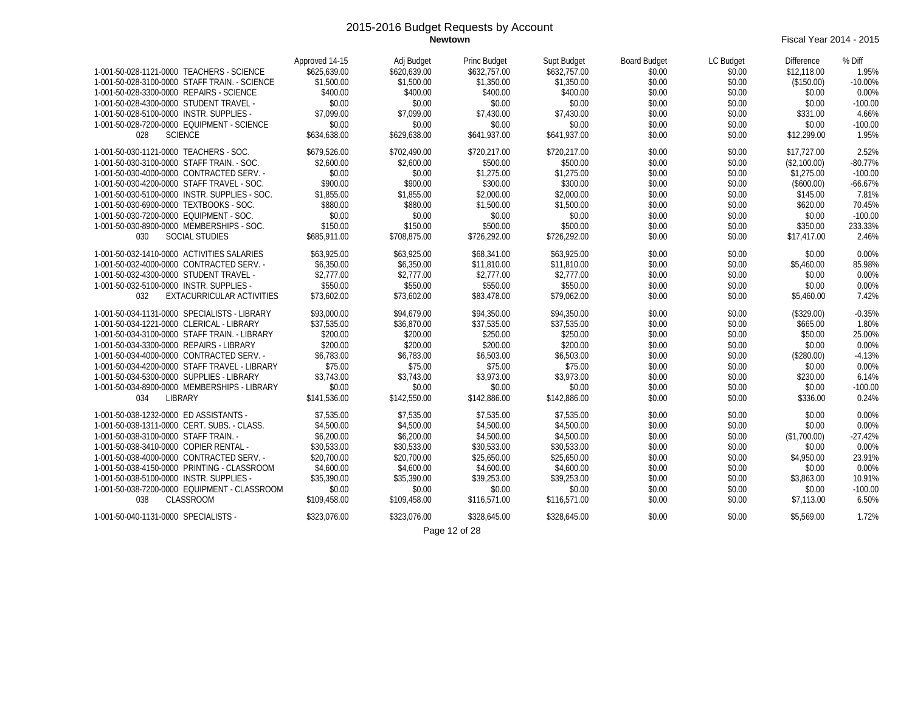**Newtown** Fiscal Year 2014 - 2015

| 1-001-50-028-1121-0000 TEACHERS - SCIENCE<br>1-001-50-028-3100-0000 STAFF TRAIN. - SCIENCE<br>1-001-50-028-3300-0000 REPAIRS - SCIENCE<br>1-001-50-028-4300-0000 STUDENT TRAVEL -<br>1-001-50-028-5100-0000 INSTR. SUPPLIES -<br>1-001-50-028-7200-0000 EQUIPMENT - SCIENCE<br><b>SCIENCE</b><br>028                                                                                                                         | Approved 14-15<br>\$625,639.00<br>\$1,500.00<br>\$400.00<br>\$0.00<br>\$7.099.00<br>\$0.00<br>\$634,638.00                                  | Adj Budget<br>\$620,639.00<br>\$1,500.00<br>\$400.00<br>\$0.00<br>\$7.099.00<br>\$0.00<br>\$629,638.00                                      | <b>Princ Budget</b><br>\$632,757.00<br>\$1,350.00<br>\$400.00<br>\$0.00<br>\$7.430.00<br>\$0.00<br>\$641,937.00                             | Supt Budget<br>\$632,757.00<br>\$1,350.00<br>\$400.00<br>\$0.00<br>\$7,430.00<br>\$0.00<br>\$641,937.00                                     | <b>Board Budget</b><br>\$0.00<br>\$0.00<br>\$0.00<br>\$0.00<br>\$0.00<br>\$0.00<br>\$0.00        | LC Budget<br>\$0.00<br>\$0.00<br>\$0.00<br>\$0.00<br>\$0.00<br>\$0.00<br>\$0.00                  | <b>Difference</b><br>\$12,118.00<br>(\$150.00)<br>\$0.00<br>\$0.00<br>\$331.00<br>\$0.00<br>\$12,299.00                | % Diff<br>1.95%<br>$-10.00%$<br>0.00%<br>$-100.00$<br>4.66%<br>$-100.00$<br>1.95%                |
|------------------------------------------------------------------------------------------------------------------------------------------------------------------------------------------------------------------------------------------------------------------------------------------------------------------------------------------------------------------------------------------------------------------------------|---------------------------------------------------------------------------------------------------------------------------------------------|---------------------------------------------------------------------------------------------------------------------------------------------|---------------------------------------------------------------------------------------------------------------------------------------------|---------------------------------------------------------------------------------------------------------------------------------------------|--------------------------------------------------------------------------------------------------|--------------------------------------------------------------------------------------------------|------------------------------------------------------------------------------------------------------------------------|--------------------------------------------------------------------------------------------------|
| 1-001-50-030-1121-0000 TEACHERS - SOC.<br>1-001-50-030-3100-0000 STAFF TRAIN. - SOC.<br>1-001-50-030-4000-0000 CONTRACTED SERV. -<br>1-001-50-030-4200-0000 STAFF TRAVEL - SOC.<br>1-001-50-030-5100-0000 INSTR. SUPPLIES - SOC.<br>1-001-50-030-6900-0000 TEXTBOOKS - SOC.<br>1-001-50-030-7200-0000 EQUIPMENT - SOC.<br>1-001-50-030-8900-0000 MEMBERSHIPS - SOC.<br>030<br><b>SOCIAL STUDIES</b>                          | \$679,526.00<br>\$2,600.00<br>\$0.00<br>\$900.00<br>\$1,855.00<br>\$880.00<br>\$0.00<br>\$150.00<br>\$685,911.00                            | \$702,490.00<br>\$2,600.00<br>\$0.00<br>\$900.00<br>\$1,855.00<br>\$880.00<br>\$0.00<br>\$150.00<br>\$708,875.00                            | \$720,217.00<br>\$500.00<br>\$1,275.00<br>\$300.00<br>\$2,000.00<br>\$1,500.00<br>\$0.00<br>\$500.00<br>\$726,292.00                        | \$720,217.00<br>\$500.00<br>\$1,275.00<br>\$300.00<br>\$2,000.00<br>\$1,500.00<br>\$0.00<br>\$500.00<br>\$726,292.00                        | \$0.00<br>\$0.00<br>\$0.00<br>\$0.00<br>\$0.00<br>\$0.00<br>\$0.00<br>\$0.00<br>\$0.00           | \$0.00<br>\$0.00<br>\$0.00<br>\$0.00<br>\$0.00<br>\$0.00<br>\$0.00<br>\$0.00<br>\$0.00           | \$17,727.00<br>(\$2,100.00)<br>\$1,275.00<br>(\$600.00)<br>\$145.00<br>\$620.00<br>\$0.00<br>\$350.00<br>\$17,417.00   | 2.52%<br>$-80.77%$<br>$-100.00$<br>$-66.67%$<br>7.81%<br>70.45%<br>$-100.00$<br>233.33%<br>2.46% |
| 1-001-50-032-1410-0000 ACTIVITIES SALARIES<br>1-001-50-032-4000-0000 CONTRACTED SERV. -<br>1-001-50-032-4300-0000 STUDENT TRAVEL -<br>1-001-50-032-5100-0000 INSTR. SUPPLIES -<br>EXTACURRICULAR ACTIVITIES<br>032                                                                                                                                                                                                           | \$63,925.00<br>\$6,350.00<br>\$2,777.00<br>\$550.00<br>\$73,602.00                                                                          | \$63,925.00<br>\$6,350.00<br>\$2,777.00<br>\$550.00<br>\$73,602.00                                                                          | \$68,341.00<br>\$11,810.00<br>\$2,777.00<br>\$550.00<br>\$83,478.00                                                                         | \$63,925.00<br>\$11,810.00<br>\$2,777.00<br>\$550.00<br>\$79,062.00                                                                         | \$0.00<br>\$0.00<br>\$0.00<br>\$0.00<br>\$0.00                                                   | \$0.00<br>\$0.00<br>\$0.00<br>\$0.00<br>\$0.00                                                   | \$0.00<br>\$5,460.00<br>\$0.00<br>\$0.00<br>\$5,460.00                                                                 | 0.00%<br>85.98%<br>0.00%<br>0.00%<br>7.42%                                                       |
| 1-001-50-034-1131-0000 SPECIALISTS - LIBRARY<br>1-001-50-034-1221-0000 CLERICAL - LIBRARY<br>1-001-50-034-3100-0000 STAFF TRAIN. - LIBRARY<br>1-001-50-034-3300-0000 REPAIRS - LIBRARY<br>1-001-50-034-4000-0000 CONTRACTED SERV. -<br>1-001-50-034-4200-0000 STAFF TRAVEL - LIBRARY<br>1-001-50-034-5300-0000 SUPPLIES - LIBRARY<br>1-001-50-034-8900-0000 MEMBERSHIPS - LIBRARY<br>LIBRARY<br>034                          | \$93,000.00<br>\$37.535.00<br>\$200.00<br>\$200.00<br>\$6,783.00<br>\$75.00<br>\$3,743.00<br>\$0.00<br>\$141,536.00                         | \$94.679.00<br>\$36.870.00<br>\$200.00<br>\$200.00<br>\$6,783.00<br>\$75.00<br>\$3,743.00<br>\$0.00<br>\$142,550.00                         | \$94,350.00<br>\$37,535.00<br>\$250.00<br>\$200.00<br>\$6,503.00<br>\$75.00<br>\$3,973.00<br>\$0.00<br>\$142,886.00                         | \$94,350.00<br>\$37,535.00<br>\$250.00<br>\$200.00<br>\$6,503.00<br>\$75.00<br>\$3,973.00<br>\$0.00<br>\$142,886,00                         | \$0.00<br>\$0.00<br>\$0.00<br>\$0.00<br>\$0.00<br>\$0.00<br>\$0.00<br>\$0.00<br>\$0.00           | \$0.00<br>\$0.00<br>\$0.00<br>\$0.00<br>\$0.00<br>\$0.00<br>\$0.00<br>\$0.00<br>\$0.00           | (\$329.00)<br>\$665.00<br>\$50.00<br>\$0.00<br>(\$280.00)<br>\$0.00<br>\$230.00<br>\$0.00<br>\$336.00                  | $-0.35%$<br>1.80%<br>25.00%<br>0.00%<br>$-4.13%$<br>0.00%<br>6.14%<br>$-100.00$<br>0.24%         |
| 1-001-50-038-1232-0000 ED ASSISTANTS -<br>1-001-50-038-1311-0000 CERT. SUBS. - CLASS.<br>1-001-50-038-3100-0000 STAFF TRAIN. -<br>1-001-50-038-3410-0000 COPIER RENTAL -<br>1-001-50-038-4000-0000 CONTRACTED SERV. -<br>1-001-50-038-4150-0000 PRINTING - CLASSROOM<br>1-001-50-038-5100-0000 INSTR. SUPPLIES -<br>1-001-50-038-7200-0000 EQUIPMENT - CLASSROOM<br>CLASSROOM<br>038<br>1-001-50-040-1131-0000 SPECIALISTS - | \$7.535.00<br>\$4,500.00<br>\$6,200.00<br>\$30.533.00<br>\$20,700.00<br>\$4,600.00<br>\$35,390.00<br>\$0.00<br>\$109,458.00<br>\$323.076.00 | \$7.535.00<br>\$4,500.00<br>\$6,200.00<br>\$30.533.00<br>\$20,700.00<br>\$4,600.00<br>\$35,390.00<br>\$0.00<br>\$109,458.00<br>\$323.076.00 | \$7.535.00<br>\$4,500.00<br>\$4,500.00<br>\$30.533.00<br>\$25,650.00<br>\$4,600.00<br>\$39,253.00<br>\$0.00<br>\$116,571.00<br>\$328,645.00 | \$7.535.00<br>\$4,500.00<br>\$4,500.00<br>\$30,533.00<br>\$25,650.00<br>\$4,600.00<br>\$39,253.00<br>\$0.00<br>\$116,571.00<br>\$328,645.00 | \$0.00<br>\$0.00<br>\$0.00<br>\$0.00<br>\$0.00<br>\$0.00<br>\$0.00<br>\$0.00<br>\$0.00<br>\$0.00 | \$0.00<br>\$0.00<br>\$0.00<br>\$0.00<br>\$0.00<br>\$0.00<br>\$0.00<br>\$0.00<br>\$0.00<br>\$0.00 | \$0.00<br>\$0.00<br>(\$1,700.00)<br>\$0.00<br>\$4,950.00<br>\$0.00<br>\$3,863.00<br>\$0.00<br>\$7,113.00<br>\$5,569.00 | 0.00%<br>0.00%<br>$-27.42%$<br>0.00%<br>23.91%<br>0.00%<br>10.91%<br>$-100.00$<br>6.50%<br>1.72% |
|                                                                                                                                                                                                                                                                                                                                                                                                                              |                                                                                                                                             |                                                                                                                                             | $\sim$ $\sim$                                                                                                                               |                                                                                                                                             |                                                                                                  |                                                                                                  |                                                                                                                        |                                                                                                  |

Page 12 of 28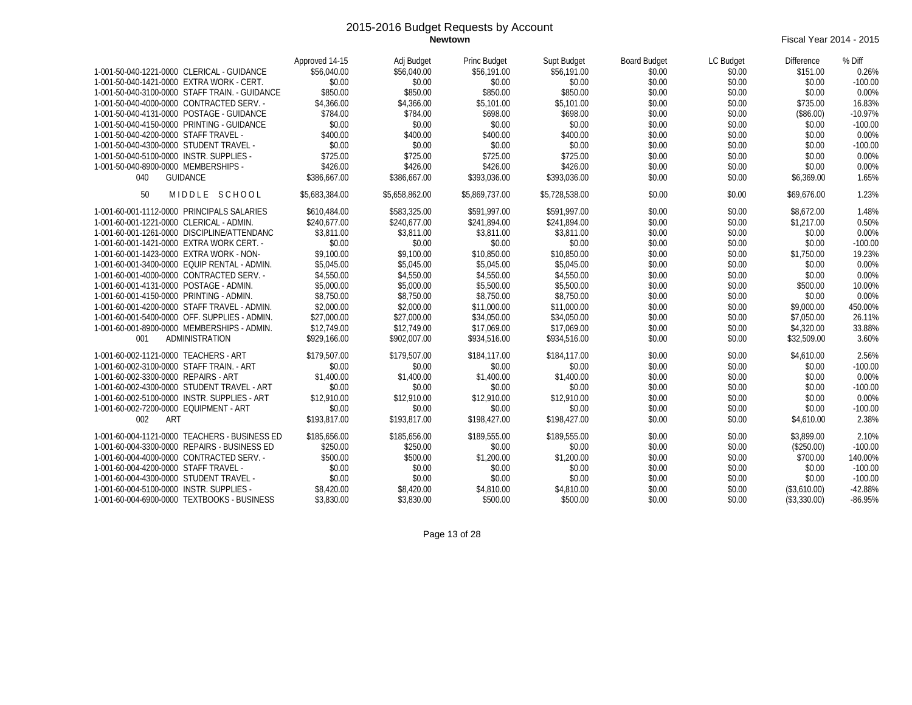**Newtown** Fiscal Year 2014 - 2015

|                                                | Approved 14-15 | Adj Budget     | <b>Princ Budget</b> | Supt Budget    | <b>Board Budget</b> | LC Budget | <b>Difference</b> | % Diff    |
|------------------------------------------------|----------------|----------------|---------------------|----------------|---------------------|-----------|-------------------|-----------|
| 1-001-50-040-1221-0000 CLERICAL - GUIDANCE     | \$56,040.00    | \$56,040.00    | \$56,191.00         | \$56,191.00    | \$0.00              | \$0.00    | \$151.00          | 0.26%     |
| 1-001-50-040-1421-0000 EXTRA WORK - CERT.      | \$0.00         | \$0.00         | \$0.00              | \$0.00         | \$0.00              | \$0.00    | \$0.00            | $-100.00$ |
| 1-001-50-040-3100-0000 STAFF TRAIN. - GUIDANCE | \$850.00       | \$850.00       | \$850.00            | \$850.00       | \$0.00              | \$0.00    | \$0.00            | 0.00%     |
| 1-001-50-040-4000-0000 CONTRACTED SERV. -      | \$4,366.00     | \$4,366.00     | \$5,101.00          | \$5,101.00     | \$0.00              | \$0.00    | \$735.00          | 16.83%    |
| 1-001-50-040-4131-0000 POSTAGE - GUIDANCE      | \$784.00       | \$784.00       | \$698.00            | \$698.00       | \$0.00              | \$0.00    | (\$86.00)         | $-10.97%$ |
| 1-001-50-040-4150-0000 PRINTING - GUIDANCE     | \$0.00         | \$0.00         | \$0.00              | \$0.00         | \$0.00              | \$0.00    | \$0.00            | $-100.00$ |
| 1-001-50-040-4200-0000 STAFF TRAVEL -          | \$400.00       | \$400.00       | \$400.00            | \$400.00       | \$0.00              | \$0.00    | \$0.00            | 0.00%     |
| 1-001-50-040-4300-0000 STUDENT TRAVEL -        | \$0.00         | \$0.00         | \$0.00              | \$0.00         | \$0.00              | \$0.00    | \$0.00            | $-100.00$ |
| 1-001-50-040-5100-0000 INSTR. SUPPLIES -       | \$725.00       | \$725.00       | \$725.00            | \$725.00       | \$0.00              | \$0.00    | \$0.00            | 0.00%     |
| 1-001-50-040-8900-0000 MEMBERSHIPS -           | \$426.00       | \$426.00       | \$426.00            | \$426.00       | \$0.00              | \$0.00    | \$0.00            | 0.00%     |
| <b>GUIDANCE</b><br>040                         | \$386.667.00   | \$386,667.00   | \$393,036.00        | \$393,036.00   | \$0.00              | \$0.00    | \$6,369.00        | 1.65%     |
| MIDDLE SCHOOL<br>50                            | \$5.683.384.00 | \$5.658.862.00 | \$5,869,737.00      | \$5,728,538.00 | \$0.00              | \$0.00    | \$69,676.00       | 1.23%     |
| 1-001-60-001-1112-0000 PRINCIPALS SALARIES     | \$610.484.00   | \$583,325.00   | \$591.997.00        | \$591.997.00   | \$0.00              | \$0.00    | \$8,672.00        | 1.48%     |
| 1-001-60-001-1221-0000 CLERICAL - ADMIN.       | \$240.677.00   | \$240.677.00   | \$241,894.00        | \$241.894.00   | \$0.00              | \$0.00    | \$1,217.00        | 0.50%     |
| 1-001-60-001-1261-0000 DISCIPLINE/ATTENDANC    | \$3,811.00     | \$3.811.00     | \$3,811.00          | \$3,811.00     | \$0.00              | \$0.00    | \$0.00            | 0.00%     |
| 1-001-60-001-1421-0000 EXTRA WORK CERT. -      | \$0.00         | \$0.00         | \$0.00              | \$0.00         | \$0.00              | \$0.00    | \$0.00            | $-100.00$ |
| 1-001-60-001-1423-0000 EXTRA WORK - NON-       | \$9,100.00     | \$9,100.00     | \$10,850.00         | \$10,850.00    | \$0.00              | \$0.00    | \$1,750.00        | 19.23%    |
| 1-001-60-001-3400-0000 EQUIP RENTAL - ADMIN.   | \$5,045.00     | \$5,045.00     | \$5,045.00          | \$5,045.00     | \$0.00              | \$0.00    | \$0.00            | 0.00%     |
| 1-001-60-001-4000-0000 CONTRACTED SERV. -      | \$4,550.00     | \$4,550.00     | \$4,550.00          | \$4,550.00     | \$0.00              | \$0.00    | \$0.00            | 0.00%     |
| 1-001-60-001-4131-0000 POSTAGE - ADMIN.        | \$5,000.00     | \$5,000.00     | \$5,500.00          | \$5,500.00     | \$0.00              | \$0.00    | \$500.00          | 10.00%    |
| 1-001-60-001-4150-0000 PRINTING - ADMIN.       | \$8,750.00     | \$8,750.00     | \$8,750.00          | \$8,750.00     | \$0.00              | \$0.00    | \$0.00            | 0.00%     |
| 1-001-60-001-4200-0000 STAFF TRAVEL - ADMIN.   | \$2,000.00     | \$2,000.00     | \$11,000.00         | \$11,000.00    | \$0.00              | \$0.00    | \$9,000.00        | 450.00%   |
| 1-001-60-001-5400-0000 OFF. SUPPLIES - ADMIN.  | \$27,000.00    | \$27,000.00    | \$34,050.00         | \$34,050.00    | \$0.00              | \$0.00    | \$7.050.00        | 26.11%    |
| 1-001-60-001-8900-0000 MEMBERSHIPS - ADMIN.    | \$12,749.00    | \$12,749.00    | \$17,069.00         | \$17,069.00    | \$0.00              | \$0.00    | \$4,320.00        | 33.88%    |
| ADMINISTRATION<br>001                          | \$929,166.00   | \$902.007.00   | \$934,516.00        | \$934.516.00   | \$0.00              | \$0.00    | \$32,509.00       | 3.60%     |
|                                                |                |                |                     |                |                     |           |                   |           |
| 1-001-60-002-1121-0000 TEACHERS - ART          | \$179,507.00   | \$179,507.00   | \$184,117.00        | \$184,117.00   | \$0.00              | \$0.00    | \$4,610.00        | 2.56%     |
| 1-001-60-002-3100-0000 STAFF TRAIN. - ART      | \$0.00         | \$0.00         | \$0.00              | \$0.00         | \$0.00              | \$0.00    | \$0.00            | $-100.00$ |
| 1-001-60-002-3300-0000 REPAIRS - ART           | \$1,400.00     | \$1,400.00     | \$1,400.00          | \$1,400.00     | \$0.00              | \$0.00    | \$0.00            | 0.00%     |
| 1-001-60-002-4300-0000 STUDENT TRAVEL - ART    | \$0.00         | \$0.00         | \$0.00              | \$0.00         | \$0.00              | \$0.00    | \$0.00            | $-100.00$ |
| 1-001-60-002-5100-0000 INSTR. SUPPLIES - ART   | \$12,910.00    | \$12,910.00    | \$12,910.00         | \$12,910.00    | \$0.00              | \$0.00    | \$0.00            | 0.00%     |
| 1-001-60-002-7200-0000 EQUIPMENT - ART         | \$0.00         | \$0.00         | \$0.00              | \$0.00         | \$0.00              | \$0.00    | \$0.00            | $-100.00$ |
| ART<br>002                                     | \$193.817.00   | \$193.817.00   | \$198,427.00        | \$198,427.00   | \$0.00              | \$0.00    | \$4,610.00        | 2.38%     |
| 1-001-60-004-1121-0000 TEACHERS - BUSINESS ED  | \$185,656.00   | \$185,656.00   | \$189,555.00        | \$189,555.00   | \$0.00              | \$0.00    | \$3.899.00        | 2.10%     |
| 1-001-60-004-3300-0000 REPAIRS - BUSINESS ED   | \$250.00       | \$250.00       | \$0.00              | \$0.00         | \$0.00              | \$0.00    | (\$250.00)        | $-100.00$ |
| 1-001-60-004-4000-0000 CONTRACTED SERV. -      | \$500.00       | \$500.00       | \$1,200.00          | \$1,200.00     | \$0.00              | \$0.00    | \$700.00          | 140.00%   |
| 1-001-60-004-4200-0000 STAFF TRAVEL -          | \$0.00         | \$0.00         | \$0.00              | \$0.00         | \$0.00              | \$0.00    | \$0.00            | $-100.00$ |
| 1-001-60-004-4300-0000 STUDENT TRAVEL -        | \$0.00         | \$0.00         | \$0.00              | \$0.00         | \$0.00              | \$0.00    | \$0.00            | $-100.00$ |
| 1-001-60-004-5100-0000 INSTR. SUPPLIES -       | \$8,420.00     | \$8,420.00     | \$4,810.00          | \$4,810.00     | \$0.00              | \$0.00    | (\$3,610.00)      | $-42.88%$ |
| 1-001-60-004-6900-0000 TEXTBOOKS - BUSINESS    | \$3,830.00     | \$3,830.00     | \$500.00            | \$500.00       | \$0.00              | \$0.00    | (\$3,330.00)      | $-86.95%$ |

Page 13 of 28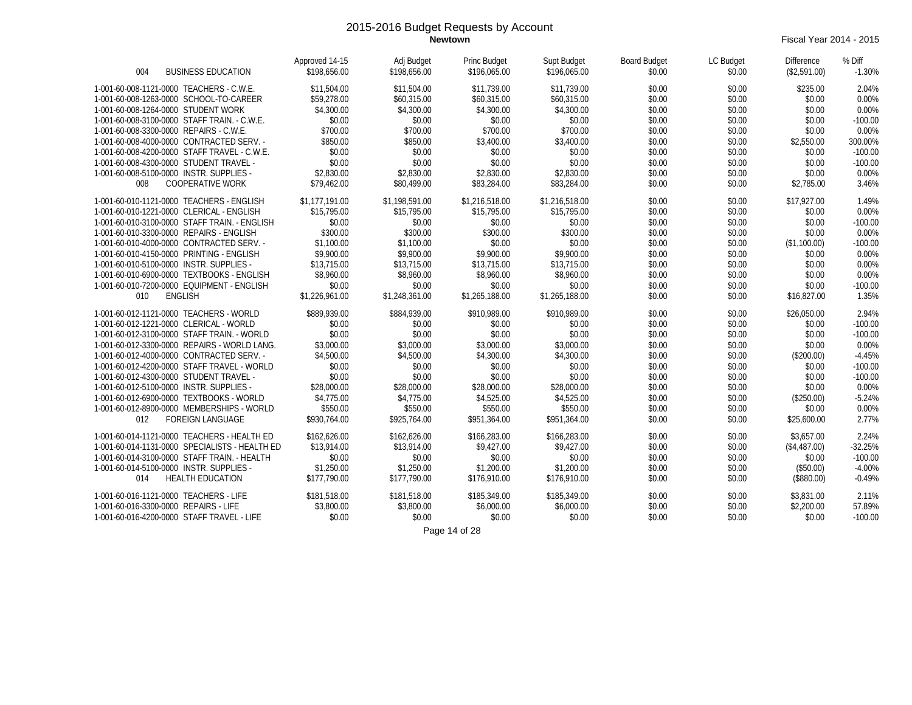**Newtown** Fiscal Year 2014 - 2015

| <b>BUSINESS EDUCATION</b>                                                  | Approved 14-15             | Adj Budget                 | Princ Budget               | Supt Budget                | <b>Board Budget</b> | LC Budget        | <b>Difference</b>       | % Diff               |
|----------------------------------------------------------------------------|----------------------------|----------------------------|----------------------------|----------------------------|---------------------|------------------|-------------------------|----------------------|
| 004                                                                        | \$198,656.00               | \$198,656.00               | \$196,065.00               | \$196,065,00               | \$0.00              | \$0.00           | (\$2,591.00)            | $-1.30%$             |
| 1-001-60-008-1121-0000 TEACHERS - C.W.E.                                   | \$11,504.00                | \$11,504.00                | \$11,739.00                | \$11,739.00                | \$0.00              | \$0.00           | \$235.00                | 2.04%                |
| 1-001-60-008-1263-0000 SCHOOL-TO-CAREER                                    | \$59,278.00                | \$60,315.00                | \$60,315.00                | \$60,315.00                | \$0.00              | \$0.00           | \$0.00                  | 0.00%                |
| 1-001-60-008-1264-0000 STUDENT WORK                                        | \$4,300.00                 | \$4,300.00                 | \$4,300.00                 | \$4,300.00                 | \$0.00              | \$0.00           | \$0.00                  | 0.00%                |
| 1-001-60-008-3100-0000 STAFF TRAIN. - C.W.E.                               | \$0.00                     | \$0.00                     | \$0.00                     | \$0.00                     | \$0.00              | \$0.00           | \$0.00                  | $-100.00$            |
| 1-001-60-008-3300-0000 REPAIRS - C.W.E.                                    | \$700.00                   | \$700.00                   | \$700.00                   | \$700.00                   | \$0.00              | \$0.00           | \$0.00                  | 0.00%                |
| 1-001-60-008-4000-0000 CONTRACTED SERV. -                                  | \$850.00                   | \$850.00                   | \$3,400.00                 | \$3,400.00                 | \$0.00              | \$0.00           | \$2,550.00              | 300.00%              |
| 1-001-60-008-4200-0000 STAFF TRAVEL - C.W.E.                               | \$0.00                     | \$0.00                     | \$0.00                     | \$0.00                     | \$0.00              | \$0.00           | \$0.00                  | $-100.00$            |
| 1-001-60-008-4300-0000 STUDENT TRAVEL -                                    | \$0.00                     | \$0.00                     | \$0.00                     | \$0.00                     | \$0.00              | \$0.00           | \$0.00                  | $-100.00$            |
| 1-001-60-008-5100-0000 INSTR. SUPPLIES -                                   | \$2,830.00                 | \$2,830.00                 | \$2,830.00                 | \$2,830.00                 | \$0.00              | \$0.00           | \$0.00                  | 0.00%                |
| <b>COOPERATIVE WORK</b><br>008                                             | \$79,462.00                | \$80,499.00                | \$83,284.00                | \$83,284.00                | \$0.00              | \$0.00           | \$2,785.00              | 3.46%                |
| 1-001-60-010-1121-0000 TEACHERS - ENGLISH                                  | \$1,177,191.00             | \$1,198,591.00             | \$1,216,518.00             | \$1,216,518.00             | \$0.00              | \$0.00           | \$17,927.00             | 1.49%                |
| 1-001-60-010-1221-0000 CLERICAL - ENGLISH                                  | \$15,795.00                | \$15,795.00                | \$15,795.00                | \$15,795.00                | \$0.00              | \$0.00           | \$0.00                  | 0.00%                |
| 1-001-60-010-3100-0000 STAFF TRAIN. - ENGLISH                              | \$0.00                     | \$0.00                     | \$0.00                     | \$0.00                     | \$0.00              | \$0.00           | \$0.00                  | $-100.00$            |
| 1-001-60-010-3300-0000 REPAIRS - ENGLISH                                   | \$300.00                   | \$300.00                   | \$300.00                   | \$300.00                   | \$0.00              | \$0.00           | \$0.00                  | 0.00%                |
| 1-001-60-010-4000-0000 CONTRACTED SERV. -                                  | \$1,100.00                 | \$1,100.00                 | \$0.00                     | \$0.00                     | \$0.00              | \$0.00           | (\$1,100.00)            | $-100.00$            |
| 1-001-60-010-4150-0000 PRINTING - ENGLISH                                  | \$9,900.00                 | \$9,900.00                 | \$9,900.00                 | \$9,900.00                 | \$0.00              | \$0.00           | \$0.00                  | 0.00%                |
| 1-001-60-010-5100-0000 INSTR. SUPPLIES -                                   | \$13,715.00                | \$13,715.00                | \$13,715.00                | \$13,715.00                | \$0.00              | \$0.00           | \$0.00                  | 0.00%                |
| 1-001-60-010-6900-0000 TEXTBOOKS - ENGLISH                                 | \$8,960.00                 | \$8,960.00                 | \$8,960.00                 | \$8,960.00                 | \$0.00              | \$0.00           | \$0.00                  | 0.00%                |
| 1-001-60-010-7200-0000 EQUIPMENT - ENGLISH<br>010<br><b>ENGLISH</b>        | \$0.00<br>\$1,226,961.00   | \$0.00<br>\$1,248,361.00   | \$0.00<br>\$1,265,188.00   | \$0.00<br>\$1,265,188.00   | \$0.00<br>\$0.00    | \$0.00<br>\$0.00 | \$0.00<br>\$16,827.00   | $-100.00$<br>1.35%   |
| 1-001-60-012-1121-0000 TEACHERS - WORLD                                    | \$889,939.00               | \$884,939.00               | \$910,989.00               | \$910,989.00               | \$0.00              | \$0.00           | \$26,050.00             | 2.94%                |
| 1-001-60-012-1221-0000 CLERICAL - WORLD                                    | \$0.00                     | \$0.00                     | \$0.00                     | \$0.00                     | \$0.00              | \$0.00           | \$0.00                  | $-100.00$            |
| 1-001-60-012-3100-0000 STAFF TRAIN. - WORLD                                | \$0.00                     | \$0.00                     | \$0.00                     | \$0.00                     | \$0.00              | \$0.00           | \$0.00                  | $-100.00$            |
| 1-001-60-012-3300-0000 REPAIRS - WORLD LANG.                               | \$3,000.00                 | \$3,000.00                 | \$3,000.00                 | \$3,000.00                 | \$0.00              | \$0.00           | \$0.00                  | 0.00%                |
| 1-001-60-012-4000-0000 CONTRACTED SERV. -                                  | \$4,500.00                 | \$4,500.00                 | \$4,300.00                 | \$4,300.00                 | \$0.00              | \$0.00           | (\$200.00)              | $-4.45%$             |
| 1-001-60-012-4200-0000 STAFF TRAVEL - WORLD                                | \$0.00                     | \$0.00                     | \$0.00                     | \$0.00                     | \$0.00              | \$0.00           | \$0.00                  | $-100.00$            |
| 1-001-60-012-4300-0000 STUDENT TRAVEL -                                    | \$0.00                     | \$0.00                     | \$0.00                     | \$0.00                     | \$0.00              | \$0.00           | \$0.00                  | $-100.00$            |
| 1-001-60-012-5100-0000 INSTR. SUPPLIES -                                   | \$28,000.00                | \$28,000.00                | \$28,000.00                | \$28,000.00                | \$0.00              | \$0.00           | \$0.00                  | 0.00%                |
| 1-001-60-012-6900-0000 TEXTBOOKS - WORLD                                   | \$4,775.00                 | \$4,775.00                 | \$4,525.00                 | \$4,525.00                 | \$0.00              | \$0.00           | (\$250.00)              | $-5.24%$             |
| 1-001-60-012-8900-0000 MEMBERSHIPS - WORLD                                 | \$550.00                   | \$550.00                   | \$550.00                   | \$550.00                   | \$0.00              | \$0.00           | \$0.00                  | 0.00%                |
| 012<br><b>FOREIGN LANGUAGE</b>                                             | \$930.764.00               | \$925.764.00               | \$951,364.00               | \$951,364.00               | \$0.00              | \$0.00           | \$25,600.00             | 2.77%                |
| 1-001-60-014-1121-0000 TEACHERS - HEALTH ED                                | \$162,626.00               | \$162,626.00               | \$166,283.00               | \$166,283.00               | \$0.00              | \$0.00           | \$3.657.00              | 2.24%                |
| 1-001-60-014-1131-0000 SPECIALISTS - HEALTH ED                             | \$13,914.00                | \$13,914.00                | \$9,427.00                 | \$9,427.00                 | \$0.00              | \$0.00           | (\$4,487.00)            | $-32.25%$            |
| 1-001-60-014-3100-0000 STAFF TRAIN. - HEALTH                               | \$0.00                     | \$0.00                     | \$0.00                     | \$0.00                     | \$0.00              | \$0.00           | \$0.00                  | $-100.00$            |
| 1-001-60-014-5100-0000 INSTR. SUPPLIES -<br>014<br><b>HEALTH EDUCATION</b> | \$1,250.00<br>\$177.790.00 | \$1,250.00<br>\$177.790.00 | \$1,200.00<br>\$176,910.00 | \$1,200.00<br>\$176,910.00 | \$0.00<br>\$0.00    | \$0.00<br>\$0.00 | (\$50.00)<br>(\$880.00) | $-4.00%$<br>$-0.49%$ |
| 1-001-60-016-1121-0000 TEACHERS - LIFE                                     | \$181.518.00               | \$181.518.00               | \$185,349.00               | \$185,349.00               | \$0.00              | \$0.00           | \$3,831.00              | 2.11%                |
| 1-001-60-016-3300-0000 REPAIRS - LIFE                                      | \$3,800.00                 | \$3,800.00                 | \$6,000.00                 | \$6,000.00                 | \$0.00              | \$0.00           | \$2,200.00              | 57.89%               |
| 1-001-60-016-4200-0000 STAFF TRAVEL - LIFE                                 | \$0.00                     | \$0.00                     | \$0.00                     | \$0.00                     | \$0.00              | \$0.00           | \$0.00                  | $-100.00$            |

Page 14 of 28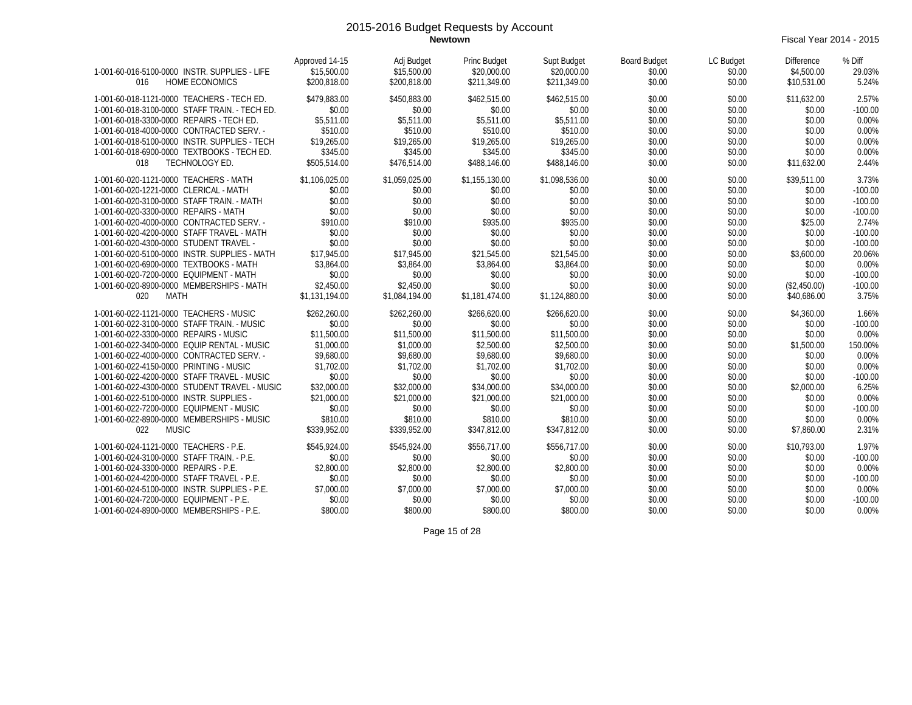**Newtown** Fiscal Year 2014 - 2015

| 1-001-60-016-5100-0000 INSTR. SUPPLIES - LIFE<br><b>HOME ECONOMICS</b><br>016                                                             | Approved 14-15<br>\$15,500.00<br>\$200.818.00 | Adj Budget<br>\$15,500.00<br>\$200.818.00 | Princ Budget<br>\$20,000.00<br>\$211,349.00 | Supt Budget<br>\$20,000.00<br>\$211,349.00 | <b>Board Budget</b><br>\$0.00<br>\$0.00 | LC Budget<br>\$0.00<br>\$0.00 | <b>Difference</b><br>\$4,500.00<br>\$10.531.00 | % Diff<br>29.03%<br>5.24%   |
|-------------------------------------------------------------------------------------------------------------------------------------------|-----------------------------------------------|-------------------------------------------|---------------------------------------------|--------------------------------------------|-----------------------------------------|-------------------------------|------------------------------------------------|-----------------------------|
| 1-001-60-018-1121-0000 TEACHERS - TECH ED.<br>1-001-60-018-3100-0000 STAFF TRAIN. - TECH ED.<br>1-001-60-018-3300-0000 REPAIRS - TECH ED. | \$479,883.00<br>\$0.00<br>\$5.511.00          | \$450.883.00<br>\$0.00<br>\$5.511.00      | \$462,515.00<br>\$0.00<br>\$5,511.00        | \$462.515.00<br>\$0.00<br>\$5,511.00       | \$0.00<br>\$0.00<br>\$0.00              | \$0.00<br>\$0.00<br>\$0.00    | \$11,632.00<br>\$0.00<br>\$0.00                | 2.57%<br>$-100.00$<br>0.00% |
| 1-001-60-018-4000-0000 CONTRACTED SERV. -<br>1-001-60-018-5100-0000 INSTR. SUPPLIES - TECH                                                | \$510.00                                      | \$510.00<br>\$19,265.00                   | \$510.00                                    | \$510.00                                   | \$0.00<br>\$0.00                        | \$0.00                        | \$0.00<br>\$0.00                               | 0.00%<br>0.00%              |
| 1-001-60-018-6900-0000 TEXTBOOKS - TECH ED.                                                                                               | \$19,265.00<br>\$345.00                       | \$345.00                                  | \$19,265.00<br>\$345.00                     | \$19,265.00<br>\$345.00                    | \$0.00                                  | \$0.00<br>\$0.00              | \$0.00                                         | 0.00%                       |
| TECHNOLOGY ED.<br>018                                                                                                                     | \$505,514.00                                  | \$476,514.00                              | \$488,146.00                                | \$488,146.00                               | \$0.00                                  | \$0.00                        | \$11,632.00                                    | 2.44%                       |
| 1-001-60-020-1121-0000 TEACHERS - MATH                                                                                                    | \$1.106.025.00                                | \$1,059,025.00                            | \$1,155,130.00                              | \$1.098.536.00                             | \$0.00                                  | \$0.00                        | \$39.511.00                                    | 3.73%                       |
| 1-001-60-020-1221-0000 CLERICAL - MATH                                                                                                    | \$0.00                                        | \$0.00                                    | \$0.00                                      | \$0.00                                     | \$0.00                                  | \$0.00                        | \$0.00                                         | $-100.00$                   |
| 1-001-60-020-3100-0000 STAFF TRAIN. - MATH                                                                                                | \$0.00                                        | \$0.00                                    | \$0.00                                      | \$0.00                                     | \$0.00                                  | \$0.00                        | \$0.00                                         | $-100.00$                   |
| 1-001-60-020-3300-0000 REPAIRS - MATH                                                                                                     | \$0.00                                        | \$0.00                                    | \$0.00                                      | \$0.00                                     | \$0.00                                  | \$0.00                        | \$0.00                                         | $-100.00$                   |
| 1-001-60-020-4000-0000 CONTRACTED SERV. -                                                                                                 | \$910.00                                      | \$910.00                                  | \$935.00                                    | \$935.00                                   | \$0.00                                  | \$0.00                        | \$25.00                                        | 2.74%                       |
| 1-001-60-020-4200-0000 STAFF TRAVEL - MATH                                                                                                | \$0.00                                        | \$0.00                                    | \$0.00                                      | \$0.00                                     | \$0.00                                  | \$0.00                        | \$0.00                                         | $-100.00$                   |
| 1-001-60-020-4300-0000 STUDENT TRAVEL -                                                                                                   | \$0.00                                        | \$0.00                                    | \$0.00                                      | \$0.00                                     | \$0.00                                  | \$0.00                        | \$0.00                                         | $-100.00$                   |
| 1-001-60-020-5100-0000 INSTR. SUPPLIES - MATH<br>1-001-60-020-6900-0000 TEXTBOOKS - MATH                                                  | \$17,945.00<br>\$3,864.00                     | \$17,945.00<br>\$3,864.00                 | \$21,545.00<br>\$3,864.00                   | \$21,545.00<br>\$3,864.00                  | \$0.00<br>\$0.00                        | \$0.00<br>\$0.00              | \$3,600.00<br>\$0.00                           | 20.06%<br>0.00%             |
| 1-001-60-020-7200-0000 EQUIPMENT - MATH                                                                                                   | \$0.00                                        | \$0.00                                    | \$0.00                                      | \$0.00                                     | \$0.00                                  | \$0.00                        | \$0.00                                         | $-100.00$                   |
| 1-001-60-020-8900-0000 MEMBERSHIPS - MATH                                                                                                 | \$2,450.00                                    | \$2,450.00                                | \$0.00                                      | \$0.00                                     | \$0.00                                  | \$0.00                        | (\$2,450.00)                                   | $-100.00$                   |
| 020<br>MATH                                                                                                                               | \$1,131,194.00                                | \$1,084,194.00                            | \$1,181,474.00                              | \$1,124,880.00                             | \$0.00                                  | \$0.00                        | \$40,686.00                                    | 3.75%                       |
|                                                                                                                                           |                                               |                                           |                                             |                                            |                                         |                               |                                                |                             |
| 1-001-60-022-1121-0000 TEACHERS - MUSIC                                                                                                   | \$262,260.00                                  | \$262,260.00                              | \$266,620.00                                | \$266,620.00                               | \$0.00                                  | \$0.00                        | \$4,360.00                                     | 1.66%                       |
| 1-001-60-022-3100-0000 STAFF TRAIN. - MUSIC                                                                                               | \$0.00                                        | \$0.00                                    | \$0.00                                      | \$0.00                                     | \$0.00                                  | \$0.00                        | \$0.00                                         | $-100.00$                   |
| 1-001-60-022-3300-0000 REPAIRS - MUSIC                                                                                                    | \$11,500.00                                   | \$11,500.00                               | \$11,500.00                                 | \$11,500.00                                | \$0.00                                  | \$0.00                        | \$0.00                                         | 0.00%                       |
| 1-001-60-022-3400-0000 EQUIP RENTAL - MUSIC                                                                                               | \$1,000.00                                    | \$1,000.00                                | \$2,500.00                                  | \$2,500.00                                 | \$0.00                                  | \$0.00                        | \$1,500.00                                     | 150.00%                     |
| 1-001-60-022-4000-0000 CONTRACTED SERV. -                                                                                                 | \$9,680.00                                    | \$9,680.00                                | \$9,680.00                                  | \$9,680.00                                 | \$0.00                                  | \$0.00                        | \$0.00                                         | 0.00%                       |
| 1-001-60-022-4150-0000 PRINTING - MUSIC                                                                                                   | \$1,702.00                                    | \$1,702.00                                | \$1,702.00                                  | \$1,702.00                                 | \$0.00                                  | \$0.00                        | \$0.00                                         | 0.00%                       |
| 1-001-60-022-4200-0000 STAFF TRAVEL - MUSIC                                                                                               | \$0.00                                        | \$0.00                                    | \$0.00                                      | \$0.00                                     | \$0.00                                  | \$0.00                        | \$0.00                                         | $-100.00$                   |
| 1-001-60-022-4300-0000 STUDENT TRAVEL - MUSIC                                                                                             | \$32,000.00                                   | \$32,000.00                               | \$34,000.00                                 | \$34,000.00                                | \$0.00                                  | \$0.00                        | \$2,000.00                                     | 6.25%                       |
| 1-001-60-022-5100-0000 INSTR. SUPPLIES -                                                                                                  | \$21,000.00                                   | \$21,000.00                               | \$21,000.00                                 | \$21,000.00                                | \$0.00                                  | \$0.00                        | \$0.00                                         | 0.00%                       |
| 1-001-60-022-7200-0000 EQUIPMENT - MUSIC<br>1-001-60-022-8900-0000 MEMBERSHIPS - MUSIC                                                    | \$0.00<br>\$810.00                            | \$0.00<br>\$810.00                        | \$0.00<br>\$810.00                          | \$0.00<br>\$810.00                         | \$0.00<br>\$0.00                        | \$0.00<br>\$0.00              | \$0.00<br>\$0.00                               | $-100.00$<br>0.00%          |
| <b>MUSIC</b><br>022                                                                                                                       | \$339,952.00                                  | \$339,952.00                              | \$347,812.00                                | \$347.812.00                               | \$0.00                                  | \$0.00                        | \$7.860.00                                     | 2.31%                       |
|                                                                                                                                           |                                               |                                           |                                             |                                            |                                         |                               |                                                |                             |
| 1-001-60-024-1121-0000 TEACHERS - P.E.                                                                                                    | \$545,924.00                                  | \$545,924.00                              | \$556,717.00                                | \$556,717.00                               | \$0.00                                  | \$0.00                        | \$10,793.00                                    | 1.97%                       |
| 1-001-60-024-3100-0000 STAFF TRAIN. - P.E.                                                                                                | \$0.00                                        | \$0.00                                    | \$0.00                                      | \$0.00                                     | \$0.00                                  | \$0.00                        | \$0.00                                         | $-100.00$                   |
| 1-001-60-024-3300-0000 REPAIRS - P.E.                                                                                                     | \$2,800.00                                    | \$2,800.00                                | \$2,800.00                                  | \$2,800.00                                 | \$0.00                                  | \$0.00                        | \$0.00                                         | 0.00%                       |
| 1-001-60-024-4200-0000 STAFF TRAVEL - P.E.                                                                                                | \$0.00                                        | \$0.00                                    | \$0.00                                      | \$0.00                                     | \$0.00                                  | \$0.00                        | \$0.00                                         | $-100.00$                   |
| 1-001-60-024-5100-0000 INSTR. SUPPLIES - P.E.                                                                                             | \$7,000.00                                    | \$7,000.00                                | \$7,000.00                                  | \$7,000.00                                 | \$0.00                                  | \$0.00                        | \$0.00                                         | 0.00%                       |
| 1-001-60-024-7200-0000 EQUIPMENT - P.E.                                                                                                   | \$0.00                                        | \$0.00                                    | \$0.00                                      | \$0.00                                     | \$0.00                                  | \$0.00                        | \$0.00                                         | $-100.00$                   |
| 1-001-60-024-8900-0000 MEMBERSHIPS - P.E.                                                                                                 | \$800.00                                      | \$800.00                                  | \$800.00                                    | \$800.00                                   | \$0.00                                  | \$0.00                        | \$0.00                                         | 0.00%                       |

Page 15 of 28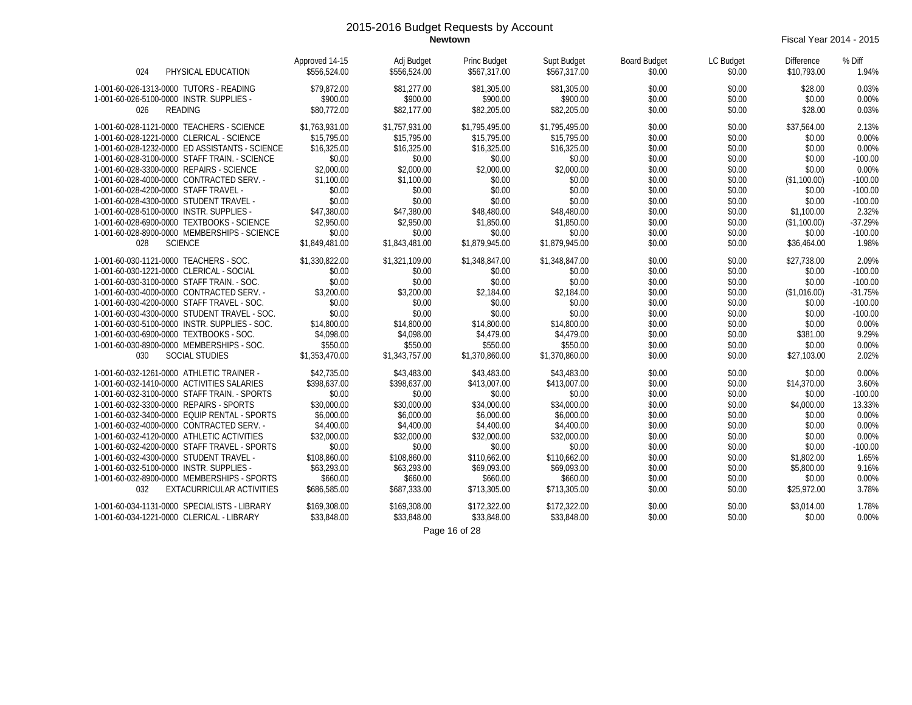**Newtown** Fiscal Year 2014 - 2015

| 024<br>PHYSICAL EDUCATION                      | Approved 14-15<br>\$556,524.00 | Adj Budget<br>\$556,524.00 | Princ Budget<br>\$567,317.00 | Supt Budget<br>\$567,317.00 | <b>Board Budget</b><br>\$0.00 | LC Budget<br>\$0.00 | <b>Difference</b><br>\$10,793.00 | % Diff<br>1.94% |
|------------------------------------------------|--------------------------------|----------------------------|------------------------------|-----------------------------|-------------------------------|---------------------|----------------------------------|-----------------|
| 1-001-60-026-1313-0000 TUTORS - READING        | \$79,872.00                    | \$81,277.00                | \$81,305.00                  | \$81,305.00                 | \$0.00                        | \$0.00              | \$28.00                          | 0.03%           |
| 1-001-60-026-5100-0000 INSTR. SUPPLIES -       | \$900.00                       | \$900.00                   | \$900.00                     | \$900.00                    | \$0.00                        | \$0.00              | \$0.00                           | 0.00%           |
| 026<br>READING                                 | \$80,772.00                    | \$82,177.00                | \$82,205.00                  | \$82,205.00                 | \$0.00                        | \$0.00              | \$28.00                          | 0.03%           |
| 1-001-60-028-1121-0000 TEACHERS - SCIENCE      | \$1,763,931.00                 | \$1,757,931.00             | \$1,795,495.00               | \$1,795,495.00              | \$0.00                        | \$0.00              | \$37,564.00                      | 2.13%           |
| 1-001-60-028-1221-0000 CLERICAL - SCIENCE      | \$15,795.00                    | \$15,795.00                | \$15,795.00                  | \$15,795.00                 | \$0.00                        | \$0.00              | \$0.00                           | 0.00%           |
| 1-001-60-028-1232-0000 ED ASSISTANTS - SCIENCE | \$16,325.00                    | \$16,325.00                | \$16,325.00                  | \$16,325.00                 | \$0.00                        | \$0.00              | \$0.00                           | 0.00%           |
| 1-001-60-028-3100-0000 STAFF TRAIN. - SCIENCE  | \$0.00                         | \$0.00                     | \$0.00                       | \$0.00                      | \$0.00                        | \$0.00              | \$0.00                           | $-100.00$       |
| 1-001-60-028-3300-0000 REPAIRS - SCIENCE       | \$2,000.00                     | \$2,000.00                 | \$2,000.00                   | \$2,000.00                  | \$0.00                        | \$0.00              | \$0.00                           | 0.00%           |
| 1-001-60-028-4000-0000 CONTRACTED SERV. -      | \$1,100.00                     | \$1,100.00                 | \$0.00                       | \$0.00                      | \$0.00                        | \$0.00              | (\$1,100.00)                     | $-100.00$       |
| 1-001-60-028-4200-0000 STAFF TRAVEL -          | \$0.00                         | \$0.00                     | \$0.00                       | \$0.00                      | \$0.00                        | \$0.00              | \$0.00                           | $-100.00$       |
| 1-001-60-028-4300-0000 STUDENT TRAVEL -        | \$0.00                         | \$0.00                     | \$0.00                       | \$0.00                      | \$0.00                        | \$0.00              | \$0.00                           | $-100.00$       |
| 1-001-60-028-5100-0000 INSTR. SUPPLIES -       | \$47,380.00                    | \$47,380.00                | \$48,480.00                  | \$48,480.00                 | \$0.00                        | \$0.00              | \$1,100.00                       | 2.32%           |
| 1-001-60-028-6900-0000 TEXTBOOKS - SCIENCE     | \$2,950.00                     | \$2,950.00                 | \$1,850.00                   | \$1,850.00                  | \$0.00                        | \$0.00              | (\$1,100.00)                     | $-37.29%$       |
| 1-001-60-028-8900-0000 MEMBERSHIPS - SCIENCE   | \$0.00                         | \$0.00                     | \$0.00                       | \$0.00                      | \$0.00                        | \$0.00              | \$0.00                           | $-100.00$       |
| <b>SCIENCE</b><br>028                          | \$1,849,481.00                 | \$1,843,481.00             | \$1,879,945.00               | \$1,879,945.00              | \$0.00                        | \$0.00              | \$36,464.00                      | 1.98%           |
| 1-001-60-030-1121-0000 TEACHERS - SOC.         | \$1,330,822.00                 | \$1,321,109.00             | \$1,348,847.00               | \$1,348,847.00              | \$0.00                        | \$0.00              | \$27,738.00                      | 2.09%           |
| 1-001-60-030-1221-0000 CLERICAL - SOCIAL       | \$0.00                         | \$0.00                     | \$0.00                       | \$0.00                      | \$0.00                        | \$0.00              | \$0.00                           | $-100.00$       |
| 1-001-60-030-3100-0000 STAFF TRAIN. - SOC.     | \$0.00                         | \$0.00                     | \$0.00                       | \$0.00                      | \$0.00                        | \$0.00              | \$0.00                           | $-100.00$       |
| 1-001-60-030-4000-0000 CONTRACTED SERV. -      | \$3,200.00                     | \$3,200.00                 | \$2,184.00                   | \$2,184.00                  | \$0.00                        | \$0.00              | (\$1,016.00)                     | $-31.75%$       |
| 1-001-60-030-4200-0000 STAFF TRAVEL - SOC.     | \$0.00                         | \$0.00                     | \$0.00                       | \$0.00                      | \$0.00                        | \$0.00              | \$0.00                           | $-100.00$       |
| 1-001-60-030-4300-0000 STUDENT TRAVEL - SOC.   | \$0.00                         | \$0.00                     | \$0.00                       | \$0.00                      | \$0.00                        | \$0.00              | \$0.00                           | $-100.00$       |
| 1-001-60-030-5100-0000 INSTR. SUPPLIES - SOC.  | \$14,800.00                    | \$14,800.00                | \$14,800.00                  | \$14,800.00                 | \$0.00                        | \$0.00              | \$0.00                           | 0.00%           |
| 1-001-60-030-6900-0000 TEXTBOOKS - SOC.        | \$4,098.00                     | \$4,098.00                 | \$4,479.00                   | \$4,479.00                  | \$0.00                        | \$0.00              | \$381.00                         | 9.29%           |
| 1-001-60-030-8900-0000 MEMBERSHIPS - SOC.      | \$550.00                       | \$550.00                   | \$550.00                     | \$550.00                    | \$0.00                        | \$0.00              | \$0.00                           | 0.00%           |
| <b>SOCIAL STUDIES</b><br>030                   | \$1,353,470.00                 | \$1,343,757.00             | \$1,370,860.00               | \$1,370,860.00              | \$0.00                        | \$0.00              | \$27,103.00                      | 2.02%           |
| 1-001-60-032-1261-0000 ATHLETIC TRAINER -      | \$42,735.00                    | \$43,483.00                | \$43,483.00                  | \$43,483.00                 | \$0.00                        | \$0.00              | \$0.00                           | 0.00%           |
| 1-001-60-032-1410-0000 ACTIVITIES SALARIES     | \$398,637.00                   | \$398,637.00               | \$413,007.00                 | \$413,007.00                | \$0.00                        | \$0.00              | \$14,370.00                      | 3.60%           |
| 1-001-60-032-3100-0000 STAFF TRAIN. - SPORTS   | \$0.00                         | \$0.00                     | \$0.00                       | \$0.00                      | \$0.00                        | \$0.00              | \$0.00                           | $-100.00$       |
| 1-001-60-032-3300-0000 REPAIRS - SPORTS        | \$30,000.00                    | \$30,000.00                | \$34,000.00                  | \$34,000.00                 | \$0.00                        | \$0.00              | \$4,000.00                       | 13.33%          |
| 1-001-60-032-3400-0000 EQUIP RENTAL - SPORTS   | \$6,000.00                     | \$6,000.00                 | \$6,000.00                   | \$6,000.00                  | \$0.00                        | \$0.00              | \$0.00                           | 0.00%           |
| 1-001-60-032-4000-0000 CONTRACTED SERV. -      | \$4,400.00                     | \$4,400.00                 | \$4,400.00                   | \$4,400.00                  | \$0.00                        | \$0.00              | \$0.00                           | 0.00%           |
| 1-001-60-032-4120-0000 ATHLETIC ACTIVITIES     | \$32,000.00                    | \$32,000.00                | \$32,000.00                  | \$32,000.00                 | \$0.00                        | \$0.00              | \$0.00                           | 0.00%           |
| 1-001-60-032-4200-0000 STAFF TRAVEL - SPORTS   | \$0.00                         | \$0.00                     | \$0.00                       | \$0.00                      | \$0.00                        | \$0.00              | \$0.00                           | $-100.00$       |
| 1-001-60-032-4300-0000 STUDENT TRAVEL -        | \$108,860.00                   | \$108,860.00               | \$110.662.00                 | \$110.662.00                | \$0.00                        | \$0.00              | \$1,802.00                       | 1.65%           |
| 1-001-60-032-5100-0000 INSTR. SUPPLIES -       | \$63,293.00                    | \$63,293.00                | \$69,093.00                  | \$69,093.00                 | \$0.00                        | \$0.00              | \$5,800.00                       | 9.16%           |
| 1-001-60-032-8900-0000 MEMBERSHIPS - SPORTS    | \$660.00                       | \$660.00                   | \$660.00                     | \$660.00                    | \$0.00                        | \$0.00              | \$0.00                           | 0.00%           |
| EXTACURRICULAR ACTIVITIES<br>032               | \$686,585.00                   | \$687,333.00               | \$713,305.00                 | \$713,305.00                | \$0.00                        | \$0.00              | \$25,972.00                      | 3.78%           |
| 1-001-60-034-1131-0000 SPECIALISTS - LIBRARY   | \$169,308.00                   | \$169,308.00               | \$172,322.00                 | \$172,322.00                | \$0.00                        | \$0.00              | \$3,014.00                       | 1.78%           |
| 1-001-60-034-1221-0000 CLERICAL - LIBRARY      | \$33,848.00                    | \$33,848.00                | \$33,848.00                  | \$33,848.00                 | \$0.00                        | \$0.00              | \$0.00                           | 0.00%           |
|                                                |                                |                            |                              |                             |                               |                     |                                  |                 |

Page 16 of 28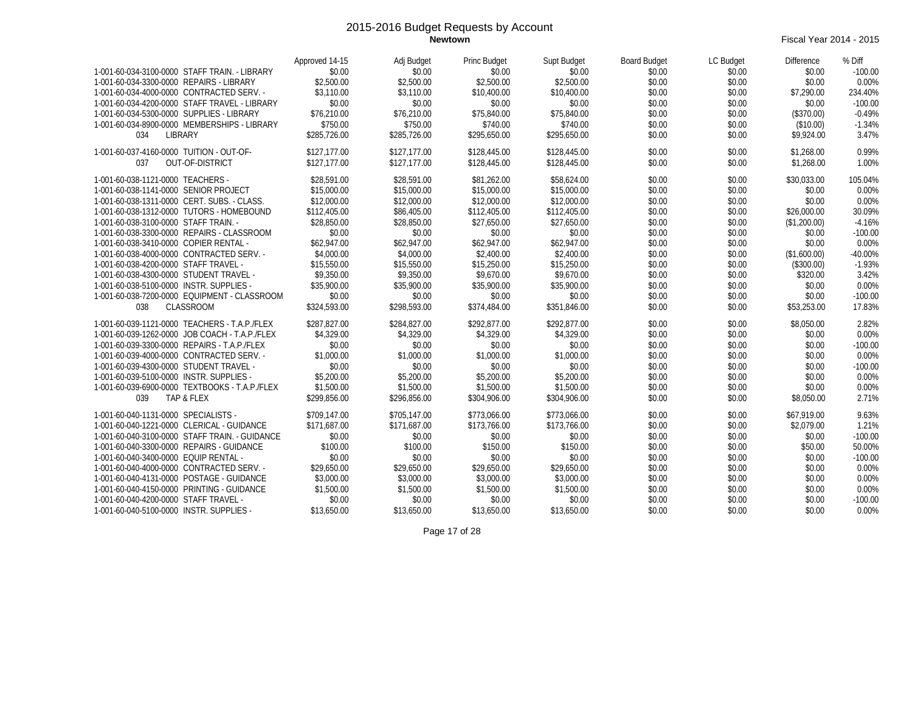**Newtown** Fiscal Year 2014 - 2015

| 1-001-60-034-3100-0000 STAFF TRAIN. - LIBRARY<br>1-001-60-034-3300-0000 REPAIRS - LIBRARY<br>1-001-60-034-4000-0000 CONTRACTED SERV. -<br>1-001-60-034-4200-0000 STAFF TRAVEL - LIBRARY<br>1-001-60-034-5300-0000 SUPPLIES - LIBRARY<br>1-001-60-034-8900-0000 MEMBERSHIPS - LIBRARY                                                                                                                                                                                                                                                                            | Approved 14-15<br>\$0.00<br>\$2,500.00<br>\$3,110.00<br>\$0.00<br>\$76,210.00<br>\$750.00                                                                                             | Adj Budget<br>\$0.00<br>\$2,500.00<br>\$3,110.00<br>\$0.00<br>\$76,210.00<br>\$750.00                                                                                                | <b>Princ Budget</b><br>\$0.00<br>\$2,500.00<br>\$10,400.00<br>\$0.00<br>\$75,840.00<br>\$740.00                                                                                       | Supt Budget<br>\$0.00<br>\$2,500.00<br>\$10,400.00<br>\$0.00<br>\$75,840.00<br>\$740.00                                                                                               | <b>Board Budget</b><br>\$0.00<br>\$0.00<br>\$0.00<br>\$0.00<br>\$0.00<br>\$0.00                                                | LC Budget<br>\$0.00<br>\$0.00<br>\$0.00<br>\$0.00<br>\$0.00<br>\$0.00                                                          | Difference<br>\$0.00<br>\$0.00<br>\$7,290.00<br>\$0.00<br>(\$370.00)<br>(\$10.00)                                                                               | % Diff<br>$-100.00$<br>0.00%<br>234.40%<br>$-100.00$<br>$-0.49%$<br>$-1.34%$                                                            |
|-----------------------------------------------------------------------------------------------------------------------------------------------------------------------------------------------------------------------------------------------------------------------------------------------------------------------------------------------------------------------------------------------------------------------------------------------------------------------------------------------------------------------------------------------------------------|---------------------------------------------------------------------------------------------------------------------------------------------------------------------------------------|--------------------------------------------------------------------------------------------------------------------------------------------------------------------------------------|---------------------------------------------------------------------------------------------------------------------------------------------------------------------------------------|---------------------------------------------------------------------------------------------------------------------------------------------------------------------------------------|--------------------------------------------------------------------------------------------------------------------------------|--------------------------------------------------------------------------------------------------------------------------------|-----------------------------------------------------------------------------------------------------------------------------------------------------------------|-----------------------------------------------------------------------------------------------------------------------------------------|
| 034<br>LIBRARY                                                                                                                                                                                                                                                                                                                                                                                                                                                                                                                                                  | \$285,726.00                                                                                                                                                                          | \$285,726.00                                                                                                                                                                         | \$295,650.00                                                                                                                                                                          | \$295,650.00                                                                                                                                                                          | \$0.00                                                                                                                         | \$0.00                                                                                                                         | \$9,924.00                                                                                                                                                      | 3.47%                                                                                                                                   |
| 1-001-60-037-4160-0000 TUITION - OUT-OF-<br><b>OUT-OF-DISTRICT</b><br>037                                                                                                                                                                                                                                                                                                                                                                                                                                                                                       | \$127,177.00<br>\$127,177.00                                                                                                                                                          | \$127.177.00<br>\$127.177.00                                                                                                                                                         | \$128,445.00<br>\$128,445.00                                                                                                                                                          | \$128,445.00<br>\$128,445.00                                                                                                                                                          | \$0.00<br>\$0.00                                                                                                               | \$0.00<br>\$0.00                                                                                                               | \$1,268.00<br>\$1,268.00                                                                                                                                        | 0.99%<br>1.00%                                                                                                                          |
| 1-001-60-038-1121-0000 TEACHERS -<br>1-001-60-038-1141-0000 SENIOR PROJECT<br>1-001-60-038-1311-0000 CERT. SUBS. - CLASS.<br>1-001-60-038-1312-0000 TUTORS - HOMEBOUND<br>1-001-60-038-3100-0000 STAFF TRAIN. -<br>1-001-60-038-3300-0000 REPAIRS - CLASSROOM<br>1-001-60-038-3410-0000 COPIER RENTAL -<br>1-001-60-038-4000-0000 CONTRACTED SERV. -<br>1-001-60-038-4200-0000 STAFF TRAVEL -<br>1-001-60-038-4300-0000 STUDENT TRAVEL -<br>1-001-60-038-5100-0000 INSTR. SUPPLIES -<br>1-001-60-038-7200-0000 EQUIPMENT - CLASSROOM<br><b>CLASSROOM</b><br>038 | \$28,591.00<br>\$15,000.00<br>\$12,000.00<br>\$112,405.00<br>\$28,850.00<br>\$0.00<br>\$62,947.00<br>\$4,000.00<br>\$15,550.00<br>\$9,350.00<br>\$35,900.00<br>\$0.00<br>\$324,593.00 | \$28,591.00<br>\$15,000.00<br>\$12,000.00<br>\$86,405.00<br>\$28,850.00<br>\$0.00<br>\$62,947.00<br>\$4,000.00<br>\$15,550.00<br>\$9,350.00<br>\$35,900.00<br>\$0.00<br>\$298.593.00 | \$81,262.00<br>\$15,000.00<br>\$12,000.00<br>\$112,405.00<br>\$27,650.00<br>\$0.00<br>\$62,947.00<br>\$2,400.00<br>\$15,250.00<br>\$9,670.00<br>\$35,900.00<br>\$0.00<br>\$374,484.00 | \$58,624.00<br>\$15,000.00<br>\$12,000.00<br>\$112,405.00<br>\$27,650.00<br>\$0.00<br>\$62,947.00<br>\$2,400.00<br>\$15,250.00<br>\$9,670.00<br>\$35,900.00<br>\$0.00<br>\$351.846.00 | \$0.00<br>\$0.00<br>\$0.00<br>\$0.00<br>\$0.00<br>\$0.00<br>\$0.00<br>\$0.00<br>\$0.00<br>\$0.00<br>\$0.00<br>\$0.00<br>\$0.00 | \$0.00<br>\$0.00<br>\$0.00<br>\$0.00<br>\$0.00<br>\$0.00<br>\$0.00<br>\$0.00<br>\$0.00<br>\$0.00<br>\$0.00<br>\$0.00<br>\$0.00 | \$30,033.00<br>\$0.00<br>\$0.00<br>\$26,000.00<br>(\$1,200.00)<br>\$0.00<br>\$0.00<br>(\$1,600.00)<br>(\$300.00)<br>\$320.00<br>\$0.00<br>\$0.00<br>\$53,253.00 | 105.04%<br>0.00%<br>0.00%<br>30.09%<br>$-4.16%$<br>$-100.00$<br>0.00%<br>$-40.00%$<br>$-1.93%$<br>3.42%<br>0.00%<br>$-100.00$<br>17.83% |
| 1-001-60-039-1121-0000 TEACHERS - T.A.P./FLEX<br>1-001-60-039-1262-0000 JOB COACH - T.A.P./FLEX<br>1-001-60-039-3300-0000 REPAIRS - T.A.P./FLEX<br>1-001-60-039-4000-0000 CONTRACTED SERV. -<br>1-001-60-039-4300-0000 STUDENT TRAVEL -<br>1-001-60-039-5100-0000 INSTR. SUPPLIES -<br>1-001-60-039-6900-0000 TEXTBOOKS - T.A.P./FLEX<br>039<br>TAP & FLEX                                                                                                                                                                                                      | \$287,827.00<br>\$4,329.00<br>\$0.00<br>\$1,000.00<br>\$0.00<br>\$5,200.00<br>\$1,500.00<br>\$299.856.00                                                                              | \$284,827.00<br>\$4,329.00<br>\$0.00<br>\$1,000.00<br>\$0.00<br>\$5,200.00<br>\$1,500.00<br>\$296.856.00                                                                             | \$292,877.00<br>\$4,329.00<br>\$0.00<br>\$1,000.00<br>\$0.00<br>\$5,200.00<br>\$1,500.00<br>\$304,906.00                                                                              | \$292,877.00<br>\$4,329.00<br>\$0.00<br>\$1,000.00<br>\$0.00<br>\$5,200.00<br>\$1,500.00<br>\$304,906.00                                                                              | \$0.00<br>\$0.00<br>\$0.00<br>\$0.00<br>\$0.00<br>\$0.00<br>\$0.00<br>\$0.00                                                   | \$0.00<br>\$0.00<br>\$0.00<br>\$0.00<br>\$0.00<br>\$0.00<br>\$0.00<br>\$0.00                                                   | \$8,050.00<br>\$0.00<br>\$0.00<br>\$0.00<br>\$0.00<br>\$0.00<br>\$0.00<br>\$8,050.00                                                                            | 2.82%<br>0.00%<br>$-100.00$<br>0.00%<br>$-100.00$<br>0.00%<br>0.00%<br>2.71%                                                            |
| 1-001-60-040-1131-0000 SPECIALISTS -<br>1-001-60-040-1221-0000 CLERICAL - GUIDANCE<br>1-001-60-040-3100-0000 STAFF TRAIN. - GUIDANCE<br>1-001-60-040-3300-0000 REPAIRS - GUIDANCE<br>1-001-60-040-3400-0000 EQUIP RENTAL -<br>1-001-60-040-4000-0000 CONTRACTED SERV. -<br>1-001-60-040-4131-0000 POSTAGE - GUIDANCE<br>1-001-60-040-4150-0000 PRINTING - GUIDANCE<br>1-001-60-040-4200-0000 STAFF TRAVEL -<br>1-001-60-040-5100-0000 INSTR. SUPPLIES -                                                                                                         | \$709,147.00<br>\$171,687.00<br>\$0.00<br>\$100.00<br>\$0.00<br>\$29,650.00<br>\$3,000.00<br>\$1,500.00<br>\$0.00<br>\$13,650.00                                                      | \$705,147.00<br>\$171,687.00<br>\$0.00<br>\$100.00<br>\$0.00<br>\$29,650.00<br>\$3,000.00<br>\$1,500.00<br>\$0.00<br>\$13,650.00                                                     | \$773,066.00<br>\$173,766.00<br>\$0.00<br>\$150.00<br>\$0.00<br>\$29,650.00<br>\$3,000.00<br>\$1,500.00<br>\$0.00<br>\$13,650.00                                                      | \$773,066.00<br>\$173,766.00<br>\$0.00<br>\$150.00<br>\$0.00<br>\$29,650.00<br>\$3,000.00<br>\$1,500.00<br>\$0.00<br>\$13,650.00                                                      | \$0.00<br>\$0.00<br>\$0.00<br>\$0.00<br>\$0.00<br>\$0.00<br>\$0.00<br>\$0.00<br>\$0.00<br>\$0.00                               | \$0.00<br>\$0.00<br>\$0.00<br>\$0.00<br>\$0.00<br>\$0.00<br>\$0.00<br>\$0.00<br>\$0.00<br>\$0.00                               | \$67,919.00<br>\$2,079.00<br>\$0.00<br>\$50.00<br>\$0.00<br>\$0.00<br>\$0.00<br>\$0.00<br>\$0.00<br>\$0.00                                                      | 9.63%<br>1.21%<br>$-100.00$<br>50.00%<br>$-100.00$<br>0.00%<br>0.00%<br>0.00%<br>$-100.00$<br>0.00%                                     |

Page 17 of 28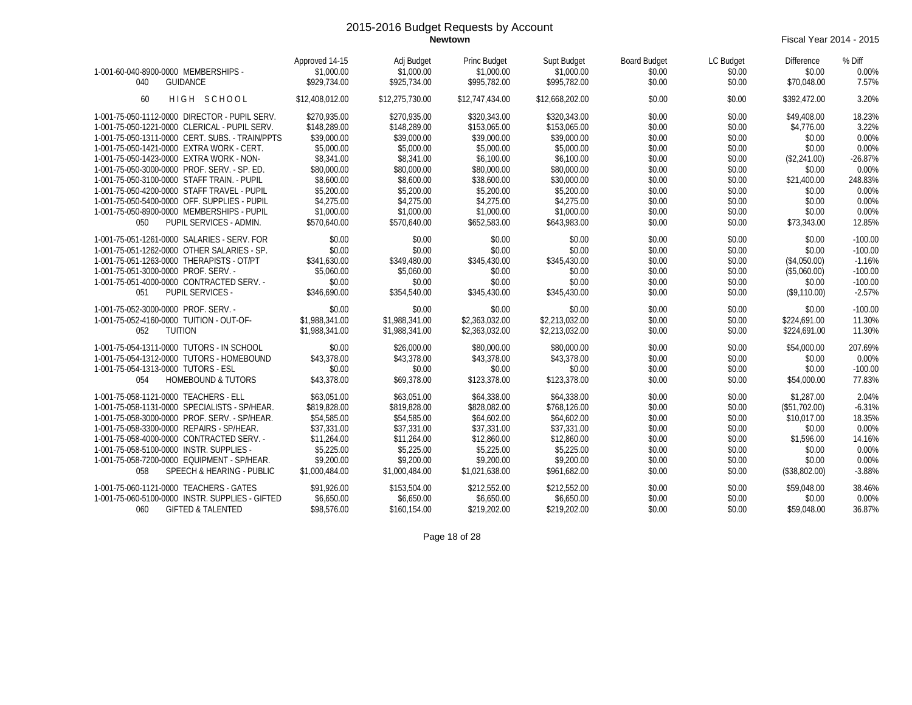**Newtown** Fiscal Year 2014 - 2015

| 1-001-60-040-8900-0000 MEMBERSHIPS -<br><b>GUIDANCE</b><br>040                                 | Approved 14-15<br>Adj Budget<br>\$1,000.00<br>\$1,000.00<br>\$929.734.00<br>\$925,734.00 | Princ Budget<br>\$1,000.00<br>\$995.782.00 | Supt Budget<br>\$1,000.00<br>\$995.782.00 | <b>Board Budget</b><br>\$0.00<br>\$0.00 | LC Budget<br>\$0.00<br>\$0.00 | <b>Difference</b><br>\$0.00<br>\$70.048.00 | % Diff<br>0.00%<br>7.57% |
|------------------------------------------------------------------------------------------------|------------------------------------------------------------------------------------------|--------------------------------------------|-------------------------------------------|-----------------------------------------|-------------------------------|--------------------------------------------|--------------------------|
| HIGH SCHOOL<br>60                                                                              | \$12,408,012.00<br>\$12,275,730.00                                                       | \$12,747.434.00                            | \$12,668,202.00                           | \$0.00                                  | \$0.00                        | \$392,472.00                               | 3.20%                    |
| 1-001-75-050-1112-0000 DIRECTOR - PUPIL SERV.<br>1-001-75-050-1221-0000 CLERICAL - PUPIL SERV. | \$270.935.00<br>\$270,935.00<br>\$148,289.00<br>\$148,289.00                             | \$320,343.00<br>\$153,065.00               | \$320,343.00<br>\$153,065.00              | \$0.00<br>\$0.00                        | \$0.00<br>\$0.00              | \$49,408.00<br>\$4,776.00                  | 18.23%<br>3.22%          |
| 1-001-75-050-1311-0000 CERT. SUBS. - TRAIN/PPTS<br>1-001-75-050-1421-0000 EXTRA WORK - CERT.   | \$39,000.00<br>\$39,000.00<br>\$5,000.00<br>\$5,000.00                                   | \$39,000.00<br>\$5,000.00                  | \$39,000.00<br>\$5,000.00                 | \$0.00<br>\$0.00                        | \$0.00<br>\$0.00              | \$0.00<br>\$0.00                           | 0.00%<br>0.00%           |
| 1-001-75-050-1423-0000 EXTRA WORK - NON-                                                       | \$8,341.00<br>\$8,341.00                                                                 | \$6,100.00                                 | \$6,100.00                                | \$0.00                                  | \$0.00                        | (\$2,241.00)                               | $-26.87%$                |
| 1-001-75-050-3000-0000 PROF. SERV. - SP. ED.<br>1-001-75-050-3100-0000 STAFF TRAIN. - PUPIL    | \$80,000.00<br>\$80,000.00<br>\$8,600.00<br>\$8,600.00                                   | \$80,000.00<br>\$38,600.00                 | \$80,000.00<br>\$30,000.00                | \$0.00<br>\$0.00                        | \$0.00<br>\$0.00              | \$0.00<br>\$21,400.00                      | 0.00%<br>248.83%         |
| 1-001-75-050-4200-0000 STAFF TRAVEL - PUPIL<br>1-001-75-050-5400-0000 OFF. SUPPLIES - PUPIL    | \$5,200.00<br>\$5,200.00<br>\$4,275.00<br>\$4,275.00                                     | \$5,200.00<br>\$4,275.00                   | \$5,200.00<br>\$4,275.00                  | \$0.00<br>\$0.00                        | \$0.00<br>\$0.00              | \$0.00<br>\$0.00                           | 0.00%<br>0.00%           |
| 1-001-75-050-8900-0000 MEMBERSHIPS - PUPIL                                                     | \$1,000.00<br>\$1,000.00                                                                 | \$1,000.00                                 | \$1,000.00                                | \$0.00                                  | \$0.00                        | \$0.00                                     | 0.00%                    |
| PUPIL SERVICES - ADMIN.<br>050                                                                 | \$570.640.00<br>\$570,640.00                                                             | \$652,583.00                               | \$643,983.00                              | \$0.00                                  | \$0.00                        | \$73,343.00                                | 12.85%                   |
| 1-001-75-051-1261-0000 SALARIES - SERV. FOR<br>1-001-75-051-1262-0000 OTHER SALARIES - SP.     | \$0.00<br>\$0.00<br>\$0.00<br>\$0.00                                                     | \$0.00<br>\$0.00                           | \$0.00<br>\$0.00                          | \$0.00<br>\$0.00                        | \$0.00<br>\$0.00              | \$0.00<br>\$0.00                           | $-100.00$<br>$-100.00$   |
| 1-001-75-051-1263-0000 THERAPISTS - OT/PT                                                      | \$341.630.00<br>\$349,480.00                                                             | \$345,430.00                               | \$345,430.00                              | \$0.00                                  | \$0.00                        | (\$4,050.00)                               | $-1.16%$                 |
| 1-001-75-051-3000-0000 PROF. SERV. -<br>1-001-75-051-4000-0000 CONTRACTED SERV. -              | \$5,060.00<br>\$5,060.00<br>\$0.00<br>\$0.00                                             | \$0.00<br>\$0.00                           | \$0.00<br>\$0.00                          | \$0.00<br>\$0.00                        | \$0.00<br>\$0.00              | (\$5,060.00)<br>\$0.00                     | $-100.00$<br>$-100.00$   |
| <b>PUPIL SERVICES -</b><br>051                                                                 | \$346.690.00<br>\$354,540.00                                                             | \$345,430.00                               | \$345,430.00                              | \$0.00                                  | \$0.00                        | (\$9,110.00)                               | $-2.57%$                 |
| 1-001-75-052-3000-0000 PROF. SERV. -<br>1-001-75-052-4160-0000 TUITION - OUT-OF-               | \$0.00<br>\$0.00<br>\$1,988,341.00<br>\$1,988,341.00                                     | \$0.00<br>\$2,363,032.00                   | \$0.00<br>\$2,213,032.00                  | \$0.00<br>\$0.00                        | \$0.00<br>\$0.00              | \$0.00<br>\$224,691.00                     | $-100.00$<br>11.30%      |
| 052<br><b>TUITION</b>                                                                          | \$1,988,341.00<br>\$1,988,341.00                                                         | \$2,363,032.00                             | \$2,213,032.00                            | \$0.00                                  | \$0.00                        | \$224,691.00                               | 11.30%                   |
| 1-001-75-054-1311-0000 TUTORS - IN SCHOOL<br>1-001-75-054-1312-0000 TUTORS - HOMEBOUND         | \$0.00<br>\$26,000.00<br>\$43,378.00<br>\$43,378.00                                      | \$80,000.00<br>\$43,378.00                 | \$80,000.00<br>\$43,378.00                | \$0.00<br>\$0.00                        | \$0.00<br>\$0.00              | \$54,000.00<br>\$0.00                      | 207.69%<br>0.00%         |
| 1-001-75-054-1313-0000 TUTORS - ESL<br><b>HOMEBOUND &amp; TUTORS</b><br>054                    | \$0.00<br>\$0.00<br>\$43,378.00<br>\$69,378.00                                           | \$0.00<br>\$123,378.00                     | \$0.00<br>\$123,378.00                    | \$0.00<br>\$0.00                        | \$0.00<br>\$0.00              | \$0.00<br>\$54,000.00                      | $-100.00$<br>77.83%      |
| 1-001-75-058-1121-0000 TEACHERS - ELL                                                          | \$63,051.00<br>\$63,051.00                                                               | \$64,338.00                                | \$64,338.00                               | \$0.00                                  | \$0.00                        | \$1,287.00                                 | 2.04%                    |
| 1-001-75-058-1131-0000 SPECIALISTS - SP/HEAR.<br>1-001-75-058-3000-0000 PROF. SERV. - SP/HEAR. | \$819,828.00<br>\$819,828.00<br>\$54,585.00<br>\$54,585.00                               | \$828,082.00<br>\$64,602.00                | \$768.126.00<br>\$64,602.00               | \$0.00<br>\$0.00                        | \$0.00<br>\$0.00              | (\$51,702.00)<br>\$10,017.00               | $-6.31%$<br>18.35%       |
| 1-001-75-058-3300-0000 REPAIRS - SP/HEAR.                                                      | \$37,331.00<br>\$37,331.00                                                               | \$37,331.00<br>\$12,860.00                 | \$37,331.00                               | \$0.00                                  | \$0.00                        | \$0.00                                     | 0.00%                    |
| 1-001-75-058-4000-0000 CONTRACTED SERV. -<br>1-001-75-058-5100-0000 INSTR. SUPPLIES            | \$11,264.00<br>\$11,264.00<br>\$5,225.00<br>\$5,225.00                                   | \$5,225.00                                 | \$12,860.00<br>\$5,225.00                 | \$0.00<br>\$0.00                        | \$0.00<br>\$0.00              | \$1,596.00<br>\$0.00                       | 14.16%<br>0.00%          |
| 1-001-75-058-7200-0000 EQUIPMENT - SP/HEAR.<br>SPEECH & HEARING - PUBLIC<br>058                | \$9,200.00<br>\$9,200.00<br>\$1,000,484.00<br>\$1,000.484.00                             | \$9,200.00<br>\$1,021,638.00               | \$9,200.00<br>\$961,682.00                | \$0.00<br>\$0.00                        | \$0.00<br>\$0.00              | \$0.00<br>(\$38,802.00)                    | 0.00%<br>$-3.88%$        |
| 1-001-75-060-1121-0000 TEACHERS - GATES                                                        | \$91,926.00<br>\$153,504.00                                                              | \$212,552.00                               | \$212,552.00                              | \$0.00                                  | \$0.00                        | \$59,048.00                                | 38.46%                   |
| 1-001-75-060-5100-0000 INSTR. SUPPLIES - GIFTED<br>060<br><b>GIFTED &amp; TALENTED</b>         | \$6,650.00<br>\$6,650.00<br>\$98.576.00<br>\$160.154.00                                  | \$6,650.00<br>\$219,202.00                 | \$6,650.00<br>\$219,202.00                | \$0.00<br>\$0.00                        | \$0.00<br>\$0.00              | \$0.00<br>\$59,048.00                      | 0.00%<br>36.87%          |

Page 18 of 28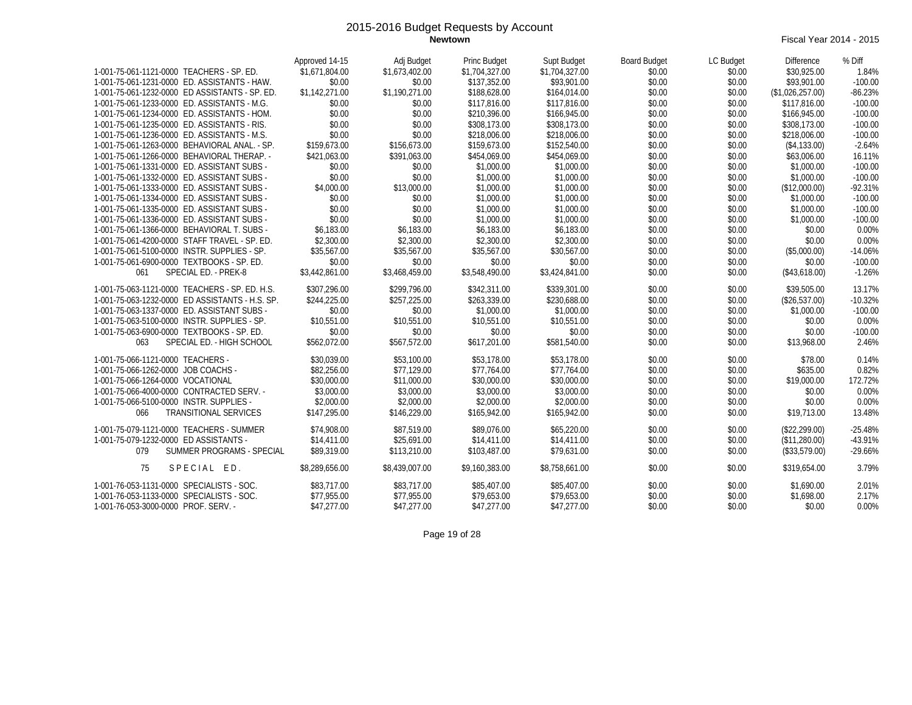**Newtown** Fiscal Year 2014 - 2015

|                                                 | Approved 14-15 | Adj Budget     | Princ Budget   | Supt Budget    | <b>Board Budget</b> | LC Budget | Difference       | % Diff    |
|-------------------------------------------------|----------------|----------------|----------------|----------------|---------------------|-----------|------------------|-----------|
| 1-001-75-061-1121-0000 TEACHERS - SP. ED.       | \$1,671,804.00 | \$1,673,402.00 | \$1,704,327.00 | \$1,704,327.00 | \$0.00              | \$0.00    | \$30,925.00      | 1.84%     |
| 1-001-75-061-1231-0000 ED. ASSISTANTS - HAW.    | \$0.00         | \$0.00         | \$137,352.00   | \$93,901.00    | \$0.00              | \$0.00    | \$93,901.00      | $-100.00$ |
| 1-001-75-061-1232-0000 ED ASSISTANTS - SP. ED.  | \$1,142,271.00 | \$1,190,271.00 | \$188,628.00   | \$164,014.00   | \$0.00              | \$0.00    | (\$1,026,257.00) | $-86.23%$ |
| 1-001-75-061-1233-0000 ED. ASSISTANTS - M.G.    | \$0.00         | \$0.00         | \$117,816.00   | \$117,816.00   | \$0.00              | \$0.00    | \$117,816.00     | $-100.00$ |
| 1-001-75-061-1234-0000 ED. ASSISTANTS - HOM.    | \$0.00         | \$0.00         | \$210,396.00   | \$166,945.00   | \$0.00              | \$0.00    | \$166,945.00     | $-100.00$ |
| 1-001-75-061-1235-0000 ED. ASSISTANTS - RIS.    | \$0.00         | \$0.00         | \$308,173.00   | \$308,173.00   | \$0.00              | \$0.00    | \$308,173.00     | $-100.00$ |
| 1-001-75-061-1236-0000 ED. ASSISTANTS - M.S.    | \$0.00         | \$0.00         | \$218,006.00   | \$218,006.00   | \$0.00              | \$0.00    | \$218,006.00     | $-100.00$ |
| 1-001-75-061-1263-0000 BEHAVIORAL ANAL. - SP.   | \$159,673.00   | \$156.673.00   | \$159,673.00   | \$152,540.00   | \$0.00              | \$0.00    | (\$4,133.00)     | $-2.64%$  |
| 1-001-75-061-1266-0000 BEHAVIORAL THERAP. -     | \$421.063.00   | \$391.063.00   | \$454,069.00   | \$454,069.00   | \$0.00              | \$0.00    | \$63,006.00      | 16.11%    |
| 1-001-75-061-1331-0000 ED. ASSISTANT SUBS -     | \$0.00         | \$0.00         | \$1,000.00     | \$1,000.00     | \$0.00              | \$0.00    | \$1,000.00       | $-100.00$ |
| 1-001-75-061-1332-0000 ED. ASSISTANT SUBS -     | \$0.00         | \$0.00         | \$1,000.00     | \$1,000.00     | \$0.00              | \$0.00    | \$1,000.00       | $-100.00$ |
| 1-001-75-061-1333-0000 ED. ASSISTANT SUBS -     | \$4,000.00     | \$13,000.00    | \$1,000.00     | \$1,000.00     | \$0.00              | \$0.00    | (\$12,000.00)    | $-92.31%$ |
| 1-001-75-061-1334-0000 ED. ASSISTANT SUBS -     | \$0.00         | \$0.00         | \$1,000.00     | \$1,000.00     | \$0.00              | \$0.00    | \$1,000.00       | $-100.00$ |
| 1-001-75-061-1335-0000 ED. ASSISTANT SUBS -     | \$0.00         | \$0.00         | \$1,000.00     | \$1,000.00     | \$0.00              | \$0.00    | \$1,000.00       | $-100.00$ |
| 1-001-75-061-1336-0000 ED. ASSISTANT SUBS -     | \$0.00         | \$0.00         | \$1,000.00     | \$1,000.00     | \$0.00              | \$0.00    | \$1,000.00       | $-100.00$ |
| 1-001-75-061-1366-0000 BEHAVIORAL T. SUBS -     | \$6,183.00     | \$6,183.00     | \$6,183.00     | \$6,183.00     | \$0.00              | \$0.00    | \$0.00           | 0.00%     |
| 1-001-75-061-4200-0000 STAFF TRAVEL - SP. ED.   | \$2,300.00     | \$2,300.00     | \$2,300.00     | \$2,300.00     | \$0.00              | \$0.00    | \$0.00           | 0.00%     |
| 1-001-75-061-5100-0000 INSTR. SUPPLIES - SP.    | \$35,567.00    | \$35,567.00    | \$35,567.00    | \$30,567.00    | \$0.00              | \$0.00    | (\$5,000.00)     | $-14.06%$ |
| 1-001-75-061-6900-0000 TEXTBOOKS - SP. ED.      | \$0.00         | \$0.00         | \$0.00         | \$0.00         | \$0.00              | \$0.00    | \$0.00           | $-100.00$ |
| SPECIAL ED. - PREK-8<br>061                     | \$3,442,861.00 | \$3,468,459.00 | \$3,548,490.00 | \$3,424,841.00 | \$0.00              | \$0.00    | (\$43,618.00)    | $-1.26%$  |
| 1-001-75-063-1121-0000 TEACHERS - SP. ED. H.S.  | \$307.296.00   | \$299.796.00   | \$342,311.00   | \$339,301.00   | \$0.00              | \$0.00    | \$39,505.00      | 13.17%    |
| 1-001-75-063-1232-0000 ED ASSISTANTS - H.S. SP. | \$244,225.00   | \$257,225.00   | \$263,339.00   | \$230,688.00   | \$0.00              | \$0.00    | (\$26,537.00)    | $-10.32%$ |
| 1-001-75-063-1337-0000 ED. ASSISTANT SUBS -     | \$0.00         | \$0.00         | \$1,000.00     | \$1,000.00     | \$0.00              | \$0.00    | \$1,000.00       | $-100.00$ |
| 1-001-75-063-5100-0000 INSTR. SUPPLIES - SP.    | \$10,551.00    | \$10,551.00    | \$10,551.00    | \$10,551.00    | \$0.00              | \$0.00    | \$0.00           | 0.00%     |
| 1-001-75-063-6900-0000 TEXTBOOKS - SP. ED.      | \$0.00         | \$0.00         | \$0.00         | \$0.00         | \$0.00              | \$0.00    | \$0.00           | $-100.00$ |
| SPECIAL ED. - HIGH SCHOOL<br>063                | \$562,072.00   | \$567,572.00   | \$617,201.00   | \$581,540.00   | \$0.00              | \$0.00    | \$13,968.00      | 2.46%     |
|                                                 |                |                |                |                |                     |           |                  |           |
| 1-001-75-066-1121-0000 TEACHERS -               | \$30,039.00    | \$53,100.00    | \$53,178.00    | \$53,178.00    | \$0.00              | \$0.00    | \$78.00          | 0.14%     |
| 1-001-75-066-1262-0000 JOB COACHS -             | \$82,256.00    | \$77,129.00    | \$77,764.00    | \$77,764.00    | \$0.00              | \$0.00    | \$635.00         | 0.82%     |
| 1-001-75-066-1264-0000 VOCATIONAL               | \$30,000.00    | \$11,000.00    | \$30,000.00    | \$30,000.00    | \$0.00              | \$0.00    | \$19,000.00      | 172.72%   |
| 1-001-75-066-4000-0000 CONTRACTED SERV. -       | \$3,000.00     | \$3,000.00     | \$3,000.00     | \$3,000.00     | \$0.00              | \$0.00    | \$0.00           | 0.00%     |
| 1-001-75-066-5100-0000 INSTR. SUPPLIES -        | \$2,000.00     | \$2,000.00     | \$2,000.00     | \$2,000.00     | \$0.00              | \$0.00    | \$0.00           | 0.00%     |
| <b>TRANSITIONAL SERVICES</b><br>066             | \$147.295.00   | \$146,229.00   | \$165,942.00   | \$165,942.00   | \$0.00              | \$0.00    | \$19,713.00      | 13.48%    |
| 1-001-75-079-1121-0000 TEACHERS - SUMMER        | \$74,908.00    | \$87.519.00    | \$89,076.00    | \$65,220.00    | \$0.00              | \$0.00    | (\$22.299.00)    | $-25.48%$ |
| 1-001-75-079-1232-0000 ED ASSISTANTS -          | \$14,411.00    | \$25,691.00    | \$14,411.00    | \$14,411.00    | \$0.00              | \$0.00    | (\$11,280.00)    | -43.91%   |
| SUMMER PROGRAMS - SPECIAL<br>079                | \$89,319.00    | \$113,210.00   | \$103,487.00   | \$79.631.00    | \$0.00              | \$0.00    | (\$33,579.00)    | $-29.66%$ |
| SPECIAL ED.<br>75                               | \$8,289,656.00 | \$8,439,007.00 | \$9,160,383.00 | \$8,758,661.00 | \$0.00              | \$0.00    | \$319.654.00     | 3.79%     |
| 1-001-76-053-1131-0000 SPECIALISTS - SOC.       | \$83,717.00    | \$83,717.00    | \$85,407.00    | \$85,407.00    | \$0.00              | \$0.00    | \$1,690.00       | 2.01%     |
| 1-001-76-053-1133-0000 SPECIALISTS - SOC.       | \$77,955.00    | \$77,955.00    | \$79,653.00    | \$79,653.00    | \$0.00              | \$0.00    | \$1,698.00       | 2.17%     |
| 1-001-76-053-3000-0000 PROF. SERV. -            | \$47,277.00    | \$47,277.00    | \$47,277.00    | \$47.277.00    | \$0.00              | \$0.00    | \$0.00           | 0.00%     |

Page 19 of 28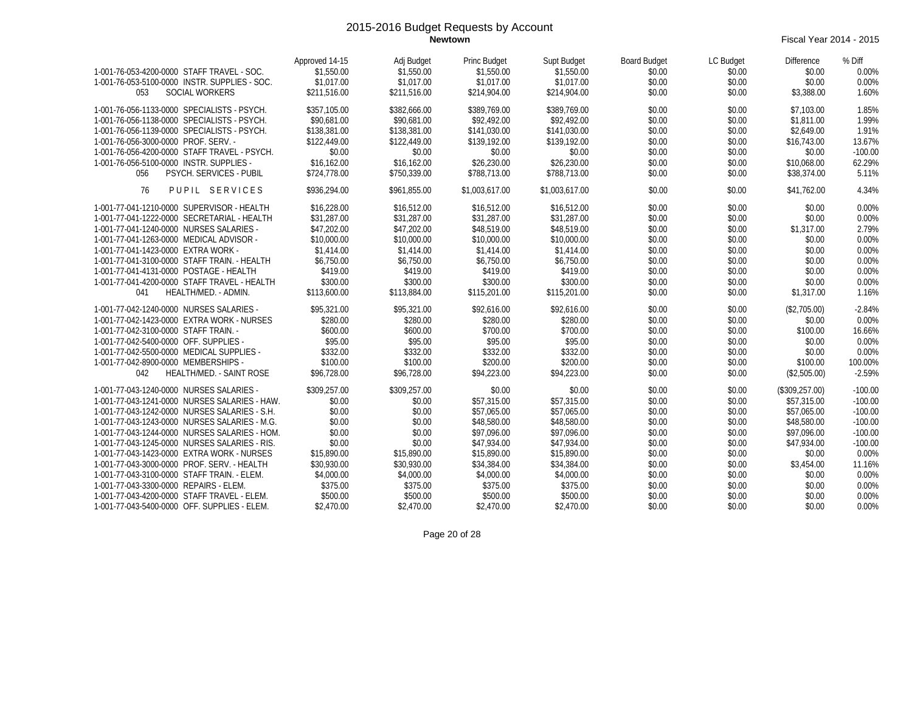**Newtown** Fiscal Year 2014 - 2015

| 1-001-76-053-4200-0000 STAFF TRAVEL - SOC.<br>1-001-76-053-5100-0000 INSTR. SUPPLIES - SOC.<br><b>SOCIAL WORKERS</b><br>053 | Approved 14-15<br>\$1,550.00<br>\$1,017.00<br>\$211,516.00 | Adj Budget<br>\$1,550.00<br>\$1,017.00<br>\$211.516.00 | <b>Princ Budget</b><br>\$1,550.00<br>\$1,017.00<br>\$214,904.00 | Supt Budget<br>\$1,550.00<br>\$1,017.00<br>\$214,904.00 | <b>Board Budget</b><br>\$0.00<br>\$0.00<br>\$0.00 | LC Budget<br>\$0.00<br>\$0.00<br>\$0.00 | <b>Difference</b><br>\$0.00<br>\$0.00<br>\$3,388.00 | % Diff<br>0.00%<br>0.00%<br>1.60% |
|-----------------------------------------------------------------------------------------------------------------------------|------------------------------------------------------------|--------------------------------------------------------|-----------------------------------------------------------------|---------------------------------------------------------|---------------------------------------------------|-----------------------------------------|-----------------------------------------------------|-----------------------------------|
| 1-001-76-056-1133-0000 SPECIALISTS - PSYCH.                                                                                 | \$357,105.00                                               | \$382.666.00                                           | \$389.769.00                                                    | \$389,769.00                                            | \$0.00                                            | \$0.00                                  | \$7,103.00                                          | 1.85%                             |
| 1-001-76-056-1138-0000 SPECIALISTS - PSYCH.                                                                                 | \$90.681.00                                                | \$90.681.00                                            | \$92,492.00                                                     | \$92,492.00                                             | \$0.00                                            | \$0.00                                  | \$1.811.00                                          | 1.99%                             |
| 1-001-76-056-1139-0000 SPECIALISTS - PSYCH.                                                                                 | \$138,381.00                                               | \$138,381.00                                           | \$141.030.00                                                    | \$141.030.00                                            | \$0.00                                            | \$0.00                                  | \$2,649.00                                          | 1.91%                             |
| 1-001-76-056-3000-0000 PROF. SERV. -                                                                                        | \$122,449.00                                               | \$122,449.00                                           | \$139,192.00                                                    | \$139,192.00                                            | \$0.00                                            | \$0.00                                  | \$16,743.00                                         | 13.67%                            |
| 1-001-76-056-4200-0000 STAFF TRAVEL - PSYCH.                                                                                | \$0.00                                                     | \$0.00                                                 | \$0.00                                                          | \$0.00                                                  | \$0.00                                            | \$0.00                                  | \$0.00                                              | $-100.00$                         |
| 1-001-76-056-5100-0000 INSTR. SUPPLIES -                                                                                    | \$16,162.00                                                | \$16,162.00                                            | \$26,230.00                                                     | \$26,230.00                                             | \$0.00                                            | \$0.00                                  | \$10,068.00                                         | 62.29%                            |
| 056<br>PSYCH. SERVICES - PUBIL                                                                                              | \$724,778.00                                               | \$750,339.00                                           | \$788,713.00                                                    | \$788,713.00                                            | \$0.00                                            | \$0.00                                  | \$38,374.00                                         | 5.11%                             |
| PUPIL SERVICES<br>76                                                                                                        | \$936.294.00                                               | \$961.855.00                                           | \$1,003,617.00                                                  | \$1,003,617.00                                          | \$0.00                                            | \$0.00                                  | \$41,762.00                                         | 4.34%                             |
| 1-001-77-041-1210-0000 SUPERVISOR - HEALTH                                                                                  | \$16,228.00                                                | \$16,512.00                                            | \$16,512.00                                                     | \$16,512.00                                             | \$0.00                                            | \$0.00                                  | \$0.00                                              | 0.00%                             |
| 1-001-77-041-1222-0000 SECRETARIAL - HEALTH                                                                                 | \$31,287.00                                                | \$31,287.00                                            | \$31,287.00                                                     | \$31,287.00                                             | \$0.00                                            | \$0.00                                  | \$0.00                                              | 0.00%                             |
| 1-001-77-041-1240-0000 NURSES SALARIES -                                                                                    | \$47,202.00                                                | \$47,202.00                                            | \$48,519.00                                                     | \$48,519.00                                             | \$0.00                                            | \$0.00                                  | \$1,317.00                                          | 2.79%                             |
| 1-001-77-041-1263-0000 MEDICAL ADVISOR -                                                                                    | \$10,000.00                                                | \$10,000.00                                            | \$10,000.00                                                     | \$10,000.00                                             | \$0.00                                            | \$0.00                                  | \$0.00                                              | 0.00%                             |
| 1-001-77-041-1423-0000 EXTRA WORK -                                                                                         | \$1,414.00                                                 | \$1,414.00                                             | \$1,414.00                                                      | \$1,414.00                                              | \$0.00                                            | \$0.00                                  | \$0.00                                              | 0.00%                             |
| 1-001-77-041-3100-0000 STAFF TRAIN. - HEALTH                                                                                | \$6,750.00                                                 | \$6,750.00                                             | \$6,750.00                                                      | \$6,750.00                                              | \$0.00                                            | \$0.00                                  | \$0.00                                              | 0.00%                             |
| 1-001-77-041-4131-0000 POSTAGE - HEALTH                                                                                     | \$419.00                                                   | \$419.00                                               | \$419.00                                                        | \$419.00                                                | \$0.00                                            | \$0.00                                  | \$0.00                                              | 0.00%                             |
| 1-001-77-041-4200-0000 STAFF TRAVEL - HEALTH                                                                                | \$300.00                                                   | \$300.00                                               | \$300.00                                                        | \$300.00                                                | \$0.00                                            | \$0.00                                  | \$0.00                                              | 0.00%                             |
| HEALTH/MED. - ADMIN.<br>041                                                                                                 | \$113,600.00                                               | \$113,884.00                                           | \$115,201.00                                                    | \$115,201.00                                            | \$0.00                                            | \$0.00                                  | \$1,317.00                                          | 1.16%                             |
| 1-001-77-042-1240-0000 NURSES SALARIES -                                                                                    | \$95,321.00                                                | \$95,321.00                                            | \$92,616.00                                                     | \$92,616.00                                             | \$0.00                                            | \$0.00                                  | (\$2,705.00)                                        | $-2.84%$                          |
| 1-001-77-042-1423-0000 EXTRA WORK - NURSES                                                                                  | \$280.00                                                   | \$280.00                                               | \$280.00                                                        | \$280.00                                                | \$0.00                                            | \$0.00                                  | \$0.00                                              | 0.00%                             |
| 1-001-77-042-3100-0000 STAFF TRAIN. -                                                                                       | \$600.00                                                   | \$600.00                                               | \$700.00                                                        | \$700.00                                                | \$0.00                                            | \$0.00                                  | \$100.00                                            | 16.66%                            |
| 1-001-77-042-5400-0000 OFF. SUPPLIES -                                                                                      | \$95.00                                                    | \$95.00                                                | \$95.00                                                         | \$95.00                                                 | \$0.00                                            | \$0.00                                  | \$0.00                                              | 0.00%                             |
| 1-001-77-042-5500-0000 MEDICAL SUPPLIES -                                                                                   | \$332.00                                                   | \$332.00                                               | \$332.00                                                        | \$332.00                                                | \$0.00                                            | \$0.00                                  | \$0.00                                              | 0.00%                             |
| 1-001-77-042-8900-0000 MEMBERSHIPS -                                                                                        | \$100.00                                                   | \$100.00                                               | \$200.00                                                        | \$200.00                                                | \$0.00                                            | \$0.00                                  | \$100.00                                            | 100.00%                           |
| HEALTH/MED. - SAINT ROSE<br>042                                                                                             | \$96.728.00                                                | \$96.728.00                                            | \$94,223.00                                                     | \$94,223.00                                             | \$0.00                                            | \$0.00                                  | (\$2,505.00)                                        | $-2.59%$                          |
| 1-001-77-043-1240-0000 NURSES SALARIES -                                                                                    | \$309,257.00                                               | \$309,257.00                                           | \$0.00                                                          | \$0.00                                                  | \$0.00                                            | \$0.00                                  | (\$309,257.00)                                      | $-100.00$                         |
| 1-001-77-043-1241-0000 NURSES SALARIES - HAW.                                                                               | \$0.00                                                     | \$0.00                                                 | \$57,315.00                                                     | \$57,315.00                                             | \$0.00                                            | \$0.00                                  | \$57,315.00                                         | $-100.00$                         |
| 1-001-77-043-1242-0000 NURSES SALARIES - S.H.                                                                               | \$0.00                                                     | \$0.00                                                 | \$57.065.00                                                     | \$57,065.00                                             | \$0.00                                            | \$0.00                                  | \$57,065.00                                         | $-100.00$                         |
| 1-001-77-043-1243-0000 NURSES SALARIES - M.G.                                                                               | \$0.00                                                     | \$0.00                                                 | \$48,580.00                                                     | \$48,580.00                                             | \$0.00                                            | \$0.00                                  | \$48,580.00                                         | $-100.00$                         |
| 1-001-77-043-1244-0000 NURSES SALARIES - HOM.                                                                               | \$0.00                                                     | \$0.00                                                 | \$97,096.00                                                     | \$97.096.00                                             | \$0.00                                            | \$0.00                                  | \$97.096.00                                         | $-100.00$                         |
| 1-001-77-043-1245-0000 NURSES SALARIES - RIS.                                                                               | \$0.00                                                     | \$0.00                                                 | \$47,934.00                                                     | \$47,934.00                                             | \$0.00                                            | \$0.00                                  | \$47,934.00                                         | $-100.00$                         |
| 1-001-77-043-1423-0000 EXTRA WORK - NURSES                                                                                  | \$15,890.00                                                | \$15,890.00                                            | \$15,890.00                                                     | \$15,890.00                                             | \$0.00                                            | \$0.00                                  | \$0.00                                              | 0.00%                             |
| 1-001-77-043-3000-0000 PROF. SERV. - HEALTH                                                                                 | \$30,930.00                                                | \$30,930.00                                            | \$34,384.00                                                     | \$34,384.00                                             | \$0.00                                            | \$0.00                                  | \$3,454.00                                          | 11.16%                            |
| 1-001-77-043-3100-0000 STAFF TRAIN. - ELEM.                                                                                 | \$4,000.00                                                 | \$4,000.00                                             | \$4,000.00                                                      | \$4,000.00                                              | \$0.00                                            | \$0.00                                  | \$0.00                                              | 0.00%                             |
| 1-001-77-043-3300-0000 REPAIRS - ELEM.                                                                                      | \$375.00                                                   | \$375.00                                               | \$375.00                                                        | \$375.00                                                | \$0.00                                            | \$0.00                                  | \$0.00                                              | 0.00%                             |
| 1-001-77-043-4200-0000 STAFF TRAVEL - ELEM.                                                                                 | \$500.00                                                   | \$500.00                                               | \$500.00                                                        | \$500.00                                                | \$0.00                                            | \$0.00                                  | \$0.00                                              | 0.00%                             |
| 1-001-77-043-5400-0000 OFF. SUPPLIES - ELEM.                                                                                | \$2,470.00                                                 | \$2,470.00                                             | \$2,470.00                                                      | \$2,470.00                                              | \$0.00                                            | \$0.00                                  | \$0.00                                              | 0.00%                             |

Page 20 of 28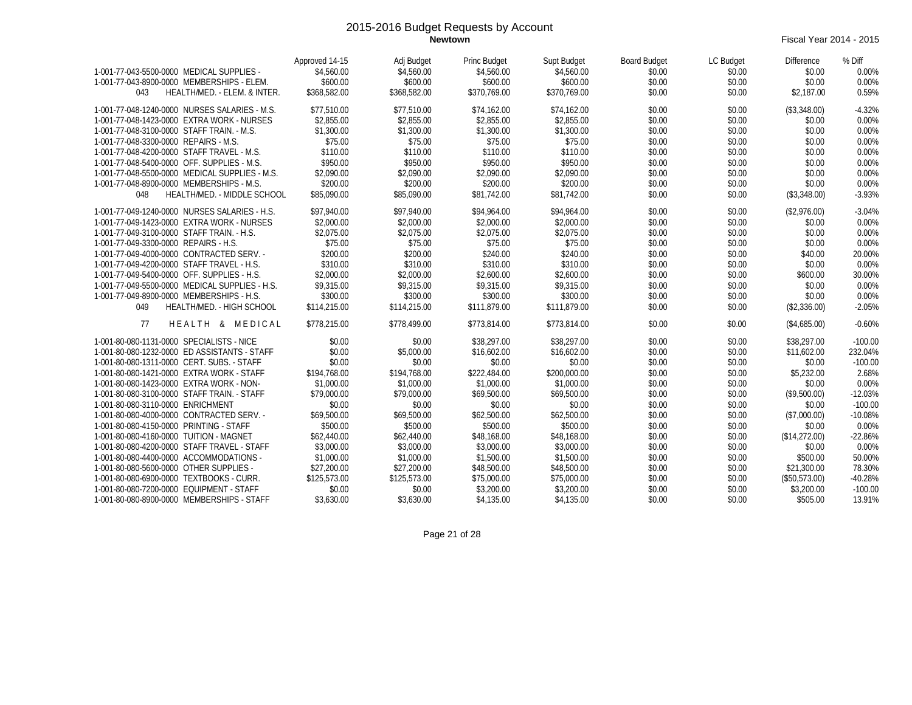**Newtown** Fiscal Year 2014 - 2015

| 1-001-77-043-5500-0000 MEDICAL SUPPLIES -<br>1-001-77-043-8900-0000 MEMBERSHIPS - ELEM.<br>HEALTH/MED. - ELEM. & INTER.<br>043 | Approved 14-15<br>\$4,560.00<br>\$600.00<br>\$368.582.00 | Adj Budget<br>\$4,560.00<br>\$600.00<br>\$368,582.00 | Princ Budget<br>\$4,560.00<br>\$600.00<br>\$370.769.00 | Supt Budget<br>\$4,560.00<br>\$600.00<br>\$370.769.00 | <b>Board Budget</b><br>\$0.00<br>\$0.00<br>\$0.00 | LC Budget<br>\$0.00<br>\$0.00<br>\$0.00 | <b>Difference</b><br>\$0.00<br>\$0.00<br>\$2.187.00 | % Diff<br>0.00%<br>0.00%<br>0.59% |
|--------------------------------------------------------------------------------------------------------------------------------|----------------------------------------------------------|------------------------------------------------------|--------------------------------------------------------|-------------------------------------------------------|---------------------------------------------------|-----------------------------------------|-----------------------------------------------------|-----------------------------------|
| 1-001-77-048-1240-0000 NURSES SALARIES - M.S.                                                                                  | \$77.510.00                                              | \$77.510.00                                          | \$74,162.00                                            | \$74,162.00                                           | \$0.00                                            | \$0.00                                  | (\$3,348.00)                                        | $-4.32%$                          |
| 1-001-77-048-1423-0000 EXTRA WORK - NURSES                                                                                     | \$2.855.00                                               | \$2,855.00                                           | \$2,855.00                                             | \$2,855.00                                            | \$0.00                                            | \$0.00                                  | \$0.00                                              | 0.00%                             |
| 1-001-77-048-3100-0000 STAFF TRAIN. - M.S.                                                                                     | \$1,300.00                                               | \$1,300.00                                           | \$1,300.00                                             | \$1,300.00                                            | \$0.00                                            | \$0.00                                  | \$0.00                                              | 0.00%                             |
| 1-001-77-048-3300-0000 REPAIRS - M.S.                                                                                          | \$75.00                                                  | \$75.00                                              | \$75.00                                                | \$75.00                                               | \$0.00                                            | \$0.00                                  | \$0.00                                              | 0.00%                             |
| 1-001-77-048-4200-0000 STAFF TRAVEL - M.S.                                                                                     | \$110.00                                                 | \$110.00                                             | \$110.00                                               | \$110.00                                              | \$0.00                                            | \$0.00                                  | \$0.00                                              | 0.00%                             |
| 1-001-77-048-5400-0000 OFF. SUPPLIES - M.S.                                                                                    | \$950.00                                                 | \$950.00                                             | \$950.00                                               | \$950.00                                              | \$0.00                                            | \$0.00                                  | \$0.00                                              | 0.00%                             |
| 1-001-77-048-5500-0000 MEDICAL SUPPLIES - M.S.                                                                                 | \$2,090.00                                               | \$2,090.00                                           | \$2,090.00                                             | \$2,090.00                                            | \$0.00                                            | \$0.00                                  | \$0.00                                              | 0.00%                             |
| 1-001-77-048-8900-0000 MEMBERSHIPS - M.S.                                                                                      | \$200.00                                                 | \$200.00                                             | \$200.00                                               | \$200.00                                              | \$0.00                                            | \$0.00                                  | \$0.00                                              | 0.00%                             |
| HEALTH/MED. - MIDDLE SCHOOL<br>048                                                                                             | \$85,090.00                                              | \$85,090.00                                          | \$81,742.00                                            | \$81,742.00                                           | \$0.00                                            | \$0.00                                  | (\$3,348.00)                                        | $-3.93%$                          |
|                                                                                                                                |                                                          |                                                      |                                                        |                                                       |                                                   |                                         |                                                     |                                   |
| 1-001-77-049-1240-0000 NURSES SALARIES - H.S.                                                                                  | \$97,940.00                                              | \$97,940.00                                          | \$94,964.00                                            | \$94,964.00                                           | \$0.00                                            | \$0.00                                  | (\$2,976.00)                                        | $-3.04%$                          |
| 1-001-77-049-1423-0000 EXTRA WORK - NURSES                                                                                     | \$2,000.00                                               | \$2,000.00                                           | \$2,000.00                                             | \$2,000.00                                            | \$0.00                                            | \$0.00                                  | \$0.00                                              | 0.00%                             |
| 1-001-77-049-3100-0000 STAFF TRAIN. - H.S.                                                                                     | \$2,075.00                                               | \$2,075.00                                           | \$2,075.00                                             | \$2.075.00                                            | \$0.00                                            | \$0.00                                  | \$0.00                                              | 0.00%                             |
| 1-001-77-049-3300-0000 REPAIRS - H.S.                                                                                          | \$75.00                                                  | \$75.00                                              | \$75.00                                                | \$75.00                                               | \$0.00                                            | \$0.00                                  | \$0.00                                              | 0.00%                             |
| 1-001-77-049-4000-0000 CONTRACTED SERV. -                                                                                      | \$200.00                                                 | \$200.00                                             | \$240.00                                               | \$240.00                                              | \$0.00                                            | \$0.00                                  | \$40.00                                             | 20.00%                            |
| 1-001-77-049-4200-0000 STAFF TRAVEL - H.S.                                                                                     | \$310.00                                                 | \$310.00                                             | \$310.00                                               | \$310.00                                              | \$0.00                                            | \$0.00                                  | \$0.00                                              | 0.00%                             |
| 1-001-77-049-5400-0000 OFF. SUPPLIES - H.S.                                                                                    | \$2,000.00                                               | \$2,000.00                                           | \$2,600.00                                             | \$2,600.00                                            | \$0.00                                            | \$0.00                                  | \$600.00                                            | 30.00%                            |
| 1-001-77-049-5500-0000 MEDICAL SUPPLIES - H.S.                                                                                 | \$9,315.00                                               | \$9,315.00                                           | \$9,315.00                                             | \$9,315.00                                            | \$0.00                                            | \$0.00                                  | \$0.00                                              | 0.00%                             |
| 1-001-77-049-8900-0000 MEMBERSHIPS - H.S.                                                                                      | \$300.00                                                 | \$300.00                                             | \$300.00                                               | \$300.00                                              | \$0.00                                            | \$0.00                                  | \$0.00                                              | 0.00%                             |
| 049<br>HEALTH/MED. - HIGH SCHOOL                                                                                               | \$114,215.00                                             | \$114,215.00                                         | \$111.879.00                                           | \$111,879.00                                          | \$0.00                                            | \$0.00                                  | (\$2,336.00)                                        | $-2.05%$                          |
| 77<br>HEALTH & MEDICAL                                                                                                         | \$778,215.00                                             | \$778,499.00                                         | \$773,814.00                                           | \$773,814.00                                          | \$0.00                                            | \$0.00                                  | (\$4,685.00)                                        | $-0.60%$                          |
| 1-001-80-080-1131-0000 SPECIALISTS - NICE                                                                                      | \$0.00                                                   | \$0.00                                               | \$38,297.00                                            | \$38,297.00                                           | \$0.00                                            | \$0.00                                  | \$38,297.00                                         | $-100.00$                         |
| 1-001-80-080-1232-0000 ED ASSISTANTS - STAFF                                                                                   | \$0.00                                                   | \$5,000.00                                           | \$16,602.00                                            | \$16,602.00                                           | \$0.00                                            | \$0.00                                  | \$11,602.00                                         | 232.04%                           |
| 1-001-80-080-1311-0000 CERT. SUBS. - STAFF                                                                                     | \$0.00                                                   | \$0.00                                               | \$0.00                                                 | \$0.00                                                | \$0.00                                            | \$0.00                                  | \$0.00                                              | $-100.00$                         |
| 1-001-80-080-1421-0000 EXTRA WORK - STAFF                                                                                      | \$194,768.00                                             | \$194,768.00                                         | \$222,484.00                                           | \$200,000.00                                          | \$0.00                                            | \$0.00                                  | \$5,232.00                                          | 2.68%                             |
| 1-001-80-080-1423-0000 EXTRA WORK - NON-                                                                                       | \$1,000.00                                               | \$1,000.00                                           | \$1,000.00                                             | \$1,000.00                                            | \$0.00                                            | \$0.00                                  | \$0.00                                              | 0.00%                             |
| 1-001-80-080-3100-0000 STAFF TRAIN. - STAFF                                                                                    | \$79,000.00                                              | \$79,000.00                                          | \$69,500.00                                            | \$69,500.00                                           | \$0.00                                            | \$0.00                                  | (\$9,500.00)                                        | $-12.03%$                         |
| 1-001-80-080-3110-0000 ENRICHMENT                                                                                              | \$0.00                                                   | \$0.00                                               | \$0.00                                                 | \$0.00                                                | \$0.00                                            | \$0.00                                  | \$0.00                                              | $-100.00$                         |
| 1-001-80-080-4000-0000 CONTRACTED SERV. -                                                                                      | \$69,500.00                                              | \$69,500.00                                          | \$62,500.00                                            | \$62,500.00                                           | \$0.00                                            | \$0.00                                  | (\$7,000.00)                                        | $-10.08%$                         |
| 1-001-80-080-4150-0000 PRINTING - STAFF                                                                                        | \$500.00                                                 | \$500.00                                             | \$500.00                                               | \$500.00                                              | \$0.00                                            | \$0.00                                  | \$0.00                                              | 0.00%                             |
| 1-001-80-080-4160-0000 TUITION - MAGNET                                                                                        | \$62,440.00                                              | \$62,440.00                                          | \$48,168.00                                            | \$48,168.00                                           | \$0.00                                            | \$0.00                                  | (\$14,272.00)                                       | $-22.86%$                         |
| 1-001-80-080-4200-0000 STAFF TRAVEL - STAFF                                                                                    | \$3,000.00                                               | \$3,000.00                                           | \$3,000.00                                             | \$3,000.00                                            | \$0.00                                            | \$0.00                                  | \$0.00                                              | 0.00%                             |
| 1-001-80-080-4400-0000 ACCOMMODATIONS -                                                                                        | \$1,000.00                                               | \$1,000.00                                           | \$1,500.00                                             | \$1,500.00                                            | \$0.00                                            | \$0.00                                  | \$500.00                                            | 50.00%                            |
| 1-001-80-080-5600-0000 OTHER SUPPLIES -                                                                                        | \$27,200.00                                              | \$27,200.00                                          | \$48,500.00                                            | \$48,500.00                                           | \$0.00                                            | \$0.00                                  | \$21,300.00                                         | 78.30%                            |
| 1-001-80-080-6900-0000 TEXTBOOKS - CURR.                                                                                       | \$125,573.00                                             | \$125,573.00                                         | \$75,000.00                                            | \$75,000.00                                           | \$0.00                                            | \$0.00                                  | (\$50,573.00)                                       | $-40.28%$                         |
| 1-001-80-080-7200-0000 EQUIPMENT - STAFF                                                                                       | \$0.00                                                   | \$0.00                                               | \$3,200.00                                             | \$3,200.00                                            | \$0.00                                            | \$0.00                                  | \$3,200.00                                          | $-100.00$                         |
| 1-001-80-080-8900-0000 MEMBERSHIPS - STAFF                                                                                     | \$3,630.00                                               | \$3,630.00                                           | \$4,135.00                                             | \$4,135.00                                            | \$0.00                                            | \$0.00                                  | \$505.00                                            | 13.91%                            |

Page 21 of 28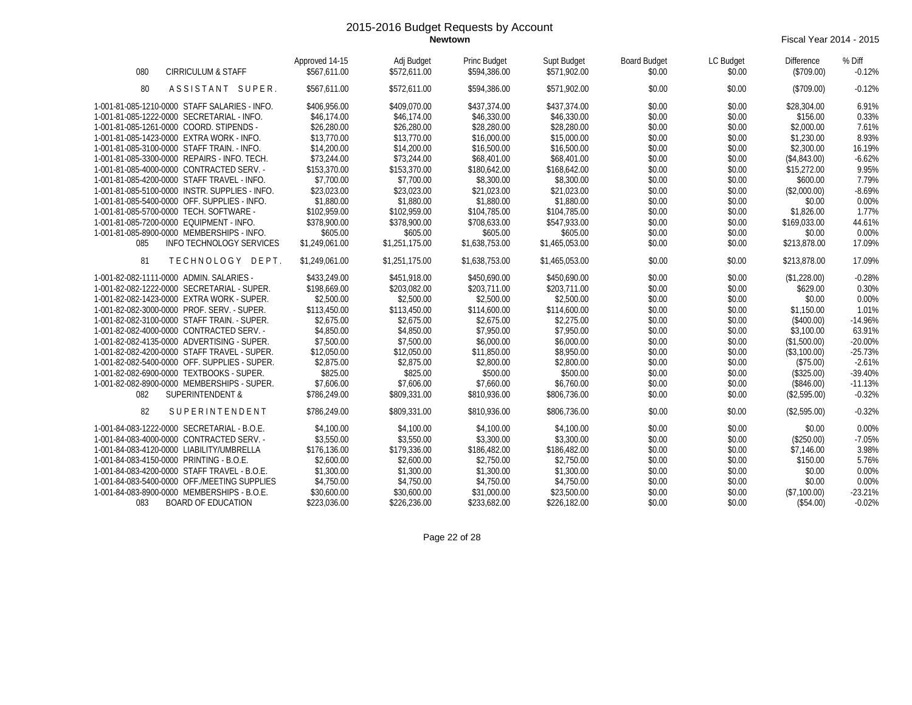**Newtown** Fiscal Year 2014 - 2015

| 080<br><b>CIRRICULUM &amp; STAFF</b>           | Approved 14-15<br>\$567,611.00 | Adj Budget<br>\$572.611.00 | Princ Budget<br>\$594,386.00 | Supt Budget<br>\$571,902.00 | <b>Board Budget</b><br>\$0.00 | LC Budget<br>\$0.00 | <b>Difference</b><br>(\$709.00) | % Diff<br>$-0.12%$ |
|------------------------------------------------|--------------------------------|----------------------------|------------------------------|-----------------------------|-------------------------------|---------------------|---------------------------------|--------------------|
| 80<br>ASSISTANT SUPER.                         | \$567.611.00                   | \$572,611.00               | \$594,386.00                 | \$571.902.00                | \$0.00                        | \$0.00              | (\$709.00)                      | $-0.12%$           |
| 1-001-81-085-1210-0000 STAFF SALARIES - INFO.  | \$406,956.00                   | \$409,070.00               | \$437,374.00                 | \$437,374.00                | \$0.00                        | \$0.00              | \$28,304.00                     | 6.91%              |
| 1-001-81-085-1222-0000 SECRETARIAL - INFO.     | \$46,174.00                    | \$46,174.00                | \$46,330.00                  | \$46,330.00                 | \$0.00                        | \$0.00              | \$156.00                        | 0.33%              |
| 1-001-81-085-1261-0000 COORD. STIPENDS -       | \$26,280.00                    | \$26,280.00                | \$28,280.00                  | \$28,280.00                 | \$0.00                        | \$0.00              | \$2,000.00                      | 7.61%              |
| 1-001-81-085-1423-0000 EXTRA WORK - INFO.      | \$13,770.00                    | \$13,770.00                | \$16,000.00                  | \$15,000.00                 | \$0.00                        | \$0.00              | \$1,230.00                      | 8.93%              |
| 1-001-81-085-3100-0000 STAFF TRAIN. - INFO.    | \$14,200.00                    | \$14,200.00                | \$16,500.00                  | \$16,500.00                 | \$0.00                        | \$0.00              | \$2,300.00                      | 16.19%             |
| 1-001-81-085-3300-0000 REPAIRS - INFO. TECH.   | \$73,244.00                    | \$73,244.00                | \$68,401.00                  | \$68,401.00                 | \$0.00                        | \$0.00              | (\$4.843.00)                    | $-6.62%$           |
| 1-001-81-085-4000-0000 CONTRACTED SERV. -      | \$153,370.00                   | \$153,370.00               | \$180,642.00                 | \$168,642.00                | \$0.00                        | \$0.00              | \$15,272.00                     | 9.95%              |
| 1-001-81-085-4200-0000 STAFF TRAVEL - INFO.    | \$7,700.00                     | \$7,700.00                 | \$8,300.00                   | \$8,300.00                  | \$0.00                        | \$0.00              | \$600.00                        | 7.79%              |
| 1-001-81-085-5100-0000 INSTR. SUPPLIES - INFO. | \$23,023.00                    | \$23,023.00                | \$21,023.00                  | \$21,023.00                 | \$0.00                        | \$0.00              | (\$2,000.00)                    | $-8.69%$           |
| 1-001-81-085-5400-0000 OFF. SUPPLIES - INFO.   | \$1,880.00                     | \$1,880.00                 | \$1,880.00                   | \$1,880.00                  | \$0.00                        | \$0.00              | \$0.00                          | 0.00%              |
| 1-001-81-085-5700-0000 TECH. SOFTWARE -        | \$102,959.00                   | \$102,959.00               | \$104,785.00                 | \$104,785.00                | \$0.00                        | \$0.00              | \$1,826.00                      | 1.77%              |
| 1-001-81-085-7200-0000 EQUIPMENT - INFO.       | \$378,900.00                   | \$378,900.00               | \$708,633.00                 | \$547,933.00                | \$0.00                        | \$0.00              | \$169,033.00                    | 44.61%             |
| 1-001-81-085-8900-0000 MEMBERSHIPS - INFO.     | \$605.00                       | \$605.00                   | \$605.00                     | \$605.00                    | \$0.00                        | \$0.00              | \$0.00                          | 0.00%              |
| 085<br>INFO TECHNOLOGY SERVICES                | \$1,249,061.00                 | \$1,251,175.00             | \$1,638,753.00               | \$1,465,053.00              | \$0.00                        | \$0.00              | \$213,878.00                    | 17.09%             |
| 81<br>TECHNOLOGY DEPT.                         | \$1,249,061.00                 | \$1,251,175.00             | \$1,638,753.00               | \$1,465,053.00              | \$0.00                        | \$0.00              | \$213,878.00                    | 17.09%             |
| 1-001-82-082-1111-0000 ADMIN. SALARIES -       | \$433,249.00                   | \$451,918.00               | \$450,690.00                 | \$450,690.00                | \$0.00                        | \$0.00              | (\$1,228.00)                    | $-0.28%$           |
| 1-001-82-082-1222-0000 SECRETARIAL - SUPER.    | \$198.669.00                   | \$203,082.00               | \$203,711.00                 | \$203,711.00                | \$0.00                        | \$0.00              | \$629.00                        | 0.30%              |
| 1-001-82-082-1423-0000 EXTRA WORK - SUPER.     | \$2,500.00                     | \$2,500.00                 | \$2,500.00                   | \$2,500.00                  | \$0.00                        | \$0.00              | \$0.00                          | 0.00%              |
| 1-001-82-082-3000-0000 PROF. SERV. - SUPER.    | \$113,450.00                   | \$113,450.00               | \$114,600.00                 | \$114,600.00                | \$0.00                        | \$0.00              | \$1,150.00                      | 1.01%              |
| 1-001-82-082-3100-0000 STAFF TRAIN. - SUPER.   | \$2,675.00                     | \$2,675.00                 | \$2,675.00                   | \$2,275.00                  | \$0.00                        | \$0.00              | (\$400.00)                      | $-14.96%$          |
| 1-001-82-082-4000-0000 CONTRACTED SERV. -      | \$4,850.00                     | \$4,850.00                 | \$7,950.00                   | \$7,950.00                  | \$0.00                        | \$0.00              | \$3,100.00                      | 63.91%             |
| 1-001-82-082-4135-0000 ADVERTISING - SUPER.    | \$7,500.00                     | \$7,500.00                 | \$6,000.00                   | \$6,000.00                  | \$0.00                        | \$0.00              | (\$1,500.00)                    | $-20.00%$          |
| 1-001-82-082-4200-0000 STAFF TRAVEL - SUPER.   | \$12,050.00                    | \$12,050.00                | \$11,850.00                  | \$8,950.00                  | \$0.00                        | \$0.00              | (\$3,100.00)                    | $-25.73%$          |
| 1-001-82-082-5400-0000 OFF. SUPPLIES - SUPER.  | \$2,875.00                     | \$2,875.00                 | \$2,800.00                   | \$2,800.00                  | \$0.00                        | \$0.00              | (\$75.00)                       | $-2.61%$           |
| 1-001-82-082-6900-0000 TEXTBOOKS - SUPER.      | \$825.00                       | \$825.00                   | \$500.00                     | \$500.00                    | \$0.00                        | \$0.00              | (\$325.00)                      | $-39.40%$          |
| 1-001-82-082-8900-0000 MEMBERSHIPS - SUPER.    | \$7,606.00                     | \$7,606.00                 | \$7,660.00                   | \$6,760.00                  | \$0.00                        | \$0.00              | (\$846.00)                      | $-11.13%$          |
| 082<br><b>SUPERINTENDENT &amp;</b>             | \$786,249.00                   | \$809,331.00               | \$810,936.00                 | \$806,736.00                | \$0.00                        | \$0.00              | (\$2,595.00)                    | $-0.32%$           |
| 82<br>SUPERINTENDENT                           | \$786,249.00                   | \$809,331.00               | \$810,936.00                 | \$806.736.00                | \$0.00                        | \$0.00              | (\$2.595.00)                    | $-0.32%$           |
| 1-001-84-083-1222-0000 SECRETARIAL - B.O.E.    | \$4,100.00                     | \$4,100.00                 | \$4,100.00                   | \$4,100.00                  | \$0.00                        | \$0.00              | \$0.00                          | 0.00%              |
| 1-001-84-083-4000-0000 CONTRACTED SERV. -      | \$3.550.00                     | \$3,550.00                 | \$3,300.00                   | \$3,300.00                  | \$0.00                        | \$0.00              | (\$250.00)                      | $-7.05%$           |
| 1-001-84-083-4120-0000 LIABILITY/UMBRELLA      | \$176,136.00                   | \$179,336.00               | \$186,482.00                 | \$186,482.00                | \$0.00                        | \$0.00              | \$7,146.00                      | 3.98%              |
| 1-001-84-083-4150-0000 PRINTING - B.O.E.       | \$2,600.00                     | \$2,600.00                 | \$2,750.00                   | \$2,750.00                  | \$0.00                        | \$0.00              | \$150.00                        | 5.76%              |
| 1-001-84-083-4200-0000 STAFF TRAVEL - B.O.E.   | \$1,300.00                     | \$1,300.00                 | \$1,300.00                   | \$1,300.00                  | \$0.00                        | \$0.00              | \$0.00                          | 0.00%              |
| 1-001-84-083-5400-0000 OFF./MEETING SUPPLIES   | \$4,750.00                     | \$4,750.00                 | \$4,750.00                   | \$4,750.00                  | \$0.00                        | \$0.00              | \$0.00                          | 0.00%              |
| 1-001-84-083-8900-0000 MEMBERSHIPS - B.O.E.    | \$30,600.00                    | \$30,600.00                | \$31,000.00                  | \$23,500.00                 | \$0.00                        | \$0.00              | (\$7,100.00)                    | $-23.21%$          |
| 083<br><b>BOARD OF EDUCATION</b>               | \$223.036.00                   | \$226,236.00               | \$233.682.00                 | \$226,182.00                | \$0.00                        | \$0.00              | (\$54.00)                       | $-0.02%$           |

Page 22 of 28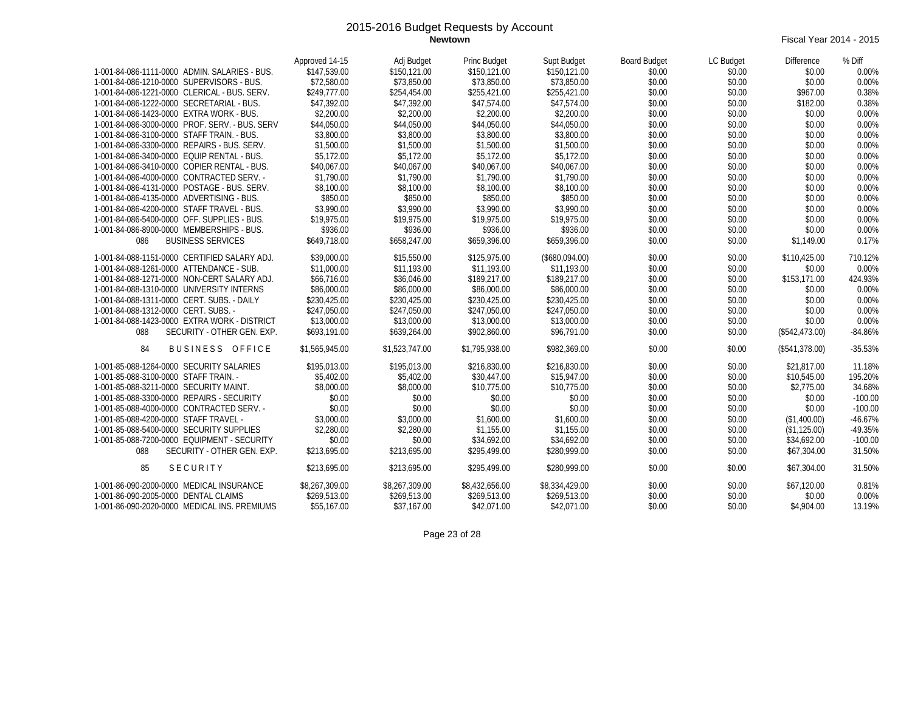**Newtown** Fiscal Year 2014 - 2015

|                                                | Approved 14-15 | Adj Budget     | Princ Budget   | Supt Budget    | <b>Board Budget</b> | LC Budget | Difference     | % Diff    |
|------------------------------------------------|----------------|----------------|----------------|----------------|---------------------|-----------|----------------|-----------|
| 1-001-84-086-1111-0000 ADMIN, SALARIES - BUS.  | \$147.539.00   | \$150,121.00   | \$150,121.00   | \$150,121.00   | \$0.00              | \$0.00    | \$0.00         | 0.00%     |
| 1-001-84-086-1210-0000 SUPERVISORS - BUS.      | \$72,580.00    | \$73.850.00    | \$73,850.00    | \$73,850.00    | \$0.00              | \$0.00    | \$0.00         | 0.00%     |
| 1-001-84-086-1221-0000 CLERICAL - BUS, SERV.   | \$249,777.00   | \$254,454.00   | \$255,421.00   | \$255,421.00   | \$0.00              | \$0.00    | \$967.00       | 0.38%     |
| 1-001-84-086-1222-0000 SECRETARIAL - BUS.      | \$47,392.00    | \$47,392.00    | \$47,574.00    | \$47,574.00    | \$0.00              | \$0.00    | \$182.00       | 0.38%     |
| 1-001-84-086-1423-0000 EXTRA WORK - BUS.       | \$2,200.00     | \$2,200.00     | \$2,200.00     | \$2,200.00     | \$0.00              | \$0.00    | \$0.00         | 0.00%     |
| 1-001-84-086-3000-0000 PROF. SERV. - BUS. SERV | \$44,050.00    | \$44,050.00    | \$44,050.00    | \$44,050.00    | \$0.00              | \$0.00    | \$0.00         | 0.00%     |
| 1-001-84-086-3100-0000 STAFF TRAIN. - BUS.     | \$3,800.00     | \$3,800.00     | \$3,800.00     | \$3,800.00     | \$0.00              | \$0.00    | \$0.00         | 0.00%     |
| 1-001-84-086-3300-0000 REPAIRS - BUS, SERV.    | \$1,500.00     | \$1,500.00     | \$1,500.00     | \$1,500.00     | \$0.00              | \$0.00    | \$0.00         | 0.00%     |
| 1-001-84-086-3400-0000 EQUIP RENTAL - BUS.     | \$5,172.00     | \$5,172.00     | \$5,172.00     | \$5,172.00     | \$0.00              | \$0.00    | \$0.00         | 0.00%     |
| 1-001-84-086-3410-0000 COPIER RENTAL - BUS.    | \$40,067.00    | \$40.067.00    | \$40,067.00    | \$40,067.00    | \$0.00              | \$0.00    | \$0.00         | 0.00%     |
| 1-001-84-086-4000-0000 CONTRACTED SERV. -      | \$1,790.00     | \$1,790.00     | \$1,790.00     | \$1,790.00     | \$0.00              | \$0.00    | \$0.00         | 0.00%     |
| 1-001-84-086-4131-0000 POSTAGE - BUS, SERV.    | \$8,100.00     | \$8,100.00     | \$8,100.00     | \$8,100.00     | \$0.00              | \$0.00    | \$0.00         | 0.00%     |
| 1-001-84-086-4135-0000 ADVERTISING - BUS.      | \$850.00       | \$850.00       | \$850.00       | \$850.00       | \$0.00              | \$0.00    | \$0.00         | 0.00%     |
| 1-001-84-086-4200-0000 STAFF TRAVEL - BUS.     | \$3,990.00     | \$3,990.00     | \$3,990.00     | \$3,990.00     | \$0.00              | \$0.00    | \$0.00         | 0.00%     |
| 1-001-84-086-5400-0000 OFF. SUPPLIES - BUS.    | \$19,975.00    | \$19,975.00    | \$19,975.00    | \$19,975.00    | \$0.00              | \$0.00    | \$0.00         | 0.00%     |
| 1-001-84-086-8900-0000 MEMBERSHIPS - BUS.      | \$936.00       | \$936.00       | \$936.00       | \$936.00       | \$0.00              | \$0.00    | \$0.00         | 0.00%     |
| <b>BUSINESS SERVICES</b><br>086                | \$649.718.00   | \$658,247.00   | \$659,396.00   | \$659,396.00   | \$0.00              | \$0.00    | \$1,149.00     | 0.17%     |
| 1-001-84-088-1151-0000 CERTIFIED SALARY ADJ.   | \$39,000.00    | \$15,550.00    | \$125,975.00   | (\$680,094.00) | \$0.00              | \$0.00    | \$110,425.00   | 710.12%   |
| 1-001-84-088-1261-0000 ATTENDANCE - SUB.       | \$11,000.00    | \$11.193.00    | \$11,193.00    | \$11,193.00    | \$0.00              | \$0.00    | \$0.00         | 0.00%     |
| 1-001-84-088-1271-0000 NON-CERT SALARY ADJ.    | \$66,716.00    | \$36.046.00    | \$189,217.00   | \$189,217.00   | \$0.00              | \$0.00    | \$153,171.00   | 424.93%   |
| 1-001-84-088-1310-0000 UNIVERSITY INTERNS      | \$86,000.00    | \$86,000.00    | \$86,000.00    | \$86,000.00    | \$0.00              | \$0.00    | \$0.00         | 0.00%     |
| 1-001-84-088-1311-0000 CERT. SUBS. - DAILY     | \$230,425.00   | \$230,425.00   | \$230,425.00   | \$230,425.00   | \$0.00              | \$0.00    | \$0.00         | 0.00%     |
| 1-001-84-088-1312-0000 CERT. SUBS. -           | \$247,050.00   | \$247,050.00   | \$247,050.00   | \$247.050.00   | \$0.00              | \$0.00    | \$0.00         | 0.00%     |
| 1-001-84-088-1423-0000 EXTRA WORK - DISTRICT   | \$13,000.00    | \$13,000.00    | \$13,000.00    | \$13,000.00    | \$0.00              | \$0.00    | \$0.00         | 0.00%     |
| 088<br>SECURITY - OTHER GEN. EXP.              | \$693.191.00   | \$639,264.00   | \$902,860.00   | \$96.791.00    | \$0.00              | \$0.00    | (\$542,473.00) | $-84.86%$ |
| BUSINESS OFFICE<br>84                          | \$1,565,945.00 | \$1,523,747.00 | \$1,795,938.00 | \$982,369.00   | \$0.00              | \$0.00    | (\$541,378.00) | $-35.53%$ |
| 1-001-85-088-1264-0000 SECURITY SALARIES       | \$195,013.00   | \$195,013.00   | \$216.830.00   | \$216,830.00   | \$0.00              | \$0.00    | \$21,817.00    | 11.18%    |
| 1-001-85-088-3100-0000 STAFF TRAIN. -          | \$5,402.00     | \$5,402.00     | \$30,447.00    | \$15,947.00    | \$0.00              | \$0.00    | \$10,545.00    | 195.20%   |
| 1-001-85-088-3211-0000 SECURITY MAINT.         | \$8,000.00     | \$8,000.00     | \$10,775.00    | \$10,775.00    | \$0.00              | \$0.00    | \$2,775.00     | 34.68%    |
| 1-001-85-088-3300-0000 REPAIRS - SECURITY      | \$0.00         | \$0.00         | \$0.00         | \$0.00         | \$0.00              | \$0.00    | \$0.00         | $-100.00$ |
| 1-001-85-088-4000-0000 CONTRACTED SERV. -      | \$0.00         | \$0.00         | \$0.00         | \$0.00         | \$0.00              | \$0.00    | \$0.00         | $-100.00$ |
| 1-001-85-088-4200-0000 STAFF TRAVEL -          | \$3,000.00     | \$3,000.00     | \$1,600.00     | \$1,600.00     | \$0.00              | \$0.00    | (\$1,400.00)   | $-46.67%$ |
| 1-001-85-088-5400-0000 SECURITY SUPPLIES       | \$2,280.00     | \$2,280.00     | \$1,155.00     | \$1,155.00     | \$0.00              | \$0.00    | (\$1,125.00)   | $-49.35%$ |
| 1-001-85-088-7200-0000 EQUIPMENT - SECURITY    | \$0.00         | \$0.00         | \$34.692.00    | \$34.692.00    | \$0.00              | \$0.00    | \$34.692.00    | $-100.00$ |
| SECURITY - OTHER GEN. EXP.<br>088              | \$213,695.00   | \$213,695.00   | \$295.499.00   | \$280,999.00   | \$0.00              | \$0.00    | \$67,304.00    | 31.50%    |
| <b>SECURITY</b><br>85                          | \$213,695.00   | \$213,695.00   | \$295,499.00   | \$280,999.00   | \$0.00              | \$0.00    | \$67,304.00    | 31.50%    |
| 1-001-86-090-2000-0000 MEDICAL INSURANCE       | \$8,267,309.00 | \$8,267,309.00 | \$8,432,656.00 | \$8,334,429.00 | \$0.00              | \$0.00    | \$67,120.00    | 0.81%     |
| 1-001-86-090-2005-0000 DENTAL CLAIMS           | \$269,513.00   | \$269,513.00   | \$269,513.00   | \$269,513.00   | \$0.00              | \$0.00    | \$0.00         | 0.00%     |
| 1-001-86-090-2020-0000 MEDICAL INS. PREMIUMS   | \$55,167.00    | \$37,167.00    | \$42,071.00    | \$42,071.00    | \$0.00              | \$0.00    | \$4,904.00     | 13.19%    |

Page 23 of 28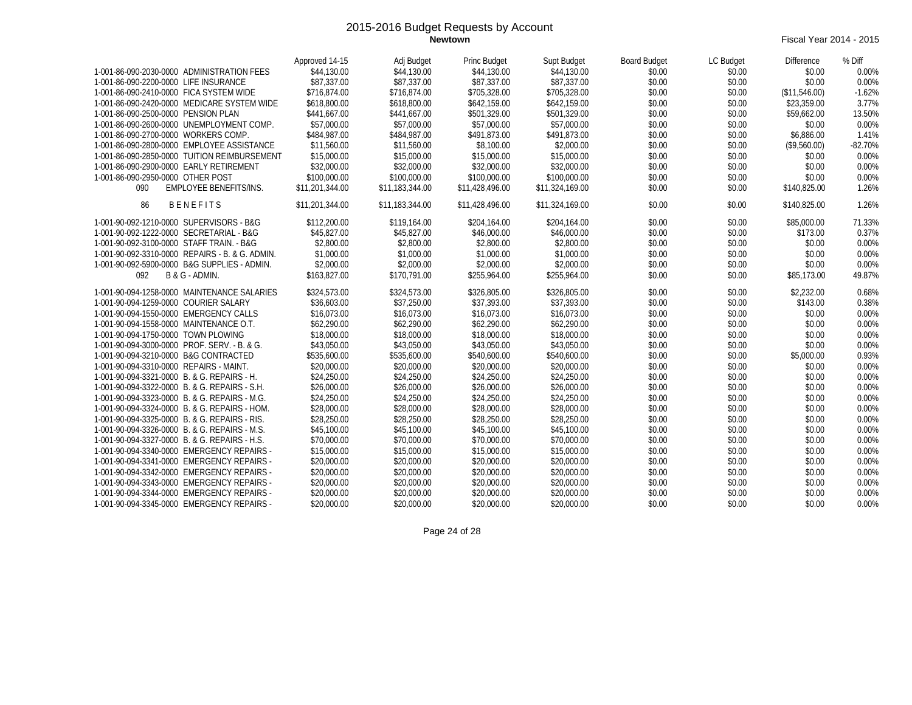**Newtown** Fiscal Year 2014 - 2015

|                                                 | Approved 14-15  | Adj Budget      | Princ Budget    | Supt Budget     | <b>Board Budget</b> | LC Budget | Difference    | % Diff    |
|-------------------------------------------------|-----------------|-----------------|-----------------|-----------------|---------------------|-----------|---------------|-----------|
| 1-001-86-090-2030-0000 ADMINISTRATION FEES      | \$44,130.00     | \$44,130.00     | \$44,130.00     | \$44,130.00     | \$0.00              | \$0.00    | \$0.00        | 0.00%     |
| 1-001-86-090-2200-0000 LIFE INSURANCE           | \$87,337.00     | \$87,337.00     | \$87,337.00     | \$87,337.00     | \$0.00              | \$0.00    | \$0.00        | 0.00%     |
| 1-001-86-090-2410-0000 FICA SYSTEM WIDE         | \$716,874.00    | \$716.874.00    | \$705,328.00    | \$705,328.00    | \$0.00              | \$0.00    | (\$11,546.00) | $-1.62%$  |
| 1-001-86-090-2420-0000 MEDICARE SYSTEM WIDE     | \$618,800.00    | \$618,800.00    | \$642,159.00    | \$642,159.00    | \$0.00              | \$0.00    | \$23,359.00   | 3.77%     |
| 1-001-86-090-2500-0000 PENSION PLAN             | \$441,667.00    | \$441,667.00    | \$501,329.00    | \$501,329.00    | \$0.00              | \$0.00    | \$59,662.00   | 13.50%    |
| 1-001-86-090-2600-0000 UNEMPLOYMENT COMP.       | \$57,000.00     | \$57,000.00     | \$57,000.00     | \$57,000.00     | \$0.00              | \$0.00    | \$0.00        | 0.00%     |
| 1-001-86-090-2700-0000 WORKERS COMP.            | \$484,987.00    | \$484,987.00    | \$491.873.00    | \$491.873.00    | \$0.00              | \$0.00    | \$6.886.00    | 1.41%     |
| 1-001-86-090-2800-0000 EMPLOYEE ASSISTANCE      | \$11,560.00     | \$11,560.00     | \$8,100.00      | \$2,000.00      | \$0.00              | \$0.00    | (\$9,560.00)  | $-82.70%$ |
| 1-001-86-090-2850-0000 TUITION REIMBURSEMENT    | \$15,000.00     | \$15,000.00     | \$15,000.00     | \$15,000.00     | \$0.00              | \$0.00    | \$0.00        | 0.00%     |
| 1-001-86-090-2900-0000 EARLY RETIREMENT         | \$32,000.00     | \$32,000.00     | \$32,000.00     | \$32,000.00     | \$0.00              | \$0.00    | \$0.00        | 0.00%     |
| 1-001-86-090-2950-0000 OTHER POST               | \$100,000.00    | \$100,000.00    | \$100,000.00    | \$100,000.00    | \$0.00              | \$0.00    | \$0.00        | 0.00%     |
| EMPLOYEE BENEFITS/INS.<br>090                   | \$11,201,344.00 | \$11,183,344.00 | \$11,428,496.00 | \$11,324,169.00 | \$0.00              | \$0.00    | \$140,825.00  | 1.26%     |
| <b>BENEFITS</b><br>86                           | \$11,201,344.00 | \$11,183,344.00 | \$11,428,496.00 | \$11,324,169.00 | \$0.00              | \$0.00    | \$140,825.00  | 1.26%     |
| 1-001-90-092-1210-0000 SUPERVISORS - B&G        | \$112,200.00    | \$119,164.00    | \$204,164.00    | \$204,164.00    | \$0.00              | \$0.00    | \$85,000.00   | 71.33%    |
| 1-001-90-092-1222-0000 SECRETARIAL - B&G        | \$45,827.00     | \$45,827.00     | \$46,000.00     | \$46,000.00     | \$0.00              | \$0.00    | \$173.00      | 0.37%     |
| 1-001-90-092-3100-0000 STAFF TRAIN. - B&G       | \$2,800.00      | \$2,800.00      | \$2,800.00      | \$2,800.00      | \$0.00              | \$0.00    | \$0.00        | 0.00%     |
| 1-001-90-092-3310-0000 REPAIRS - B. & G. ADMIN. | \$1,000.00      | \$1,000.00      | \$1,000.00      | \$1,000.00      | \$0.00              | \$0.00    | \$0.00        | 0.00%     |
| 1-001-90-092-5900-0000 B&G SUPPLIES - ADMIN.    | \$2,000.00      | \$2,000.00      | \$2,000.00      | \$2,000.00      | \$0.00              | \$0.00    | \$0.00        | 0.00%     |
| 092<br>B & G - ADMIN.                           | \$163,827.00    | \$170,791.00    | \$255,964.00    | \$255,964.00    | \$0.00              | \$0.00    | \$85,173.00   | 49.87%    |
| 1-001-90-094-1258-0000 MAINTENANCE SALARIES     | \$324,573.00    | \$324,573.00    | \$326,805.00    | \$326,805.00    | \$0.00              | \$0.00    | \$2,232.00    | 0.68%     |
| 1-001-90-094-1259-0000 COURIER SALARY           | \$36,603.00     | \$37,250.00     | \$37,393.00     | \$37,393.00     | \$0.00              | \$0.00    | \$143.00      | 0.38%     |
| 1-001-90-094-1550-0000 EMERGENCY CALLS          | \$16.073.00     | \$16.073.00     | \$16,073.00     | \$16,073.00     | \$0.00              | \$0.00    | \$0.00        | 0.00%     |
| 1-001-90-094-1558-0000 MAINTENANCE O.T.         | \$62,290.00     | \$62,290.00     | \$62,290.00     | \$62,290.00     | \$0.00              | \$0.00    | \$0.00        | 0.00%     |
| 1-001-90-094-1750-0000 TOWN PLOWING             | \$18,000.00     | \$18,000.00     | \$18,000.00     | \$18,000.00     | \$0.00              | \$0.00    | \$0.00        | 0.00%     |
| 1-001-90-094-3000-0000 PROF, SERV. - B. & G.    | \$43,050.00     | \$43,050.00     | \$43,050.00     | \$43,050.00     | \$0.00              | \$0.00    | \$0.00        | 0.00%     |
| 1-001-90-094-3210-0000 B&G CONTRACTED           | \$535,600.00    | \$535,600.00    | \$540,600.00    | \$540,600.00    | \$0.00              | \$0.00    | \$5,000.00    | 0.93%     |
| 1-001-90-094-3310-0000 REPAIRS - MAINT.         | \$20,000.00     | \$20,000.00     | \$20,000.00     | \$20,000.00     | \$0.00              | \$0.00    | \$0.00        | 0.00%     |
| 1-001-90-094-3321-0000 B. & G. REPAIRS - H.     | \$24,250.00     | \$24,250.00     | \$24,250.00     | \$24,250.00     | \$0.00              | \$0.00    | \$0.00        | 0.00%     |
| 1-001-90-094-3322-0000 B. & G. REPAIRS - S.H.   | \$26,000.00     | \$26,000.00     | \$26,000.00     | \$26,000.00     | \$0.00              | \$0.00    | \$0.00        | 0.00%     |
| 1-001-90-094-3323-0000 B. & G. REPAIRS - M.G.   | \$24,250.00     | \$24,250.00     | \$24,250.00     | \$24,250.00     | \$0.00              | \$0.00    | \$0.00        | 0.00%     |
| 1-001-90-094-3324-0000 B. & G. REPAIRS - HOM.   | \$28,000.00     | \$28,000.00     | \$28,000.00     | \$28,000.00     | \$0.00              | \$0.00    | \$0.00        | 0.00%     |
| 1-001-90-094-3325-0000 B. & G. REPAIRS - RIS.   | \$28,250.00     | \$28,250.00     | \$28,250.00     | \$28,250.00     | \$0.00              | \$0.00    | \$0.00        | 0.00%     |
| 1-001-90-094-3326-0000 B. & G. REPAIRS - M.S.   | \$45,100.00     | \$45,100.00     | \$45,100.00     | \$45,100.00     | \$0.00              | \$0.00    | \$0.00        | 0.00%     |
| 1-001-90-094-3327-0000 B. & G. REPAIRS - H.S.   | \$70,000.00     | \$70,000.00     | \$70,000.00     | \$70,000.00     | \$0.00              | \$0.00    | \$0.00        | 0.00%     |
| 1-001-90-094-3340-0000 EMERGENCY REPAIRS -      | \$15,000.00     | \$15,000.00     | \$15,000.00     | \$15,000.00     | \$0.00              | \$0.00    | \$0.00        | 0.00%     |
| 1-001-90-094-3341-0000 EMERGENCY REPAIRS -      | \$20,000.00     | \$20,000.00     | \$20,000.00     | \$20,000.00     | \$0.00              | \$0.00    | \$0.00        | 0.00%     |
| 1-001-90-094-3342-0000 EMERGENCY REPAIRS -      | \$20,000.00     | \$20,000.00     | \$20,000.00     | \$20,000.00     | \$0.00              | \$0.00    | \$0.00        | 0.00%     |
| 1-001-90-094-3343-0000 EMERGENCY REPAIRS -      | \$20,000.00     | \$20,000.00     | \$20,000.00     | \$20,000.00     | \$0.00              | \$0.00    | \$0.00        | 0.00%     |
| 1-001-90-094-3344-0000 EMERGENCY REPAIRS -      | \$20,000.00     | \$20,000.00     | \$20,000.00     | \$20,000.00     | \$0.00              | \$0.00    | \$0.00        | 0.00%     |
| 1-001-90-094-3345-0000 EMERGENCY REPAIRS -      | \$20,000.00     | \$20,000.00     | \$20,000.00     | \$20,000.00     | \$0.00              | \$0.00    | \$0.00        | 0.00%     |

Page 24 of 28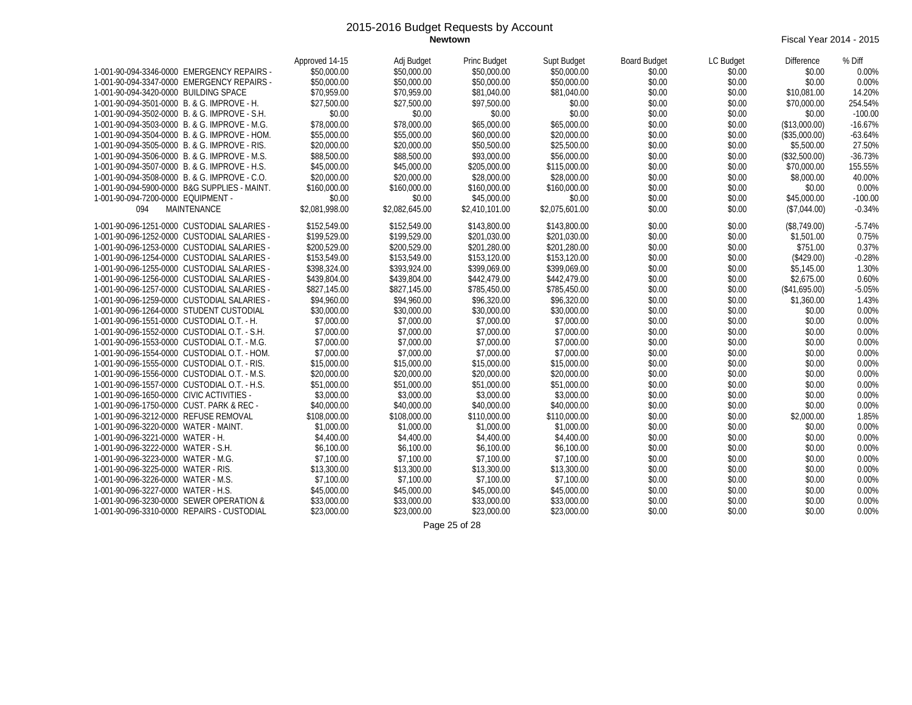**Newtown** Fiscal Year 2014 - 2015

|                                               | Approved 14-15 | Adj Budget     | Princ Budget   | Supt Budget    | <b>Board Budget</b> | LC Budget | <b>Difference</b> | % Diff    |
|-----------------------------------------------|----------------|----------------|----------------|----------------|---------------------|-----------|-------------------|-----------|
| 1-001-90-094-3346-0000 EMERGENCY REPAIRS -    | \$50,000.00    | \$50,000.00    | \$50,000.00    | \$50,000.00    | \$0.00              | \$0.00    | \$0.00            | 0.00%     |
| 1-001-90-094-3347-0000 EMERGENCY REPAIRS -    | \$50,000.00    | \$50,000.00    | \$50,000.00    | \$50,000.00    | \$0.00              | \$0.00    | \$0.00            | 0.00%     |
| 1-001-90-094-3420-0000 BUILDING SPACE         | \$70,959.00    | \$70,959.00    | \$81,040.00    | \$81,040.00    | \$0.00              | \$0.00    | \$10,081.00       | 14.20%    |
| 1-001-90-094-3501-0000 B. & G. IMPROVE - H.   | \$27,500.00    | \$27,500.00    | \$97,500.00    | \$0.00         | \$0.00              | \$0.00    | \$70,000.00       | 254.54%   |
| 1-001-90-094-3502-0000 B. & G. IMPROVE - S.H. | \$0.00         | \$0.00         | \$0.00         | \$0.00         | \$0.00              | \$0.00    | \$0.00            | $-100.00$ |
| 1-001-90-094-3503-0000 B. & G. IMPROVE - M.G. | \$78,000.00    | \$78,000.00    | \$65,000.00    | \$65,000.00    | \$0.00              | \$0.00    | (\$13,000.00)     | $-16.67%$ |
| 1-001-90-094-3504-0000 B. & G. IMPROVE - HOM. | \$55,000.00    | \$55,000.00    | \$60,000.00    | \$20,000.00    | \$0.00              | \$0.00    | (\$35,000.00)     | $-63.64%$ |
| 1-001-90-094-3505-0000 B. & G. IMPROVE - RIS. | \$20,000.00    | \$20,000.00    | \$50,500.00    | \$25,500.00    | \$0.00              | \$0.00    | \$5,500.00        | 27.50%    |
| 1-001-90-094-3506-0000 B. & G. IMPROVE - M.S. | \$88,500.00    | \$88,500.00    | \$93,000.00    | \$56,000.00    | \$0.00              | \$0.00    | (\$32,500.00)     | $-36.73%$ |
| 1-001-90-094-3507-0000 B. & G. IMPROVE - H.S. | \$45,000.00    | \$45,000.00    | \$205,000.00   | \$115,000.00   | \$0.00              | \$0.00    | \$70,000.00       | 155.55%   |
| 1-001-90-094-3508-0000 B. & G. IMPROVE - C.O. | \$20,000.00    | \$20,000.00    | \$28,000.00    | \$28,000.00    | \$0.00              | \$0.00    | \$8,000.00        | 40.00%    |
| 1-001-90-094-5900-0000 B&G SUPPLIES - MAINT.  | \$160,000.00   | \$160,000.00   | \$160,000.00   | \$160,000.00   | \$0.00              | \$0.00    | \$0.00            | 0.00%     |
| 1-001-90-094-7200-0000 EQUIPMENT -            | \$0.00         | \$0.00         | \$45,000.00    | \$0.00         | \$0.00              | \$0.00    | \$45,000.00       | $-100.00$ |
| 094<br>MAINTENANCE                            | \$2,081,998.00 | \$2,082,645.00 | \$2,410,101.00 | \$2,075,601.00 | \$0.00              | \$0.00    | (\$7,044.00)      | $-0.34%$  |
| 1-001-90-096-1251-0000 CUSTODIAL SALARIES -   | \$152.549.00   | \$152,549.00   | \$143,800.00   | \$143,800.00   | \$0.00              | \$0.00    | (\$8,749.00)      | $-5.74%$  |
| 1-001-90-096-1252-0000 CUSTODIAL SALARIES -   | \$199,529.00   | \$199,529.00   | \$201,030.00   | \$201,030.00   | \$0.00              | \$0.00    | \$1,501.00        | 0.75%     |
| 1-001-90-096-1253-0000 CUSTODIAL SALARIES -   | \$200,529.00   | \$200,529.00   | \$201,280.00   | \$201,280.00   | \$0.00              | \$0.00    | \$751.00          | 0.37%     |
| 1-001-90-096-1254-0000 CUSTODIAL SALARIES -   | \$153,549.00   | \$153,549.00   | \$153,120.00   | \$153,120.00   | \$0.00              | \$0.00    | (\$429.00)        | $-0.28%$  |
| 1-001-90-096-1255-0000 CUSTODIAL SALARIES -   | \$398,324.00   | \$393.924.00   | \$399,069.00   | \$399,069.00   | \$0.00              | \$0.00    | \$5,145.00        | 1.30%     |
| 1-001-90-096-1256-0000 CUSTODIAL SALARIES -   | \$439,804.00   | \$439,804.00   | \$442,479.00   | \$442,479.00   | \$0.00              | \$0.00    | \$2,675.00        | 0.60%     |
| 1-001-90-096-1257-0000 CUSTODIAL SALARIES -   | \$827,145.00   | \$827,145.00   | \$785,450.00   | \$785,450.00   | \$0.00              | \$0.00    | (\$41,695.00)     | $-5.05%$  |
| 1-001-90-096-1259-0000 CUSTODIAL SALARIES -   | \$94,960.00    | \$94,960.00    | \$96,320.00    | \$96,320.00    | \$0.00              | \$0.00    | \$1,360.00        | 1.43%     |
| 1-001-90-096-1264-0000 STUDENT CUSTODIAL      | \$30,000.00    | \$30,000.00    | \$30,000.00    | \$30,000.00    | \$0.00              | \$0.00    | \$0.00            | 0.00%     |
| 1-001-90-096-1551-0000 CUSTODIAL O.T. - H.    | \$7,000.00     | \$7,000.00     | \$7,000.00     | \$7,000.00     | \$0.00              | \$0.00    | \$0.00            | 0.00%     |
| 1-001-90-096-1552-0000 CUSTODIAL O.T. - S.H.  | \$7,000.00     | \$7,000.00     | \$7,000.00     | \$7,000.00     | \$0.00              | \$0.00    | \$0.00            | 0.00%     |
| 1-001-90-096-1553-0000 CUSTODIAL O.T. - M.G.  | \$7,000.00     | \$7,000.00     | \$7,000.00     | \$7,000.00     | \$0.00              | \$0.00    | \$0.00            | 0.00%     |
| 1-001-90-096-1554-0000 CUSTODIAL O.T. - HOM.  | \$7,000.00     | \$7,000.00     | \$7,000.00     | \$7,000.00     | \$0.00              | \$0.00    | \$0.00            | 0.00%     |
| 1-001-90-096-1555-0000 CUSTODIAL O.T. - RIS.  | \$15,000.00    | \$15,000.00    | \$15,000.00    | \$15,000.00    | \$0.00              | \$0.00    | \$0.00            | 0.00%     |
| 1-001-90-096-1556-0000 CUSTODIAL O.T. - M.S.  | \$20,000.00    | \$20,000.00    | \$20,000.00    | \$20,000.00    | \$0.00              | \$0.00    | \$0.00            | 0.00%     |
| 1-001-90-096-1557-0000 CUSTODIAL O.T. - H.S.  | \$51,000.00    | \$51,000.00    | \$51,000.00    | \$51,000.00    | \$0.00              | \$0.00    | \$0.00            | 0.00%     |
| 1-001-90-096-1650-0000 CIVIC ACTIVITIES -     | \$3,000.00     | \$3,000.00     | \$3,000.00     | \$3,000.00     | \$0.00              | \$0.00    | \$0.00            | 0.00%     |
| 1-001-90-096-1750-0000 CUST. PARK & REC -     | \$40,000.00    | \$40,000.00    | \$40,000.00    | \$40,000.00    | \$0.00              | \$0.00    | \$0.00            | 0.00%     |
| 1-001-90-096-3212-0000 REFUSE REMOVAL         | \$108,000.00   | \$108,000.00   | \$110,000.00   | \$110,000.00   | \$0.00              | \$0.00    | \$2,000.00        | 1.85%     |
| 1-001-90-096-3220-0000 WATER - MAINT.         | \$1,000.00     | \$1,000.00     | \$1,000.00     | \$1,000.00     | \$0.00              | \$0.00    | \$0.00            | 0.00%     |
| 1-001-90-096-3221-0000 WATER - H.             | \$4,400.00     | \$4,400.00     | \$4,400.00     | \$4,400.00     | \$0.00              | \$0.00    | \$0.00            | 0.00%     |
| 1-001-90-096-3222-0000 WATER - S.H.           | \$6,100.00     | \$6,100.00     | \$6,100.00     | \$6,100.00     | \$0.00              | \$0.00    | \$0.00            | 0.00%     |
| 1-001-90-096-3223-0000 WATER - M.G.           | \$7,100.00     | \$7,100.00     | \$7,100.00     | \$7,100.00     | \$0.00              | \$0.00    | \$0.00            | 0.00%     |
| 1-001-90-096-3225-0000 WATER - RIS.           | \$13,300.00    | \$13,300.00    | \$13,300.00    | \$13,300.00    | \$0.00              | \$0.00    | \$0.00            | 0.00%     |
| 1-001-90-096-3226-0000 WATER - M.S.           | \$7,100.00     | \$7,100.00     | \$7,100.00     | \$7,100.00     | \$0.00              | \$0.00    | \$0.00            | 0.00%     |
| 1-001-90-096-3227-0000 WATER - H.S.           | \$45,000.00    | \$45,000.00    | \$45,000.00    | \$45,000.00    | \$0.00              | \$0.00    | \$0.00            | 0.00%     |
| 1-001-90-096-3230-0000 SEWER OPERATION &      | \$33,000.00    | \$33,000.00    | \$33,000.00    | \$33,000.00    | \$0.00              | \$0.00    | \$0.00            | 0.00%     |
| 1-001-90-096-3310-0000 REPAIRS - CUSTODIAL    | \$23,000.00    | \$23,000.00    | \$23,000.00    | \$23,000.00    | \$0.00              | \$0.00    | \$0.00            | 0.00%     |

Page 25 of 28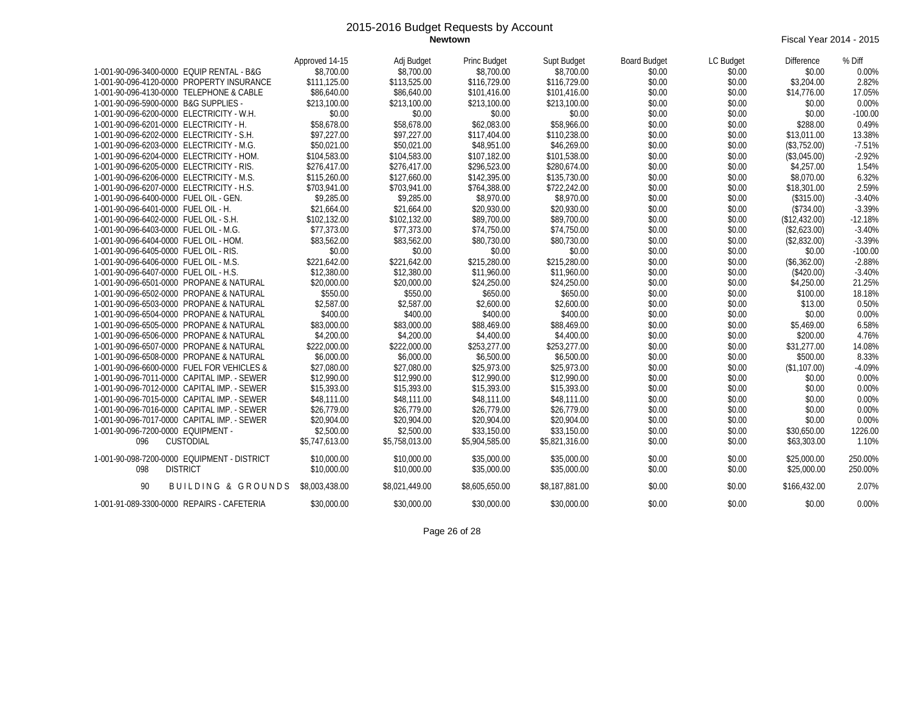**Newtown** Fiscal Year 2014 - 2015

|                                             | Approved 14-15 | Adj Budget     | Princ Budget   | Supt Budget    | <b>Board Budget</b> | LC Budget | <b>Difference</b> | % Diff    |
|---------------------------------------------|----------------|----------------|----------------|----------------|---------------------|-----------|-------------------|-----------|
| 1-001-90-096-3400-0000 EQUIP RENTAL - B&G   | \$8,700.00     | \$8,700.00     | \$8,700.00     | \$8,700.00     | \$0.00              | \$0.00    | \$0.00            | 0.00%     |
| 1-001-90-096-4120-0000 PROPERTY INSURANCE   | \$111,125.00   | \$113,525.00   | \$116,729.00   | \$116,729.00   | \$0.00              | \$0.00    | \$3,204.00        | 2.82%     |
| 1-001-90-096-4130-0000 TELEPHONE & CABLE    | \$86,640.00    | \$86,640.00    | \$101,416.00   | \$101,416.00   | \$0.00              | \$0.00    | \$14,776.00       | 17.05%    |
| 1-001-90-096-5900-0000 B&G SUPPLIES -       | \$213,100.00   | \$213,100.00   | \$213,100.00   | \$213,100.00   | \$0.00              | \$0.00    | \$0.00            | 0.00%     |
| 1-001-90-096-6200-0000 ELECTRICITY - W.H.   | \$0.00         | \$0.00         | \$0.00         | \$0.00         | \$0.00              | \$0.00    | \$0.00            | $-100.00$ |
| 1-001-90-096-6201-0000 ELECTRICITY - H.     | \$58,678.00    | \$58,678.00    | \$62,083.00    | \$58,966.00    | \$0.00              | \$0.00    | \$288.00          | 0.49%     |
| 1-001-90-096-6202-0000 ELECTRICITY - S.H.   | \$97,227.00    | \$97,227.00    | \$117,404.00   | \$110,238.00   | \$0.00              | \$0.00    | \$13,011.00       | 13.38%    |
| 1-001-90-096-6203-0000 ELECTRICITY - M.G.   | \$50,021.00    | \$50,021.00    | \$48,951.00    | \$46,269.00    | \$0.00              | \$0.00    | (\$3,752.00)      | $-7.51%$  |
| 1-001-90-096-6204-0000 ELECTRICITY - HOM.   | \$104,583.00   | \$104,583.00   | \$107,182.00   | \$101,538.00   | \$0.00              | \$0.00    | (\$3,045.00)      | $-2.92%$  |
| 1-001-90-096-6205-0000 ELECTRICITY - RIS.   | \$276,417.00   | \$276,417.00   | \$296,523.00   | \$280,674.00   | \$0.00              | \$0.00    | \$4,257.00        | 1.54%     |
| 1-001-90-096-6206-0000 ELECTRICITY - M.S.   | \$115,260.00   | \$127,660.00   | \$142,395.00   | \$135,730.00   | \$0.00              | \$0.00    | \$8,070.00        | 6.32%     |
| 1-001-90-096-6207-0000 ELECTRICITY - H.S.   | \$703,941.00   | \$703,941.00   | \$764,388.00   | \$722,242.00   | \$0.00              | \$0.00    | \$18,301.00       | 2.59%     |
| 1-001-90-096-6400-0000 FUEL OIL - GEN.      | \$9,285.00     | \$9,285.00     | \$8,970.00     | \$8,970.00     | \$0.00              | \$0.00    | (\$315.00)        | $-3.40%$  |
| 1-001-90-096-6401-0000 FUEL OIL - H.        | \$21,664.00    | \$21.664.00    | \$20,930.00    | \$20,930.00    | \$0.00              | \$0.00    | (\$734.00)        | $-3.39%$  |
| 1-001-90-096-6402-0000 FUEL OIL - S.H.      | \$102,132.00   | \$102,132.00   | \$89,700.00    | \$89,700.00    | \$0.00              | \$0.00    | (\$12,432.00)     | $-12.18%$ |
| 1-001-90-096-6403-0000 FUEL OIL - M.G.      | \$77,373.00    | \$77,373.00    | \$74,750.00    | \$74,750.00    | \$0.00              | \$0.00    | (\$2,623.00)      | $-3.40%$  |
| 1-001-90-096-6404-0000 FUEL OIL - HOM.      | \$83,562.00    | \$83,562.00    | \$80,730.00    | \$80,730.00    | \$0.00              | \$0.00    | (\$2,832.00)      | $-3.39%$  |
| 1-001-90-096-6405-0000 FUEL OIL - RIS.      | \$0.00         | \$0.00         | \$0.00         | \$0.00         | \$0.00              | \$0.00    | \$0.00            | $-100.00$ |
| 1-001-90-096-6406-0000 FUEL OIL - M.S.      | \$221,642.00   | \$221,642.00   | \$215,280.00   | \$215,280.00   | \$0.00              | \$0.00    | (\$6,362.00)      | $-2.88%$  |
| 1-001-90-096-6407-0000 FUEL OIL - H.S.      | \$12,380.00    | \$12,380.00    | \$11,960.00    | \$11,960.00    | \$0.00              | \$0.00    | (\$420.00)        | $-3.40%$  |
| 1-001-90-096-6501-0000 PROPANE & NATURAL    | \$20,000.00    | \$20,000.00    | \$24,250.00    | \$24,250.00    | \$0.00              | \$0.00    | \$4,250.00        | 21.25%    |
| 1-001-90-096-6502-0000 PROPANE & NATURAL    | \$550.00       | \$550.00       | \$650.00       | \$650.00       | \$0.00              | \$0.00    | \$100.00          | 18.18%    |
| 1-001-90-096-6503-0000 PROPANE & NATURAL    | \$2,587.00     | \$2,587.00     | \$2,600.00     | \$2,600.00     | \$0.00              | \$0.00    | \$13.00           | 0.50%     |
| 1-001-90-096-6504-0000 PROPANE & NATURAL    | \$400.00       | \$400.00       | \$400.00       | \$400.00       | \$0.00              | \$0.00    | \$0.00            | 0.00%     |
| 1-001-90-096-6505-0000 PROPANE & NATURAL    | \$83,000.00    | \$83,000.00    | \$88,469.00    | \$88,469.00    | \$0.00              | \$0.00    | \$5,469.00        | 6.58%     |
| 1-001-90-096-6506-0000 PROPANE & NATURAL    | \$4,200.00     | \$4,200.00     | \$4,400.00     | \$4,400.00     | \$0.00              | \$0.00    | \$200.00          | 4.76%     |
| 1-001-90-096-6507-0000 PROPANE & NATURAL    | \$222,000.00   | \$222,000.00   | \$253,277.00   | \$253,277.00   | \$0.00              | \$0.00    | \$31,277.00       | 14.08%    |
| 1-001-90-096-6508-0000 PROPANE & NATURAL    | \$6,000.00     | \$6,000.00     | \$6,500.00     | \$6,500.00     | \$0.00              | \$0.00    | \$500.00          | 8.33%     |
| 1-001-90-096-6600-0000 FUEL FOR VEHICLES &  | \$27,080.00    | \$27,080.00    | \$25,973.00    | \$25,973.00    | \$0.00              | \$0.00    | (\$1,107.00)      | $-4.09%$  |
| 1-001-90-096-7011-0000 CAPITAL IMP. - SEWER | \$12,990.00    | \$12,990.00    | \$12,990.00    | \$12,990.00    | \$0.00              | \$0.00    | \$0.00            | 0.00%     |
| 1-001-90-096-7012-0000 CAPITAL IMP. - SEWER | \$15,393.00    | \$15,393.00    | \$15,393.00    | \$15,393.00    | \$0.00              | \$0.00    | \$0.00            | 0.00%     |
| 1-001-90-096-7015-0000 CAPITAL IMP. - SEWER | \$48,111.00    | \$48,111.00    | \$48,111.00    | \$48,111.00    | \$0.00              | \$0.00    | \$0.00            | 0.00%     |
| 1-001-90-096-7016-0000 CAPITAL IMP. - SEWER | \$26,779.00    | \$26,779.00    | \$26,779.00    | \$26,779.00    | \$0.00              | \$0.00    | \$0.00            | 0.00%     |
| 1-001-90-096-7017-0000 CAPITAL IMP. - SEWER | \$20,904.00    | \$20,904.00    | \$20,904.00    | \$20,904.00    | \$0.00              | \$0.00    | \$0.00            | 0.00%     |
| 1-001-90-096-7200-0000 EQUIPMENT -          | \$2,500.00     | \$2,500.00     | \$33,150.00    | \$33,150.00    | \$0.00              | \$0.00    | \$30.650.00       | 1226.00   |
| 096<br>CUSTODIAL                            | \$5,747,613.00 | \$5,758,013.00 | \$5,904,585.00 | \$5,821,316.00 | \$0.00              | \$0.00    | \$63,303.00       | 1.10%     |
| 1-001-90-098-7200-0000 EQUIPMENT - DISTRICT | \$10,000.00    | \$10,000.00    | \$35,000.00    | \$35,000.00    | \$0.00              | \$0.00    | \$25,000.00       | 250.00%   |
| 098<br><b>DISTRICT</b>                      | \$10,000.00    | \$10,000.00    | \$35,000.00    | \$35,000.00    | \$0.00              | \$0.00    | \$25,000.00       | 250.00%   |
|                                             |                |                |                |                |                     |           |                   |           |
| 90<br><b>BUILDING &amp; GROUNDS</b>         | \$8,003,438.00 | \$8.021.449.00 | \$8,605,650.00 | \$8,187,881.00 | \$0.00              | \$0.00    | \$166,432.00      | 2.07%     |
| 1-001-91-089-3300-0000 REPAIRS - CAFETERIA  | \$30,000.00    | \$30,000.00    | \$30,000.00    | \$30,000.00    | \$0.00              | \$0.00    | \$0.00            | 0.00%     |

Page 26 of 28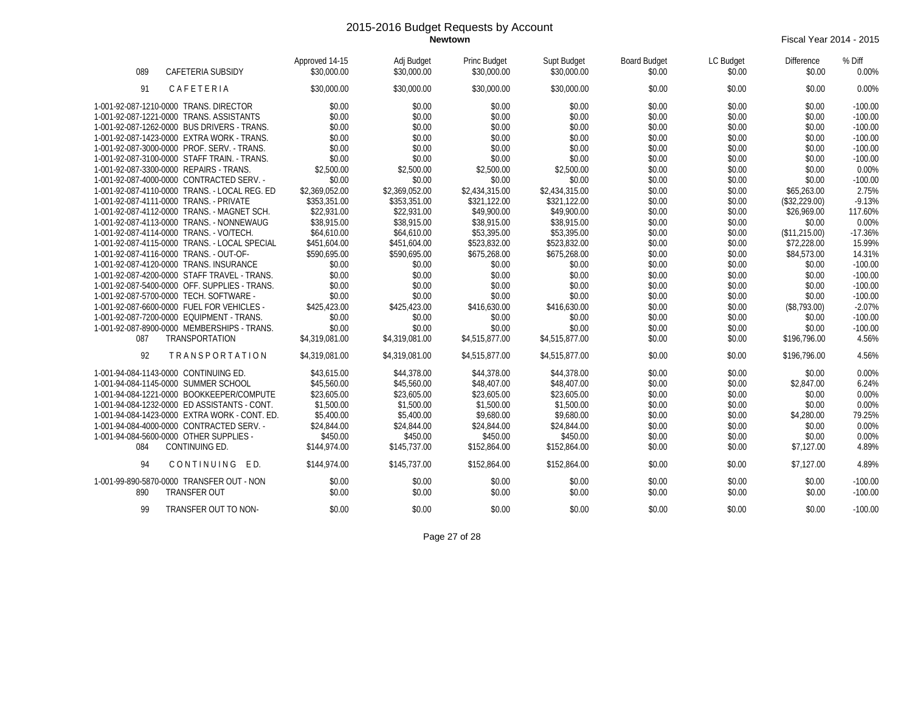**Newtown** Fiscal Year 2014 - 2015

| CAFETERIA SUBSIDY<br>089                      | Approved 14-15<br>\$30,000.00 | Adj Budget<br>\$30,000.00 | Princ Budget<br>\$30,000.00 | Supt Budget<br>\$30,000.00 | <b>Board Budget</b><br>\$0.00 | LC Budget<br>\$0.00 | Difference<br>\$0.00 | % Diff<br>0.00% |
|-----------------------------------------------|-------------------------------|---------------------------|-----------------------------|----------------------------|-------------------------------|---------------------|----------------------|-----------------|
| 91<br>CAFETERIA                               | \$30,000.00                   | \$30,000.00               | \$30,000.00                 | \$30,000.00                | \$0.00                        | \$0.00              | \$0.00               | 0.00%           |
| 1-001-92-087-1210-0000 TRANS, DIRECTOR        | \$0.00                        | \$0.00                    | \$0.00                      | \$0.00                     | \$0.00                        | \$0.00              | \$0.00               | $-100.00$       |
| 1-001-92-087-1221-0000 TRANS, ASSISTANTS      | \$0.00                        | \$0.00                    | \$0.00                      | \$0.00                     | \$0.00                        | \$0.00              | \$0.00               | $-100.00$       |
| 1-001-92-087-1262-0000 BUS DRIVERS - TRANS.   | \$0.00                        | \$0.00                    | \$0.00                      | \$0.00                     | \$0.00                        | \$0.00              | \$0.00               | $-100.00$       |
| 1-001-92-087-1423-0000 EXTRA WORK - TRANS.    | \$0.00                        | \$0.00                    | \$0.00                      | \$0.00                     | \$0.00                        | \$0.00              | \$0.00               | $-100.00$       |
| 1-001-92-087-3000-0000 PROF. SERV. - TRANS.   | \$0.00                        | \$0.00                    | \$0.00                      | \$0.00                     | \$0.00                        | \$0.00              | \$0.00               | $-100.00$       |
| 1-001-92-087-3100-0000 STAFF TRAIN. - TRANS.  | \$0.00                        | \$0.00                    | \$0.00                      | \$0.00                     | \$0.00                        | \$0.00              | \$0.00               | $-100.00$       |
| 1-001-92-087-3300-0000 REPAIRS - TRANS.       | \$2,500.00                    | \$2,500.00                | \$2,500.00                  | \$2,500.00                 | \$0.00                        | \$0.00              | \$0.00               | 0.00%           |
| 1-001-92-087-4000-0000 CONTRACTED SERV. -     | \$0.00                        | \$0.00                    | \$0.00                      | \$0.00                     | \$0.00                        | \$0.00              | \$0.00               | $-100.00$       |
| 1-001-92-087-4110-0000 TRANS. - LOCAL REG. ED | \$2,369,052.00                | \$2,369,052.00            | \$2,434,315.00              | \$2,434,315.00             | \$0.00                        | \$0.00              | \$65,263.00          | 2.75%           |
| 1-001-92-087-4111-0000 TRANS. - PRIVATE       | \$353,351.00                  | \$353,351.00              | \$321,122.00                | \$321,122.00               | \$0.00                        | \$0.00              | (\$32,229.00)        | $-9.13%$        |
| 1-001-92-087-4112-0000 TRANS. - MAGNET SCH.   | \$22,931.00                   | \$22,931.00               | \$49,900.00                 | \$49,900.00                | \$0.00                        | \$0.00              | \$26,969.00          | 117.60%         |
| 1-001-92-087-4113-0000 TRANS. - NONNEWAUG     | \$38,915.00                   | \$38,915.00               | \$38,915.00                 | \$38,915.00                | \$0.00                        | \$0.00              | \$0.00               | 0.00%           |
| 1-001-92-087-4114-0000 TRANS. - VO/TECH.      | \$64,610.00                   | \$64,610.00               | \$53,395.00                 | \$53,395.00                | \$0.00                        | \$0.00              | (\$11,215.00)        | $-17.36%$       |
| 1-001-92-087-4115-0000 TRANS. - LOCAL SPECIAL | \$451,604.00                  | \$451,604.00              | \$523,832.00                | \$523,832.00               | \$0.00                        | \$0.00              | \$72,228.00          | 15.99%          |
| 1-001-92-087-4116-0000 TRANS. - OUT-OF-       | \$590.695.00                  | \$590,695.00              | \$675,268.00                | \$675,268.00               | \$0.00                        | \$0.00              | \$84,573.00          | 14.31%          |
| 1-001-92-087-4120-0000 TRANS. INSURANCE       | \$0.00                        | \$0.00                    | \$0.00                      | \$0.00                     | \$0.00                        | \$0.00              | \$0.00               | $-100.00$       |
| 1-001-92-087-4200-0000 STAFF TRAVEL - TRANS.  | \$0.00                        | \$0.00                    | \$0.00                      | \$0.00                     | \$0.00                        | \$0.00              | \$0.00               | $-100.00$       |
| 1-001-92-087-5400-0000 OFF. SUPPLIES - TRANS. | \$0.00                        | \$0.00                    | \$0.00                      | \$0.00                     | \$0.00                        | \$0.00              | \$0.00               | $-100.00$       |
| 1-001-92-087-5700-0000 TECH. SOFTWARE -       | \$0.00                        | \$0.00                    | \$0.00                      | \$0.00                     | \$0.00                        | \$0.00              | \$0.00               | $-100.00$       |
| 1-001-92-087-6600-0000 FUEL FOR VEHICLES -    | \$425,423.00                  | \$425,423.00              | \$416,630.00                | \$416,630.00               | \$0.00                        | \$0.00              | (\$8,793.00)         | $-2.07%$        |
| 1-001-92-087-7200-0000 EQUIPMENT - TRANS.     | \$0.00                        | \$0.00                    | \$0.00                      | \$0.00                     | \$0.00                        | \$0.00              | \$0.00               | $-100.00$       |
| 1-001-92-087-8900-0000 MEMBERSHIPS - TRANS.   | \$0.00                        | \$0.00                    | \$0.00                      | \$0.00                     | \$0.00                        | \$0.00              | \$0.00               | $-100.00$       |
| TRANSPORTATION<br>087                         | \$4,319,081.00                | \$4,319,081.00            | \$4,515,877.00              | \$4,515,877.00             | \$0.00                        | \$0.00              | \$196,796.00         | 4.56%           |
| 92<br><b>TRANSPORTATION</b>                   | \$4,319,081.00                | \$4,319,081.00            | \$4,515,877.00              | \$4,515,877.00             | \$0.00                        | \$0.00              | \$196.796.00         | 4.56%           |
| 1-001-94-084-1143-0000 CONTINUING ED.         | \$43.615.00                   | \$44,378.00               | \$44,378.00                 | \$44,378.00                | \$0.00                        | \$0.00              | \$0.00               | 0.00%           |
| 1-001-94-084-1145-0000 SUMMER SCHOOL          | \$45,560.00                   | \$45,560.00               | \$48,407.00                 | \$48,407.00                | \$0.00                        | \$0.00              | \$2,847.00           | 6.24%           |
| 1-001-94-084-1221-0000 BOOKKEEPER/COMPUTE     | \$23,605.00                   | \$23,605.00               | \$23,605.00                 | \$23,605.00                | \$0.00                        | \$0.00              | \$0.00               | 0.00%           |
| 1-001-94-084-1232-0000 ED ASSISTANTS - CONT.  | \$1,500.00                    | \$1,500.00                | \$1,500.00                  | \$1,500.00                 | \$0.00                        | \$0.00              | \$0.00               | 0.00%           |
| 1-001-94-084-1423-0000 EXTRA WORK - CONT. ED. | \$5,400.00                    | \$5,400.00                | \$9,680.00                  | \$9,680.00                 | \$0.00                        | \$0.00              | \$4,280.00           | 79.25%          |
| 1-001-94-084-4000-0000 CONTRACTED SERV. -     | \$24,844.00                   | \$24,844.00               | \$24,844.00                 | \$24,844.00                | \$0.00                        | \$0.00              | \$0.00               | 0.00%           |
| 1-001-94-084-5600-0000 OTHER SUPPLIES -       | \$450.00                      | \$450.00                  | \$450.00                    | \$450.00                   | \$0.00                        | \$0.00              | \$0.00               | 0.00%           |
| CONTINUING ED.<br>084                         | \$144,974.00                  | \$145,737.00              | \$152,864.00                | \$152,864.00               | \$0.00                        | \$0.00              | \$7,127.00           | 4.89%           |
| 94<br>CONTINUING<br>ED.                       | \$144,974.00                  | \$145,737.00              | \$152,864.00                | \$152,864.00               | \$0.00                        | \$0.00              | \$7,127.00           | 4.89%           |
| 1-001-99-890-5870-0000 TRANSFER OUT - NON     | \$0.00                        | \$0.00                    | \$0.00                      | \$0.00                     | \$0.00                        | \$0.00              | \$0.00               | $-100.00$       |
| <b>TRANSFER OUT</b><br>890                    | \$0.00                        | \$0.00                    | \$0.00                      | \$0.00                     | \$0.00                        | \$0.00              | \$0.00               | $-100.00$       |
| TRANSFER OUT TO NON-<br>99                    | \$0.00                        | \$0.00                    | \$0.00                      | \$0.00                     | \$0.00                        | \$0.00              | \$0.00               | $-100.00$       |

Page 27 of 28